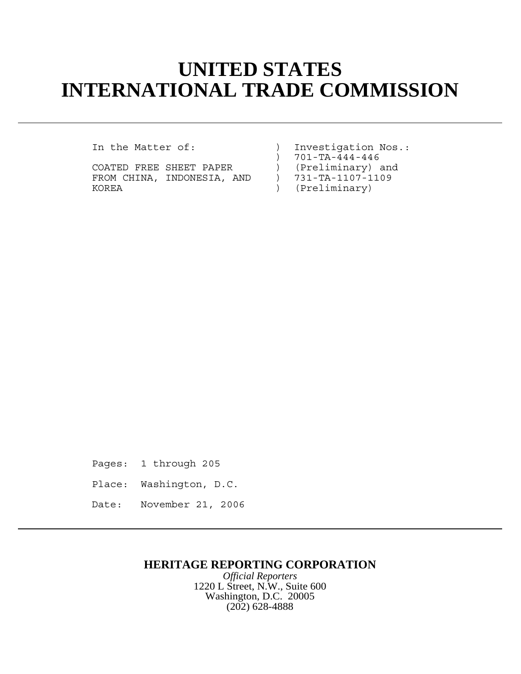# **UNITED STATES INTERNATIONAL TRADE COMMISSION**

COATED FREE SHEET PAPER (Preliminary) and<br>FROM CHINA, INDONESIA, AND ) 731-TA-1107-1109 FROM CHINA, INDONESIA, AND<br>KOREA

In the Matter of: ) Investigation Nos.: ) 701-TA-444-446<br>) (Preliminary) and ) (Preliminary)

Pages: 1 through 205 Place: Washington, D.C.

Date: November 21, 2006

### **HERITAGE REPORTING CORPORATION**

*Official Reporters* 1220 L Street, N.W., Suite 600 Washington, D.C. 20005 (202) 628-4888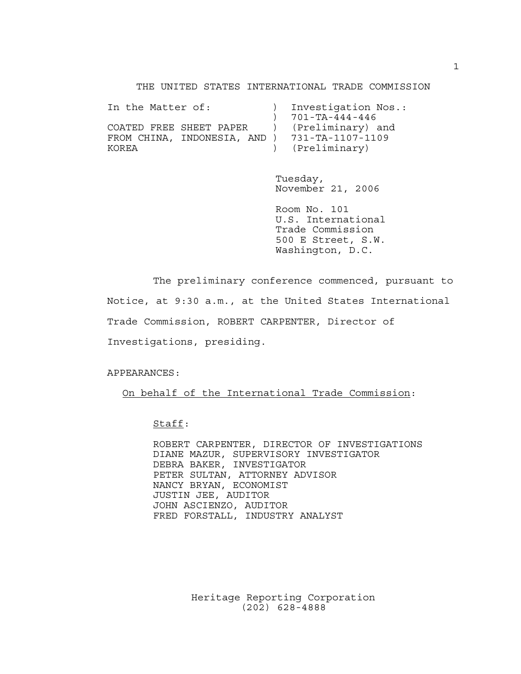THE UNITED STATES INTERNATIONAL TRADE COMMISSION

| In the Matter of:            | Investigation Nos.:    |
|------------------------------|------------------------|
|                              | $701 - TA - 444 - 446$ |
| COATED FREE SHEET PAPER      | (Preliminary) and      |
| FROM CHINA, INDONESIA, AND ) | 731-TA-1107-1109       |
| KOREA                        | (Preliminary)          |

Tuesday, November 21, 2006

Room No. 101 U.S. International Trade Commission 500 E Street, S.W. Washington, D.C.

The preliminary conference commenced, pursuant to

Notice, at 9:30 a.m., at the United States International

Trade Commission, ROBERT CARPENTER, Director of

Investigations, presiding.

APPEARANCES:

On behalf of the International Trade Commission:

Staff:

ROBERT CARPENTER, DIRECTOR OF INVESTIGATIONS DIANE MAZUR, SUPERVISORY INVESTIGATOR DEBRA BAKER, INVESTIGATOR PETER SULTAN, ATTORNEY ADVISOR NANCY BRYAN, ECONOMIST JUSTIN JEE, AUDITOR JOHN ASCIENZO, AUDITOR FRED FORSTALL, INDUSTRY ANALYST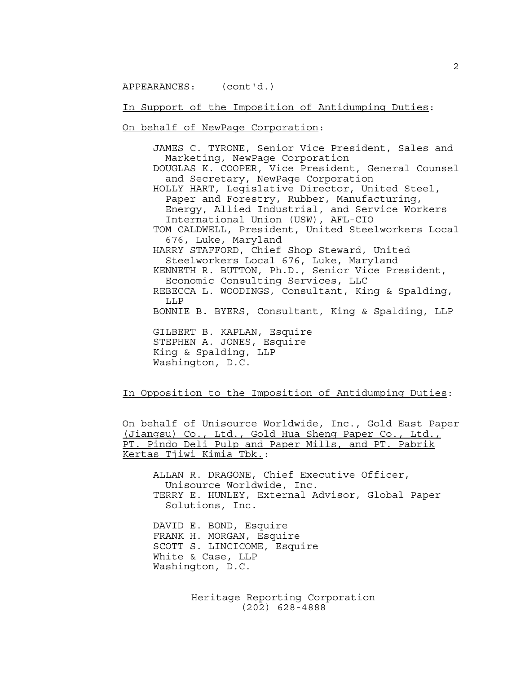APPEARANCES: (cont'd.)

#### In Support of the Imposition of Antidumping Duties:

On behalf of NewPage Corporation:

JAMES C. TYRONE, Senior Vice President, Sales and Marketing, NewPage Corporation DOUGLAS K. COOPER, Vice President, General Counsel and Secretary, NewPage Corporation HOLLY HART, Legislative Director, United Steel, Paper and Forestry, Rubber, Manufacturing, Energy, Allied Industrial, and Service Workers International Union (USW), AFL-CIO TOM CALDWELL, President, United Steelworkers Local 676, Luke, Maryland HARRY STAFFORD, Chief Shop Steward, United Steelworkers Local 676, Luke, Maryland KENNETH R. BUTTON, Ph.D., Senior Vice President, Economic Consulting Services, LLC REBECCA L. WOODINGS, Consultant, King & Spalding, LLP BONNIE B. BYERS, Consultant, King & Spalding, LLP GILBERT B. KAPLAN, Esquire STEPHEN A. JONES, Esquire King & Spalding, LLP Washington, D.C.

In Opposition to the Imposition of Antidumping Duties:

On behalf of Unisource Worldwide, Inc., Gold East Paper (Jiangsu) Co., Ltd., Gold Hua Sheng Paper Co., Ltd., PT. Pindo Deli Pulp and Paper Mills, and PT. Pabrik Kertas Tjiwi Kimia Tbk.:

ALLAN R. DRAGONE, Chief Executive Officer, Unisource Worldwide, Inc. TERRY E. HUNLEY, External Advisor, Global Paper Solutions, Inc.

DAVID E. BOND, Esquire FRANK H. MORGAN, Esquire SCOTT S. LINCICOME, Esquire White & Case, LLP Washington, D.C.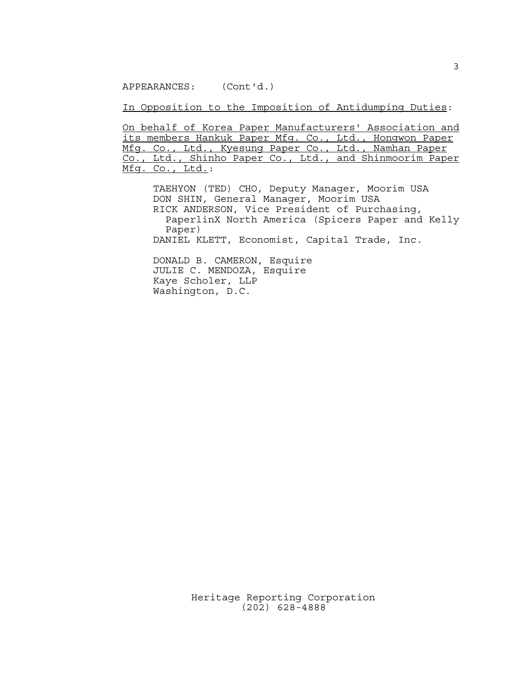APPEARANCES: (Cont'd.)

In Opposition to the Imposition of Antidumping Duties:

On behalf of Korea Paper Manufacturers' Association and its members Hankuk Paper Mfg. Co., Ltd., Hongwon Paper Mfg. Co., Ltd., Kyesung Paper Co., Ltd., Namhan Paper Co., Ltd., Shinho Paper Co., Ltd., and Shinmoorim Paper Mfg. Co., Ltd.:

TAEHYON (TED) CHO, Deputy Manager, Moorim USA DON SHIN, General Manager, Moorim USA RICK ANDERSON, Vice President of Purchasing, PaperlinX North America (Spicers Paper and Kelly Paper) DANIEL KLETT, Economist, Capital Trade, Inc.

DONALD B. CAMERON, Esquire JULIE C. MENDOZA, Esquire Kaye Scholer, LLP Washington, D.C.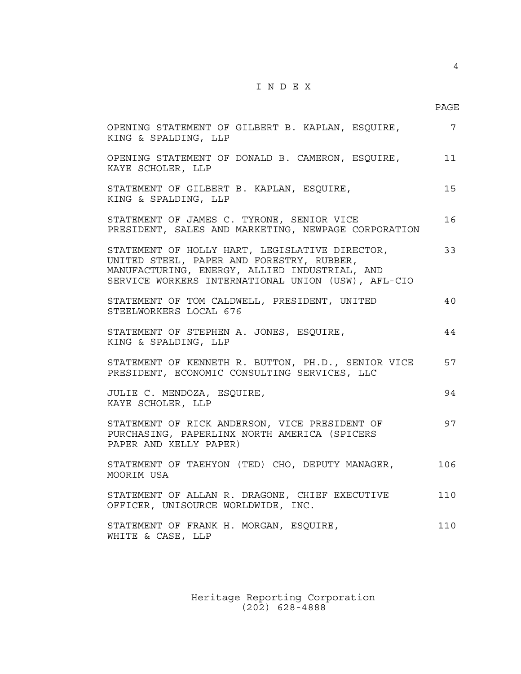## $\underline{\texttt{I}} \underline{\texttt{N}} \underline{\texttt{D}} \underline{\texttt{E}} \underline{\texttt{X}}$

4

| OPENING STATEMENT OF GILBERT B. KAPLAN, ESQUIRE,<br>KING & SPALDING, LLP                                                                                                                           | $7\overline{ }$ |
|----------------------------------------------------------------------------------------------------------------------------------------------------------------------------------------------------|-----------------|
| OPENING STATEMENT OF DONALD B. CAMERON, ESQUIRE,<br>KAYE SCHOLER, LLP                                                                                                                              | 11              |
| STATEMENT OF GILBERT B. KAPLAN, ESQUIRE,<br>KING & SPALDING, LLP                                                                                                                                   | 15              |
| STATEMENT OF JAMES C. TYRONE, SENIOR VICE<br>PRESIDENT, SALES AND MARKETING, NEWPAGE CORPORATION                                                                                                   | 16              |
| STATEMENT OF HOLLY HART, LEGISLATIVE DIRECTOR,<br>UNITED STEEL, PAPER AND FORESTRY, RUBBER,<br>MANUFACTURING, ENERGY, ALLIED INDUSTRIAL, AND<br>SERVICE WORKERS INTERNATIONAL UNION (USW), AFL-CIO | 33              |
| STATEMENT OF TOM CALDWELL, PRESIDENT, UNITED<br>STEELWORKERS LOCAL 676                                                                                                                             | 40              |
| STATEMENT OF STEPHEN A. JONES, ESQUIRE,<br>KING & SPALDING, LLP                                                                                                                                    | 44              |
| STATEMENT OF KENNETH R. BUTTON, PH.D., SENIOR VICE<br>PRESIDENT, ECONOMIC CONSULTING SERVICES, LLC                                                                                                 | 57              |
| JULIE C. MENDOZA, ESQUIRE,<br>KAYE SCHOLER, LLP                                                                                                                                                    | 94              |
| STATEMENT OF RICK ANDERSON, VICE PRESIDENT OF<br>PURCHASING, PAPERLINX NORTH AMERICA (SPICERS<br>PAPER AND KELLY PAPER)                                                                            | 97              |
| STATEMENT OF TAEHYON (TED) CHO, DEPUTY MANAGER,<br>MOORIM USA                                                                                                                                      | 106             |
| STATEMENT OF ALLAN R. DRAGONE, CHIEF EXECUTIVE<br>OFFICER, UNISOURCE WORLDWIDE, INC.                                                                                                               | 110             |
| STATEMENT OF FRANK H. MORGAN, ESQUIRE,<br>WHITE & CASE, LLP                                                                                                                                        | 110             |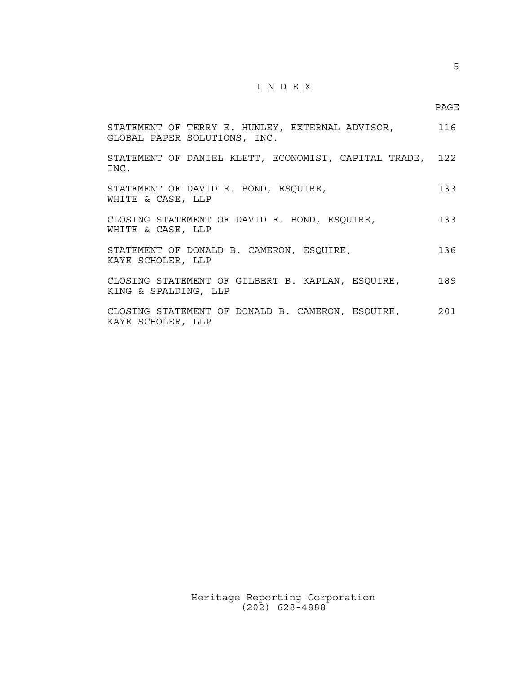## $\underline{\texttt{I}} \underline{\texttt{N}} \underline{\texttt{D}} \underline{\texttt{E}} \underline{\texttt{X}}$

5

| STATEMENT OF TERRY E. HUNLEY, EXTERNAL ADVISOR,<br>GLOBAL PAPER SOLUTIONS, INC. | 116 |
|---------------------------------------------------------------------------------|-----|
| STATEMENT OF DANIEL KLETT, ECONOMIST, CAPITAL TRADE, 122<br>INC.                |     |
| STATEMENT OF DAVID E. BOND, ESQUIRE,<br>WHITE & CASE, LLP                       | 133 |
| CLOSING STATEMENT OF DAVID E. BOND, ESQUIRE,<br>WHITE & CASE, LLP               | 133 |
| STATEMENT OF DONALD B. CAMERON, ESQUIRE,<br>KAYE SCHOLER, LLP                   | 136 |
| CLOSING STATEMENT OF GILBERT B. KAPLAN, ESQUIRE,<br>KING & SPALDING, LLP        | 189 |
| CLOSING STATEMENT OF DONALD B. CAMERON, ESQUIRE,<br>KAYE SCHOLER, LLP           | 201 |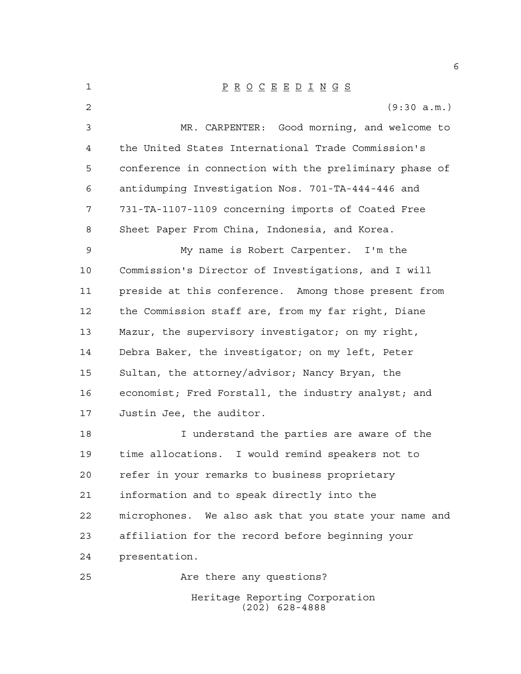| 1  | $\underline{P} \underline{R} \underline{O} \underline{C} \underline{E} \underline{E} \underline{D} \underline{I} \underline{N} \underline{G} \underline{S}$ |
|----|-------------------------------------------------------------------------------------------------------------------------------------------------------------|
| 2  | (9:30 a.m.)                                                                                                                                                 |
| 3  | MR. CARPENTER: Good morning, and welcome to                                                                                                                 |
| 4  | the United States International Trade Commission's                                                                                                          |
| 5  | conference in connection with the preliminary phase of                                                                                                      |
| 6  | antidumping Investigation Nos. 701-TA-444-446 and                                                                                                           |
| 7  | 731-TA-1107-1109 concerning imports of Coated Free                                                                                                          |
| 8  | Sheet Paper From China, Indonesia, and Korea.                                                                                                               |
| 9  | My name is Robert Carpenter. I'm the                                                                                                                        |
| 10 | Commission's Director of Investigations, and I will                                                                                                         |
| 11 | preside at this conference. Among those present from                                                                                                        |
| 12 | the Commission staff are, from my far right, Diane                                                                                                          |
| 13 | Mazur, the supervisory investigator; on my right,                                                                                                           |
| 14 | Debra Baker, the investigator; on my left, Peter                                                                                                            |
| 15 | Sultan, the attorney/advisor; Nancy Bryan, the                                                                                                              |
| 16 | economist; Fred Forstall, the industry analyst; and                                                                                                         |
| 17 | Justin Jee, the auditor.                                                                                                                                    |
| 18 | I understand the parties are aware of the                                                                                                                   |
| 19 | time allocations. I would remind speakers not to                                                                                                            |
| 20 | refer in your remarks to business proprietary                                                                                                               |
| 21 | information and to speak directly into the                                                                                                                  |
| 22 | microphones. We also ask that you state your name and                                                                                                       |
| 23 | affiliation for the record before beginning your                                                                                                            |
| 24 | presentation.                                                                                                                                               |
| 25 | Are there any questions?                                                                                                                                    |
|    | Heritage Reporting Corporation<br>$(202)$ 628-4888                                                                                                          |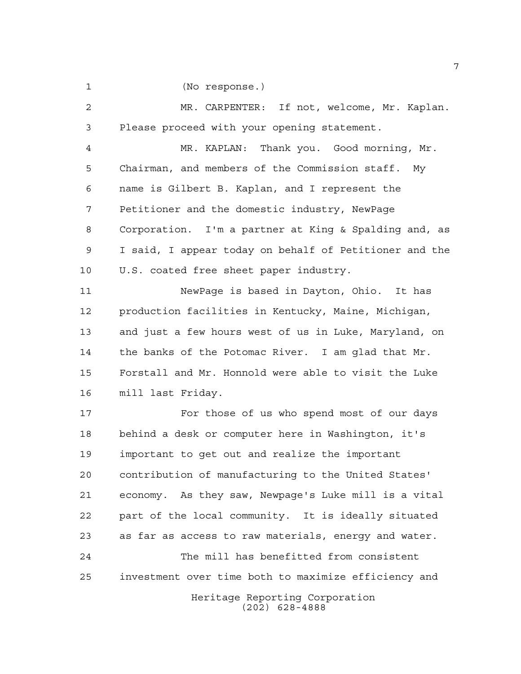(No response.)

Heritage Reporting Corporation (202) 628-4888 MR. CARPENTER: If not, welcome, Mr. Kaplan. Please proceed with your opening statement. MR. KAPLAN: Thank you. Good morning, Mr. Chairman, and members of the Commission staff. My name is Gilbert B. Kaplan, and I represent the Petitioner and the domestic industry, NewPage Corporation. I'm a partner at King & Spalding and, as I said, I appear today on behalf of Petitioner and the U.S. coated free sheet paper industry. NewPage is based in Dayton, Ohio. It has production facilities in Kentucky, Maine, Michigan, and just a few hours west of us in Luke, Maryland, on the banks of the Potomac River. I am glad that Mr. Forstall and Mr. Honnold were able to visit the Luke mill last Friday. 17 For those of us who spend most of our days behind a desk or computer here in Washington, it's important to get out and realize the important contribution of manufacturing to the United States' economy. As they saw, Newpage's Luke mill is a vital part of the local community. It is ideally situated as far as access to raw materials, energy and water. The mill has benefitted from consistent investment over time both to maximize efficiency and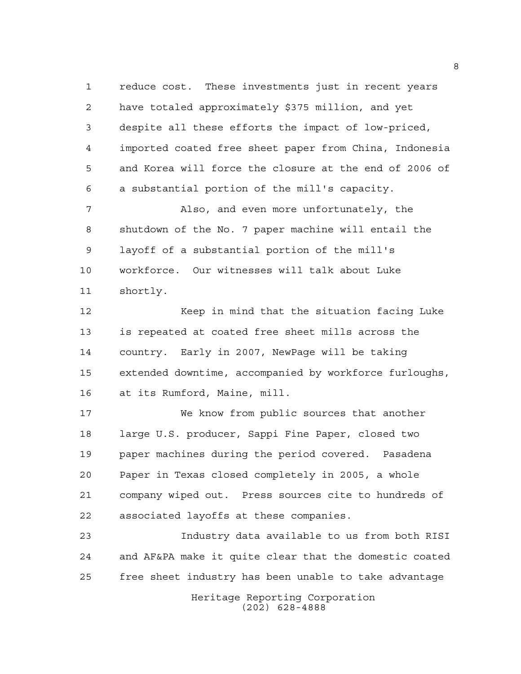reduce cost. These investments just in recent years have totaled approximately \$375 million, and yet despite all these efforts the impact of low-priced, imported coated free sheet paper from China, Indonesia and Korea will force the closure at the end of 2006 of a substantial portion of the mill's capacity.

 Also, and even more unfortunately, the shutdown of the No. 7 paper machine will entail the layoff of a substantial portion of the mill's workforce. Our witnesses will talk about Luke shortly.

12 Keep in mind that the situation facing Luke is repeated at coated free sheet mills across the country. Early in 2007, NewPage will be taking extended downtime, accompanied by workforce furloughs, at its Rumford, Maine, mill.

 We know from public sources that another large U.S. producer, Sappi Fine Paper, closed two paper machines during the period covered. Pasadena Paper in Texas closed completely in 2005, a whole company wiped out. Press sources cite to hundreds of associated layoffs at these companies.

 Industry data available to us from both RISI and AF&PA make it quite clear that the domestic coated free sheet industry has been unable to take advantage

> Heritage Reporting Corporation (202) 628-4888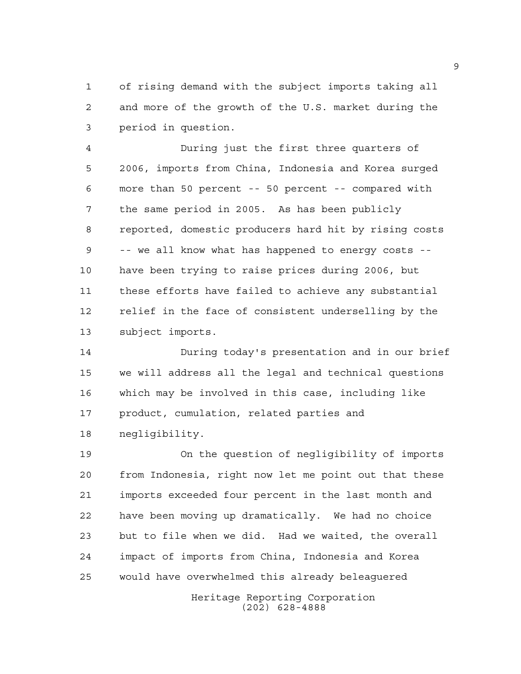of rising demand with the subject imports taking all and more of the growth of the U.S. market during the period in question.

 During just the first three quarters of 2006, imports from China, Indonesia and Korea surged more than 50 percent -- 50 percent -- compared with the same period in 2005. As has been publicly reported, domestic producers hard hit by rising costs -- we all know what has happened to energy costs -- have been trying to raise prices during 2006, but these efforts have failed to achieve any substantial relief in the face of consistent underselling by the subject imports.

 During today's presentation and in our brief we will address all the legal and technical questions which may be involved in this case, including like product, cumulation, related parties and negligibility.

 On the question of negligibility of imports from Indonesia, right now let me point out that these imports exceeded four percent in the last month and have been moving up dramatically. We had no choice but to file when we did. Had we waited, the overall impact of imports from China, Indonesia and Korea would have overwhelmed this already beleaguered

> Heritage Reporting Corporation (202) 628-4888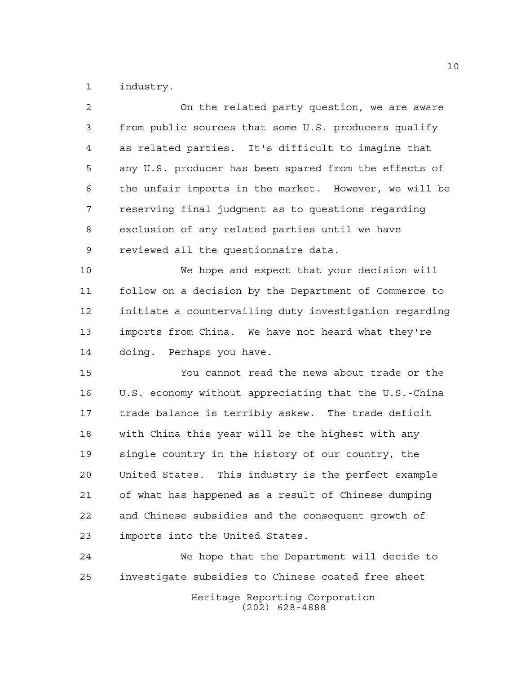industry.

| 2           | On the related party question, we are aware            |
|-------------|--------------------------------------------------------|
| $\mathsf 3$ | from public sources that some U.S. producers qualify   |
| 4           | as related parties. It's difficult to imagine that     |
| 5           | any U.S. producer has been spared from the effects of  |
| 6           | the unfair imports in the market. However, we will be  |
| 7           | reserving final judgment as to questions regarding     |
| 8           | exclusion of any related parties until we have         |
| 9           | reviewed all the questionnaire data.                   |
| 10          | We hope and expect that your decision will             |
| 11          | follow on a decision by the Department of Commerce to  |
| 12          | initiate a countervailing duty investigation regarding |
| 13          | imports from China. We have not heard what they're     |
| 14          | doing. Perhaps you have.                               |
| 15          | You cannot read the news about trade or the            |
| 16          | U.S. economy without appreciating that the U.S.-China  |
| 17          | trade balance is terribly askew. The trade deficit     |
| 18          | with China this year will be the highest with any      |
| 19          | single country in the history of our country, the      |
| 20          | United States. This industry is the perfect example    |
| 21          | of what has happened as a result of Chinese dumping    |
| 22          | and Chinese subsidies and the consequent growth of     |
| 23          | imports into the United States.                        |
| 24          | We hope that the Department will decide to             |
| 25          | investigate subsidies to Chinese coated free sheet     |
|             |                                                        |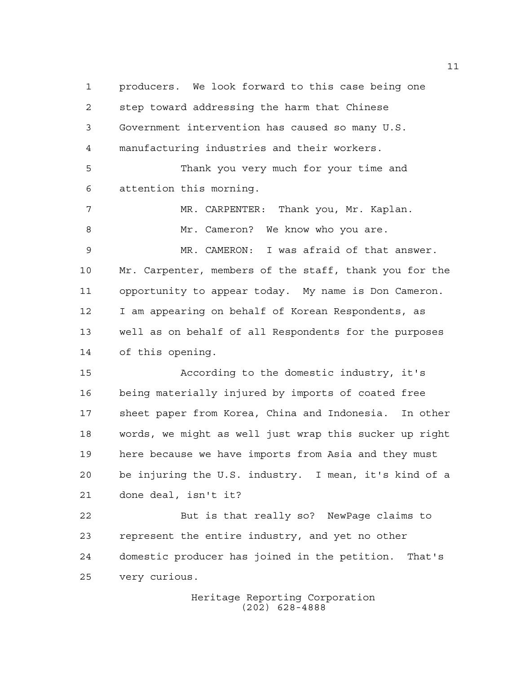producers. We look forward to this case being one step toward addressing the harm that Chinese Government intervention has caused so many U.S. manufacturing industries and their workers. Thank you very much for your time and attention this morning. MR. CARPENTER: Thank you, Mr. Kaplan. 8 Mr. Cameron? We know who you are. MR. CAMERON: I was afraid of that answer. Mr. Carpenter, members of the staff, thank you for the opportunity to appear today. My name is Don Cameron. I am appearing on behalf of Korean Respondents, as well as on behalf of all Respondents for the purposes of this opening. According to the domestic industry, it's being materially injured by imports of coated free sheet paper from Korea, China and Indonesia. In other words, we might as well just wrap this sucker up right here because we have imports from Asia and they must be injuring the U.S. industry. I mean, it's kind of a done deal, isn't it? But is that really so? NewPage claims to represent the entire industry, and yet no other domestic producer has joined in the petition. That's very curious.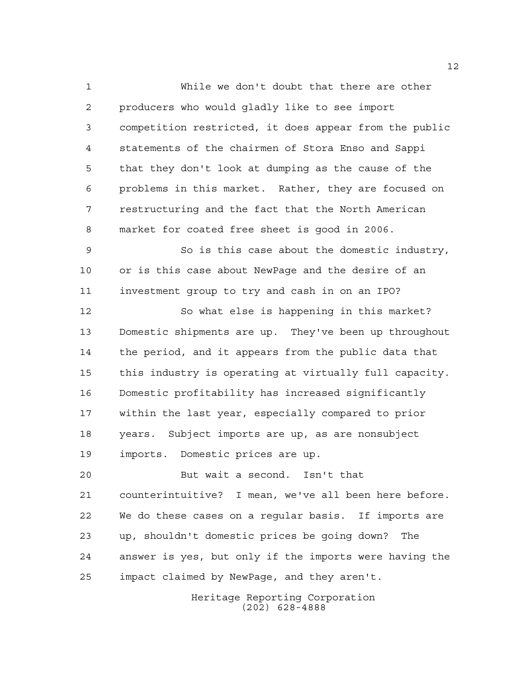While we don't doubt that there are other producers who would gladly like to see import competition restricted, it does appear from the public statements of the chairmen of Stora Enso and Sappi that they don't look at dumping as the cause of the problems in this market. Rather, they are focused on restructuring and the fact that the North American market for coated free sheet is good in 2006.

 So is this case about the domestic industry, or is this case about NewPage and the desire of an investment group to try and cash in on an IPO?

 So what else is happening in this market? Domestic shipments are up. They've been up throughout the period, and it appears from the public data that this industry is operating at virtually full capacity. Domestic profitability has increased significantly within the last year, especially compared to prior years. Subject imports are up, as are nonsubject imports. Domestic prices are up.

 But wait a second. Isn't that counterintuitive? I mean, we've all been here before. We do these cases on a regular basis. If imports are up, shouldn't domestic prices be going down? The answer is yes, but only if the imports were having the impact claimed by NewPage, and they aren't.

> Heritage Reporting Corporation (202) 628-4888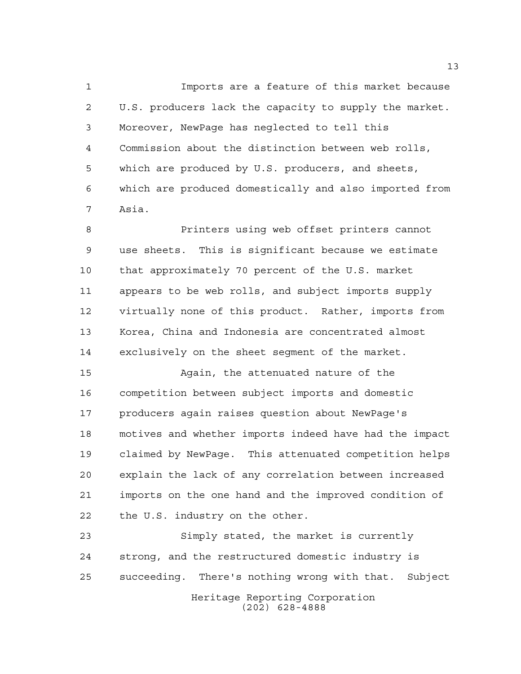Imports are a feature of this market because U.S. producers lack the capacity to supply the market. Moreover, NewPage has neglected to tell this Commission about the distinction between web rolls, which are produced by U.S. producers, and sheets, which are produced domestically and also imported from Asia.

 Printers using web offset printers cannot use sheets. This is significant because we estimate that approximately 70 percent of the U.S. market appears to be web rolls, and subject imports supply virtually none of this product. Rather, imports from Korea, China and Indonesia are concentrated almost exclusively on the sheet segment of the market.

 Again, the attenuated nature of the competition between subject imports and domestic producers again raises question about NewPage's motives and whether imports indeed have had the impact claimed by NewPage. This attenuated competition helps explain the lack of any correlation between increased imports on the one hand and the improved condition of the U.S. industry on the other.

Heritage Reporting Corporation Simply stated, the market is currently strong, and the restructured domestic industry is succeeding. There's nothing wrong with that. Subject

(202) 628-4888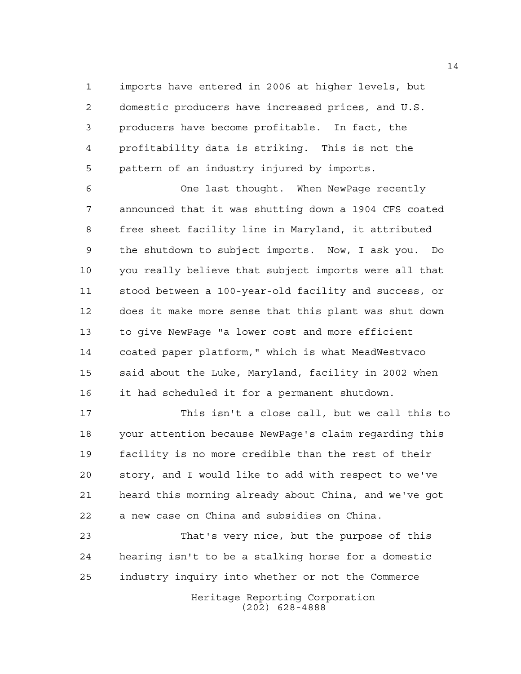imports have entered in 2006 at higher levels, but domestic producers have increased prices, and U.S. producers have become profitable. In fact, the profitability data is striking. This is not the pattern of an industry injured by imports.

 One last thought. When NewPage recently announced that it was shutting down a 1904 CFS coated free sheet facility line in Maryland, it attributed the shutdown to subject imports. Now, I ask you. Do you really believe that subject imports were all that stood between a 100-year-old facility and success, or does it make more sense that this plant was shut down to give NewPage "a lower cost and more efficient coated paper platform," which is what MeadWestvaco said about the Luke, Maryland, facility in 2002 when it had scheduled it for a permanent shutdown.

 This isn't a close call, but we call this to your attention because NewPage's claim regarding this facility is no more credible than the rest of their story, and I would like to add with respect to we've heard this morning already about China, and we've got a new case on China and subsidies on China.

 That's very nice, but the purpose of this hearing isn't to be a stalking horse for a domestic industry inquiry into whether or not the Commerce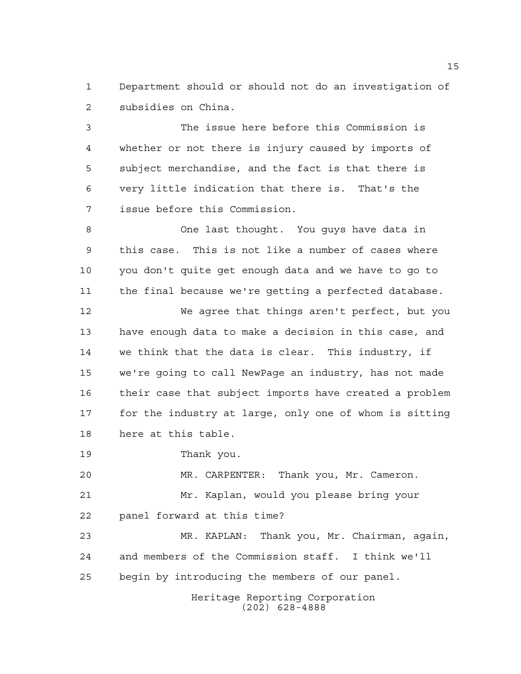Department should or should not do an investigation of subsidies on China.

 The issue here before this Commission is whether or not there is injury caused by imports of subject merchandise, and the fact is that there is very little indication that there is. That's the issue before this Commission.

 One last thought. You guys have data in this case. This is not like a number of cases where you don't quite get enough data and we have to go to the final because we're getting a perfected database.

 We agree that things aren't perfect, but you have enough data to make a decision in this case, and we think that the data is clear. This industry, if we're going to call NewPage an industry, has not made their case that subject imports have created a problem for the industry at large, only one of whom is sitting here at this table.

Thank you.

 MR. CARPENTER: Thank you, Mr. Cameron. Mr. Kaplan, would you please bring your panel forward at this time?

 MR. KAPLAN: Thank you, Mr. Chairman, again, and members of the Commission staff. I think we'll begin by introducing the members of our panel.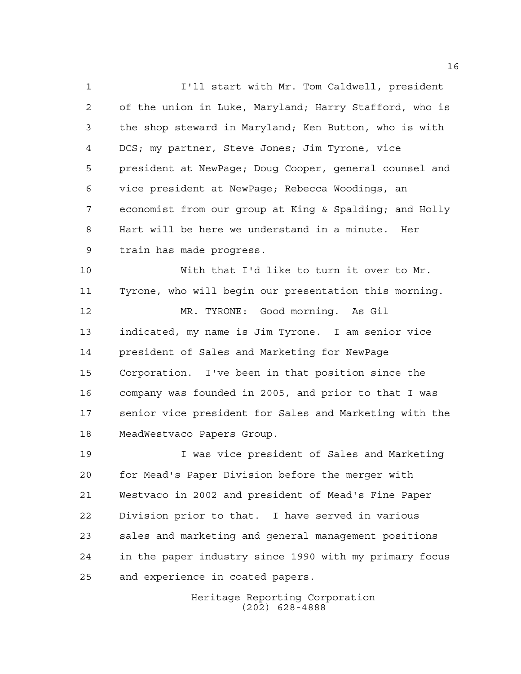I'll start with Mr. Tom Caldwell, president of the union in Luke, Maryland; Harry Stafford, who is the shop steward in Maryland; Ken Button, who is with DCS; my partner, Steve Jones; Jim Tyrone, vice president at NewPage; Doug Cooper, general counsel and vice president at NewPage; Rebecca Woodings, an economist from our group at King & Spalding; and Holly Hart will be here we understand in a minute. Her train has made progress. With that I'd like to turn it over to Mr. Tyrone, who will begin our presentation this morning.

 MR. TYRONE: Good morning. As Gil indicated, my name is Jim Tyrone. I am senior vice president of Sales and Marketing for NewPage Corporation. I've been in that position since the company was founded in 2005, and prior to that I was senior vice president for Sales and Marketing with the MeadWestvaco Papers Group.

 I was vice president of Sales and Marketing for Mead's Paper Division before the merger with Westvaco in 2002 and president of Mead's Fine Paper Division prior to that. I have served in various sales and marketing and general management positions in the paper industry since 1990 with my primary focus and experience in coated papers.

> Heritage Reporting Corporation (202) 628-4888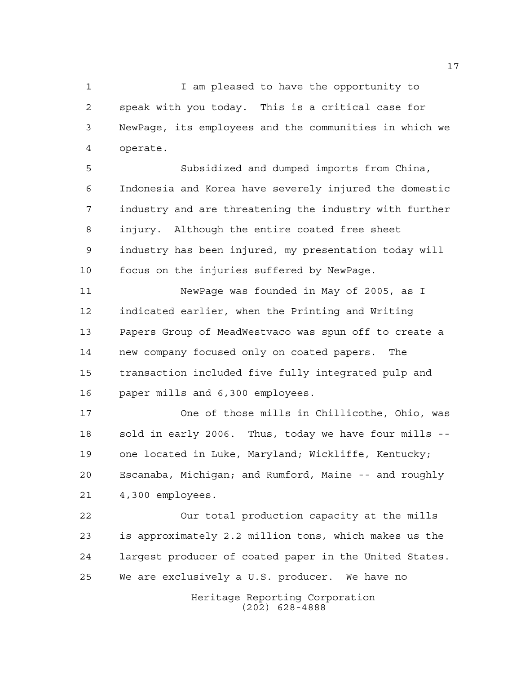I am pleased to have the opportunity to speak with you today. This is a critical case for NewPage, its employees and the communities in which we operate.

 Subsidized and dumped imports from China, Indonesia and Korea have severely injured the domestic industry and are threatening the industry with further injury. Although the entire coated free sheet industry has been injured, my presentation today will focus on the injuries suffered by NewPage.

 NewPage was founded in May of 2005, as I indicated earlier, when the Printing and Writing Papers Group of MeadWestvaco was spun off to create a new company focused only on coated papers. The transaction included five fully integrated pulp and paper mills and 6,300 employees.

 One of those mills in Chillicothe, Ohio, was sold in early 2006. Thus, today we have four mills -- one located in Luke, Maryland; Wickliffe, Kentucky; Escanaba, Michigan; and Rumford, Maine -- and roughly 4,300 employees.

Heritage Reporting Corporation Our total production capacity at the mills is approximately 2.2 million tons, which makes us the largest producer of coated paper in the United States. We are exclusively a U.S. producer. We have no

(202) 628-4888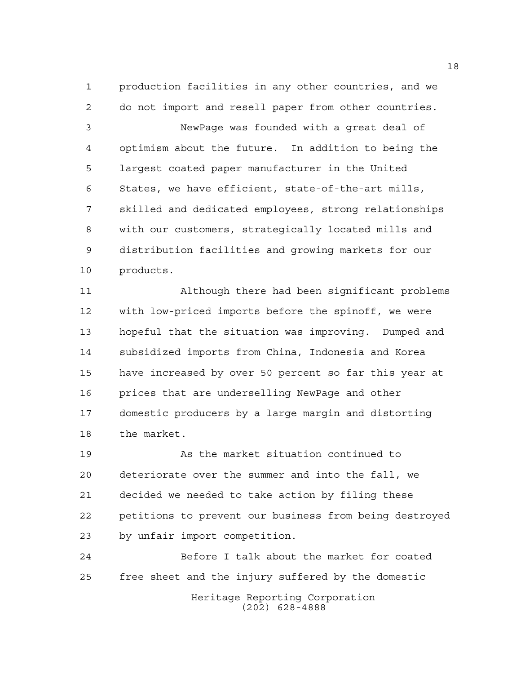production facilities in any other countries, and we do not import and resell paper from other countries. NewPage was founded with a great deal of optimism about the future. In addition to being the largest coated paper manufacturer in the United States, we have efficient, state-of-the-art mills, skilled and dedicated employees, strong relationships with our customers, strategically located mills and distribution facilities and growing markets for our products.

 Although there had been significant problems with low-priced imports before the spinoff, we were hopeful that the situation was improving. Dumped and subsidized imports from China, Indonesia and Korea have increased by over 50 percent so far this year at prices that are underselling NewPage and other domestic producers by a large margin and distorting the market.

 As the market situation continued to deteriorate over the summer and into the fall, we decided we needed to take action by filing these petitions to prevent our business from being destroyed by unfair import competition.

Heritage Reporting Corporation (202) 628-4888 Before I talk about the market for coated free sheet and the injury suffered by the domestic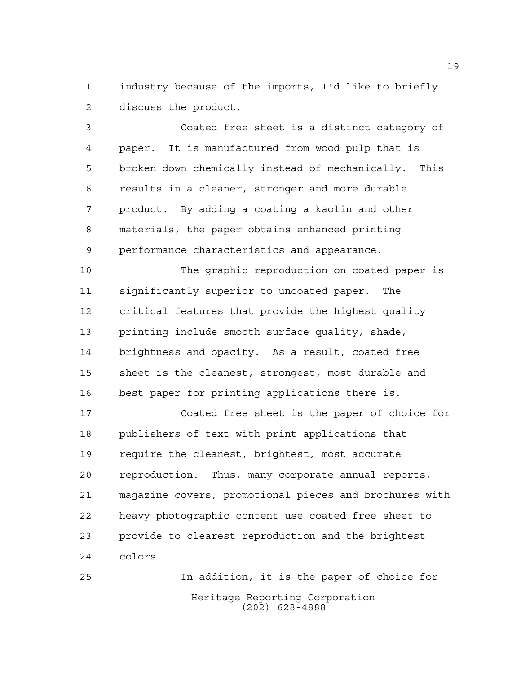industry because of the imports, I'd like to briefly discuss the product.

 Coated free sheet is a distinct category of paper. It is manufactured from wood pulp that is broken down chemically instead of mechanically. This results in a cleaner, stronger and more durable product. By adding a coating a kaolin and other materials, the paper obtains enhanced printing performance characteristics and appearance.

 The graphic reproduction on coated paper is significantly superior to uncoated paper. The critical features that provide the highest quality printing include smooth surface quality, shade, brightness and opacity. As a result, coated free sheet is the cleanest, strongest, most durable and best paper for printing applications there is.

 Coated free sheet is the paper of choice for publishers of text with print applications that require the cleanest, brightest, most accurate reproduction. Thus, many corporate annual reports, magazine covers, promotional pieces and brochures with heavy photographic content use coated free sheet to provide to clearest reproduction and the brightest colors.

Heritage Reporting Corporation (202) 628-4888 In addition, it is the paper of choice for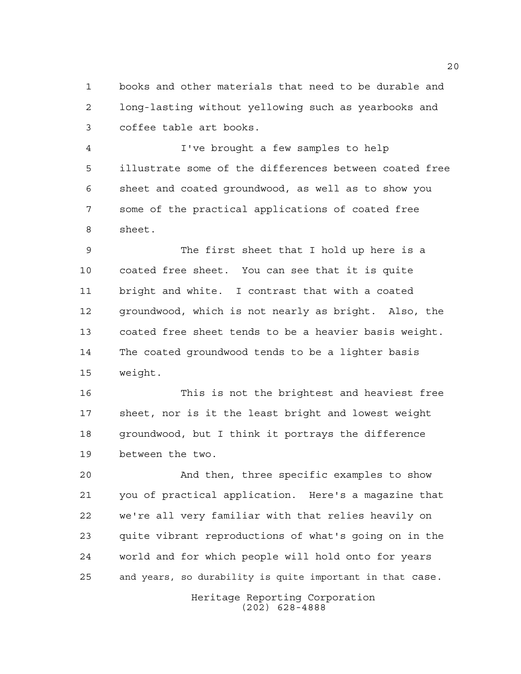books and other materials that need to be durable and long-lasting without yellowing such as yearbooks and coffee table art books.

 I've brought a few samples to help illustrate some of the differences between coated free sheet and coated groundwood, as well as to show you some of the practical applications of coated free sheet.

 The first sheet that I hold up here is a coated free sheet. You can see that it is quite bright and white. I contrast that with a coated groundwood, which is not nearly as bright. Also, the coated free sheet tends to be a heavier basis weight. The coated groundwood tends to be a lighter basis weight.

 This is not the brightest and heaviest free sheet, nor is it the least bright and lowest weight groundwood, but I think it portrays the difference between the two.

 And then, three specific examples to show you of practical application. Here's a magazine that we're all very familiar with that relies heavily on quite vibrant reproductions of what's going on in the world and for which people will hold onto for years and years, so durability is quite important in that case.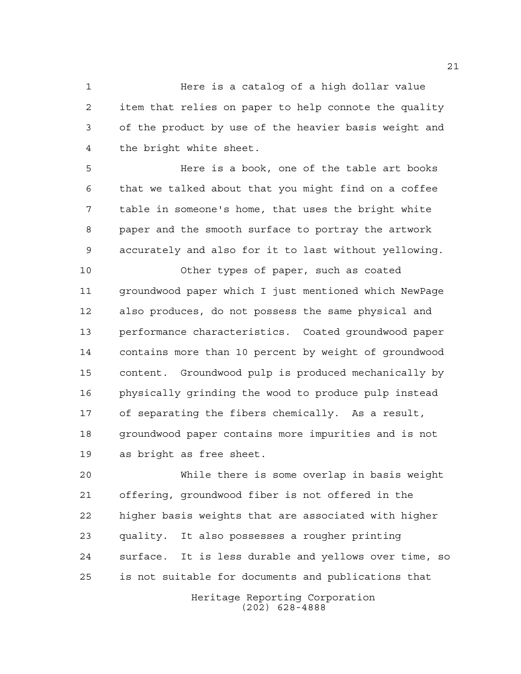Here is a catalog of a high dollar value item that relies on paper to help connote the quality of the product by use of the heavier basis weight and the bright white sheet.

 Here is a book, one of the table art books that we talked about that you might find on a coffee table in someone's home, that uses the bright white paper and the smooth surface to portray the artwork accurately and also for it to last without yellowing.

 Other types of paper, such as coated groundwood paper which I just mentioned which NewPage also produces, do not possess the same physical and performance characteristics. Coated groundwood paper contains more than 10 percent by weight of groundwood content. Groundwood pulp is produced mechanically by physically grinding the wood to produce pulp instead of separating the fibers chemically. As a result, groundwood paper contains more impurities and is not as bright as free sheet.

 While there is some overlap in basis weight offering, groundwood fiber is not offered in the higher basis weights that are associated with higher quality. It also possesses a rougher printing surface. It is less durable and yellows over time, so is not suitable for documents and publications that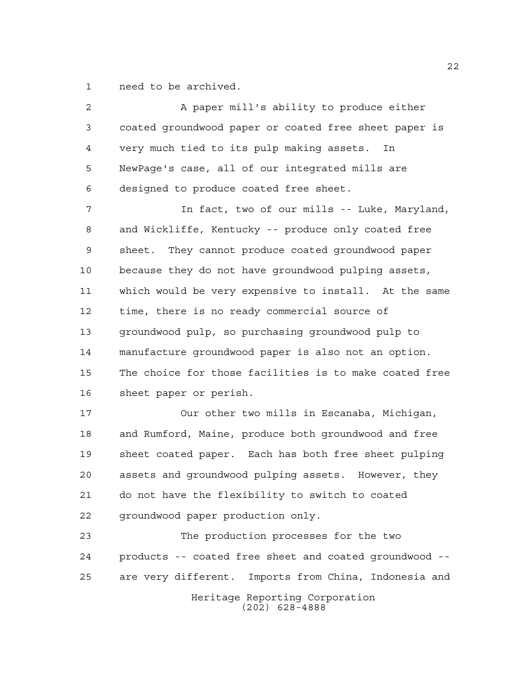need to be archived.

2 A paper mill's ability to produce either coated groundwood paper or coated free sheet paper is very much tied to its pulp making assets. In NewPage's case, all of our integrated mills are designed to produce coated free sheet. In fact, two of our mills -- Luke, Maryland, and Wickliffe, Kentucky -- produce only coated free sheet. They cannot produce coated groundwood paper because they do not have groundwood pulping assets, which would be very expensive to install. At the same time, there is no ready commercial source of groundwood pulp, so purchasing groundwood pulp to manufacture groundwood paper is also not an option. The choice for those facilities is to make coated free sheet paper or perish. Our other two mills in Escanaba, Michigan,

 and Rumford, Maine, produce both groundwood and free sheet coated paper. Each has both free sheet pulping assets and groundwood pulping assets. However, they do not have the flexibility to switch to coated groundwood paper production only.

Heritage Reporting Corporation (202) 628-4888 The production processes for the two products -- coated free sheet and coated groundwood -- are very different. Imports from China, Indonesia and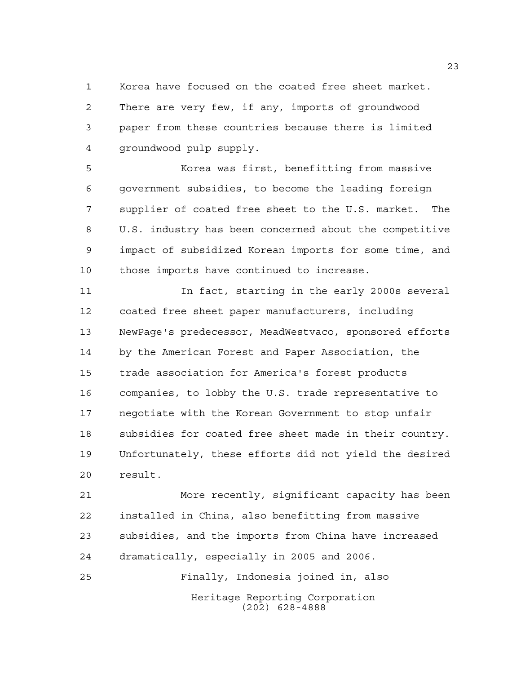Korea have focused on the coated free sheet market. There are very few, if any, imports of groundwood paper from these countries because there is limited groundwood pulp supply.

 Korea was first, benefitting from massive government subsidies, to become the leading foreign supplier of coated free sheet to the U.S. market. The U.S. industry has been concerned about the competitive impact of subsidized Korean imports for some time, and those imports have continued to increase.

 In fact, starting in the early 2000s several coated free sheet paper manufacturers, including NewPage's predecessor, MeadWestvaco, sponsored efforts by the American Forest and Paper Association, the trade association for America's forest products companies, to lobby the U.S. trade representative to negotiate with the Korean Government to stop unfair subsidies for coated free sheet made in their country. Unfortunately, these efforts did not yield the desired result.

 More recently, significant capacity has been installed in China, also benefitting from massive subsidies, and the imports from China have increased dramatically, especially in 2005 and 2006.

Heritage Reporting Corporation (202) 628-4888 Finally, Indonesia joined in, also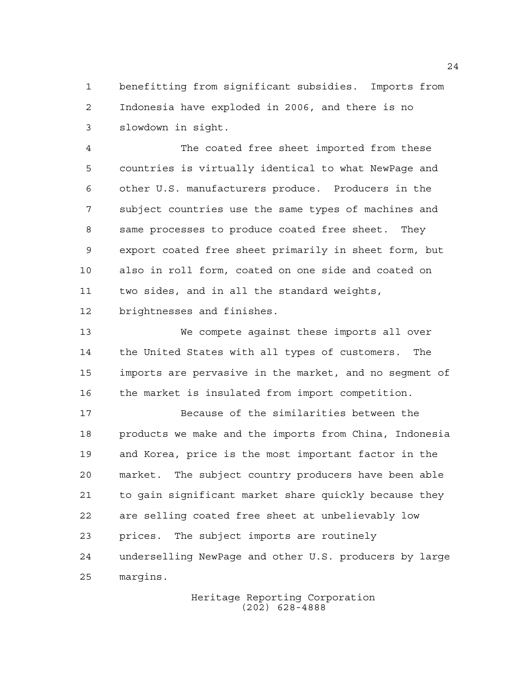benefitting from significant subsidies. Imports from Indonesia have exploded in 2006, and there is no slowdown in sight.

 The coated free sheet imported from these countries is virtually identical to what NewPage and other U.S. manufacturers produce. Producers in the subject countries use the same types of machines and same processes to produce coated free sheet. They export coated free sheet primarily in sheet form, but also in roll form, coated on one side and coated on two sides, and in all the standard weights, brightnesses and finishes.

 We compete against these imports all over the United States with all types of customers. The imports are pervasive in the market, and no segment of the market is insulated from import competition.

 Because of the similarities between the products we make and the imports from China, Indonesia and Korea, price is the most important factor in the market. The subject country producers have been able to gain significant market share quickly because they are selling coated free sheet at unbelievably low prices. The subject imports are routinely underselling NewPage and other U.S. producers by large margins.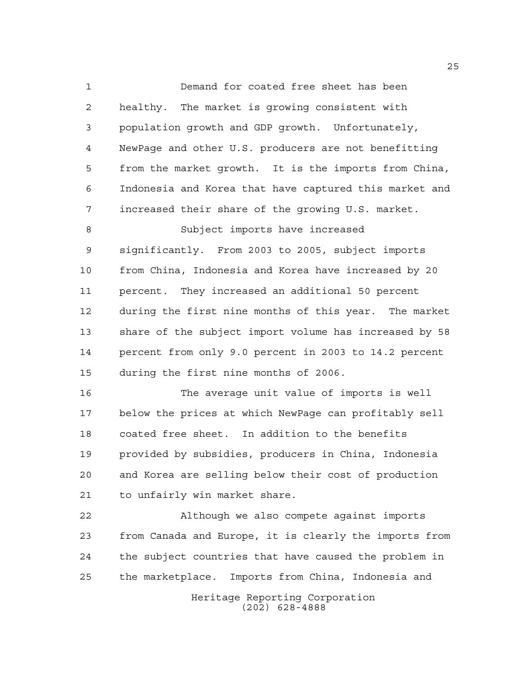Demand for coated free sheet has been healthy. The market is growing consistent with population growth and GDP growth. Unfortunately, NewPage and other U.S. producers are not benefitting from the market growth. It is the imports from China, Indonesia and Korea that have captured this market and increased their share of the growing U.S. market. Subject imports have increased significantly. From 2003 to 2005, subject imports from China, Indonesia and Korea have increased by 20

 percent. They increased an additional 50 percent during the first nine months of this year. The market share of the subject import volume has increased by 58 percent from only 9.0 percent in 2003 to 14.2 percent during the first nine months of 2006.

 The average unit value of imports is well below the prices at which NewPage can profitably sell coated free sheet. In addition to the benefits provided by subsidies, producers in China, Indonesia and Korea are selling below their cost of production to unfairly win market share.

 Although we also compete against imports from Canada and Europe, it is clearly the imports from the subject countries that have caused the problem in the marketplace. Imports from China, Indonesia and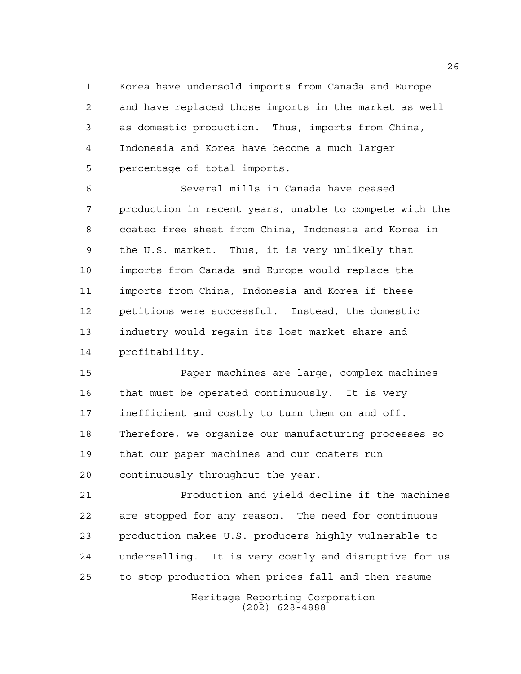Korea have undersold imports from Canada and Europe and have replaced those imports in the market as well as domestic production. Thus, imports from China, Indonesia and Korea have become a much larger percentage of total imports.

 Several mills in Canada have ceased production in recent years, unable to compete with the coated free sheet from China, Indonesia and Korea in the U.S. market. Thus, it is very unlikely that imports from Canada and Europe would replace the imports from China, Indonesia and Korea if these petitions were successful. Instead, the domestic industry would regain its lost market share and profitability.

 Paper machines are large, complex machines that must be operated continuously. It is very inefficient and costly to turn them on and off. Therefore, we organize our manufacturing processes so that our paper machines and our coaters run continuously throughout the year.

 Production and yield decline if the machines are stopped for any reason. The need for continuous production makes U.S. producers highly vulnerable to underselling. It is very costly and disruptive for us to stop production when prices fall and then resume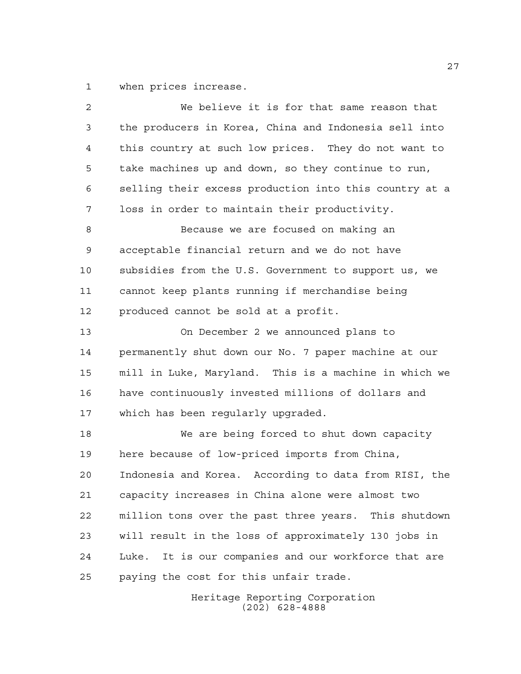when prices increase.

| 2  | We believe it is for that same reason that             |
|----|--------------------------------------------------------|
| 3  | the producers in Korea, China and Indonesia sell into  |
| 4  | this country at such low prices. They do not want to   |
| 5  | take machines up and down, so they continue to run,    |
| 6  | selling their excess production into this country at a |
| 7  | loss in order to maintain their productivity.          |
| 8  | Because we are focused on making an                    |
| 9  | acceptable financial return and we do not have         |
| 10 | subsidies from the U.S. Government to support us, we   |
| 11 | cannot keep plants running if merchandise being        |
| 12 | produced cannot be sold at a profit.                   |
| 13 | On December 2 we announced plans to                    |
| 14 | permanently shut down our No. 7 paper machine at our   |
| 15 | mill in Luke, Maryland. This is a machine in which we  |
| 16 | have continuously invested millions of dollars and     |
| 17 | which has been regularly upgraded.                     |
| 18 | We are being forced to shut down capacity              |
| 19 | here because of low-priced imports from China,         |
| 20 | Indonesia and Korea. According to data from RISI, the  |
| 21 | capacity increases in China alone were almost two      |
| 22 | million tons over the past three years. This shutdown  |
| 23 | will result in the loss of approximately 130 jobs in   |
| 24 | Luke. It is our companies and our workforce that are   |
| 25 | paying the cost for this unfair trade.                 |
|    |                                                        |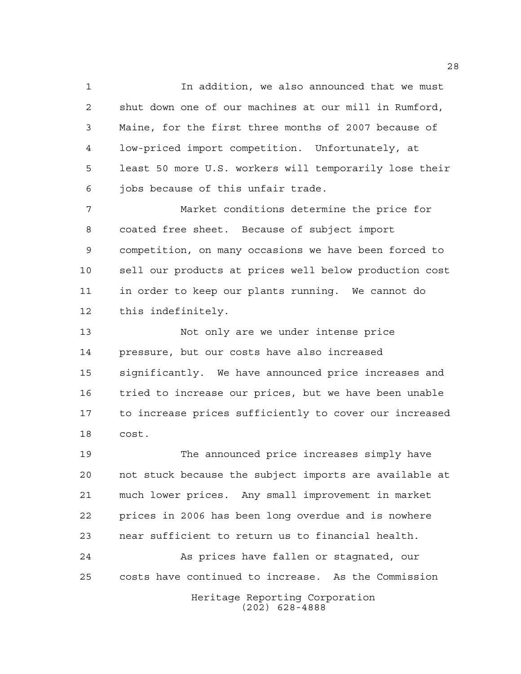In addition, we also announced that we must shut down one of our machines at our mill in Rumford, Maine, for the first three months of 2007 because of low-priced import competition. Unfortunately, at least 50 more U.S. workers will temporarily lose their jobs because of this unfair trade.

 Market conditions determine the price for coated free sheet. Because of subject import competition, on many occasions we have been forced to sell our products at prices well below production cost in order to keep our plants running. We cannot do this indefinitely.

 Not only are we under intense price pressure, but our costs have also increased significantly. We have announced price increases and tried to increase our prices, but we have been unable to increase prices sufficiently to cover our increased cost.

 The announced price increases simply have not stuck because the subject imports are available at much lower prices. Any small improvement in market prices in 2006 has been long overdue and is nowhere near sufficient to return us to financial health. As prices have fallen or stagnated, our

costs have continued to increase. As the Commission

Heritage Reporting Corporation (202) 628-4888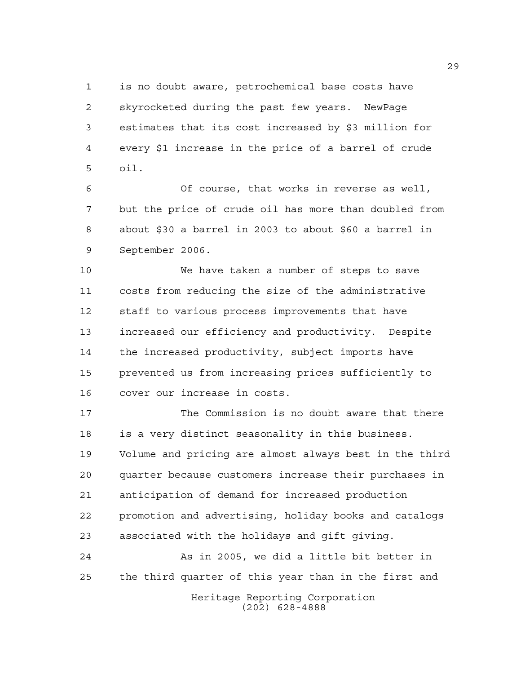is no doubt aware, petrochemical base costs have skyrocketed during the past few years. NewPage estimates that its cost increased by \$3 million for every \$1 increase in the price of a barrel of crude oil.

 Of course, that works in reverse as well, but the price of crude oil has more than doubled from about \$30 a barrel in 2003 to about \$60 a barrel in September 2006.

 We have taken a number of steps to save costs from reducing the size of the administrative staff to various process improvements that have increased our efficiency and productivity. Despite the increased productivity, subject imports have prevented us from increasing prices sufficiently to cover our increase in costs.

 The Commission is no doubt aware that there is a very distinct seasonality in this business. Volume and pricing are almost always best in the third quarter because customers increase their purchases in anticipation of demand for increased production promotion and advertising, holiday books and catalogs associated with the holidays and gift giving.

 As in 2005, we did a little bit better in the third quarter of this year than in the first and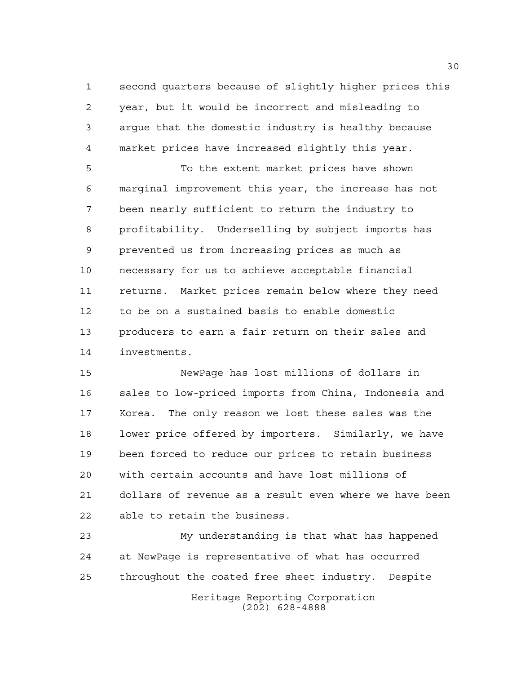second quarters because of slightly higher prices this year, but it would be incorrect and misleading to argue that the domestic industry is healthy because market prices have increased slightly this year.

 To the extent market prices have shown marginal improvement this year, the increase has not been nearly sufficient to return the industry to profitability. Underselling by subject imports has prevented us from increasing prices as much as necessary for us to achieve acceptable financial returns. Market prices remain below where they need to be on a sustained basis to enable domestic producers to earn a fair return on their sales and investments.

 NewPage has lost millions of dollars in sales to low-priced imports from China, Indonesia and Korea. The only reason we lost these sales was the lower price offered by importers. Similarly, we have been forced to reduce our prices to retain business with certain accounts and have lost millions of dollars of revenue as a result even where we have been able to retain the business.

Heritage Reporting Corporation (202) 628-4888 My understanding is that what has happened at NewPage is representative of what has occurred throughout the coated free sheet industry. Despite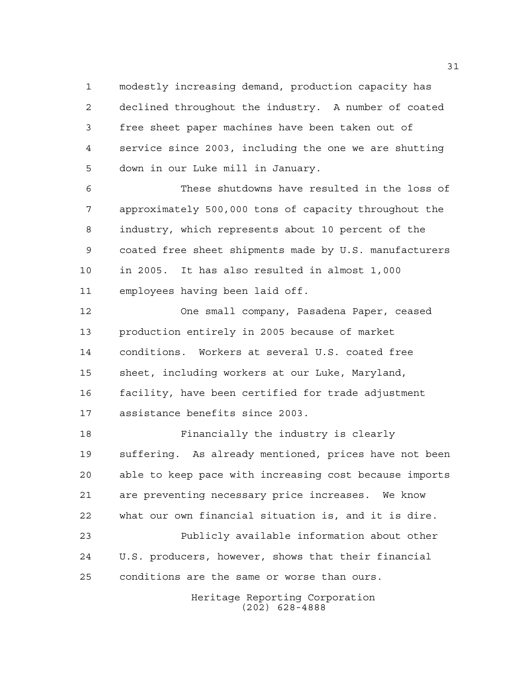modestly increasing demand, production capacity has declined throughout the industry. A number of coated free sheet paper machines have been taken out of service since 2003, including the one we are shutting down in our Luke mill in January.

 These shutdowns have resulted in the loss of approximately 500,000 tons of capacity throughout the industry, which represents about 10 percent of the coated free sheet shipments made by U.S. manufacturers in 2005. It has also resulted in almost 1,000 employees having been laid off.

 One small company, Pasadena Paper, ceased production entirely in 2005 because of market conditions. Workers at several U.S. coated free sheet, including workers at our Luke, Maryland, facility, have been certified for trade adjustment assistance benefits since 2003.

 Financially the industry is clearly suffering. As already mentioned, prices have not been able to keep pace with increasing cost because imports are preventing necessary price increases. We know what our own financial situation is, and it is dire. Publicly available information about other

 U.S. producers, however, shows that their financial conditions are the same or worse than ours.

> Heritage Reporting Corporation (202) 628-4888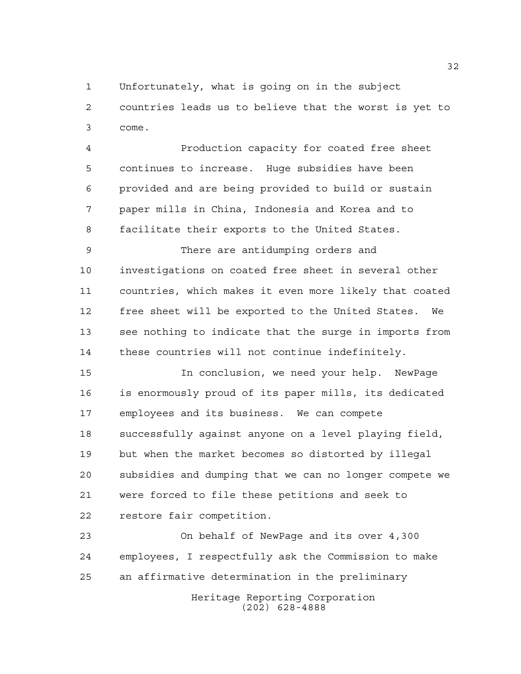Unfortunately, what is going on in the subject

 countries leads us to believe that the worst is yet to come.

 Production capacity for coated free sheet continues to increase. Huge subsidies have been provided and are being provided to build or sustain paper mills in China, Indonesia and Korea and to facilitate their exports to the United States.

 There are antidumping orders and investigations on coated free sheet in several other countries, which makes it even more likely that coated free sheet will be exported to the United States. We see nothing to indicate that the surge in imports from these countries will not continue indefinitely.

 In conclusion, we need your help. NewPage is enormously proud of its paper mills, its dedicated employees and its business. We can compete successfully against anyone on a level playing field, but when the market becomes so distorted by illegal subsidies and dumping that we can no longer compete we were forced to file these petitions and seek to restore fair competition.

 On behalf of NewPage and its over 4,300 employees, I respectfully ask the Commission to make an affirmative determination in the preliminary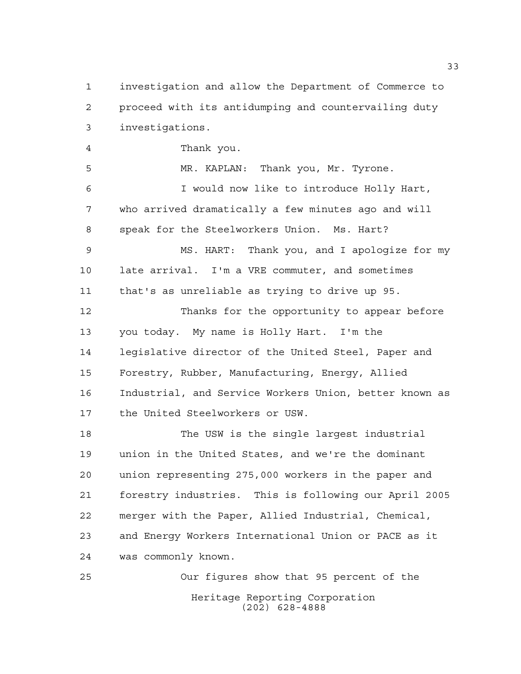investigation and allow the Department of Commerce to proceed with its antidumping and countervailing duty investigations. Thank you. MR. KAPLAN: Thank you, Mr. Tyrone. I would now like to introduce Holly Hart, who arrived dramatically a few minutes ago and will speak for the Steelworkers Union. Ms. Hart? MS. HART: Thank you, and I apologize for my late arrival. I'm a VRE commuter, and sometimes that's as unreliable as trying to drive up 95. Thanks for the opportunity to appear before you today. My name is Holly Hart. I'm the legislative director of the United Steel, Paper and Forestry, Rubber, Manufacturing, Energy, Allied Industrial, and Service Workers Union, better known as the United Steelworkers or USW. The USW is the single largest industrial union in the United States, and we're the dominant union representing 275,000 workers in the paper and forestry industries. This is following our April 2005 merger with the Paper, Allied Industrial, Chemical, and Energy Workers International Union or PACE as it was commonly known. Our figures show that 95 percent of the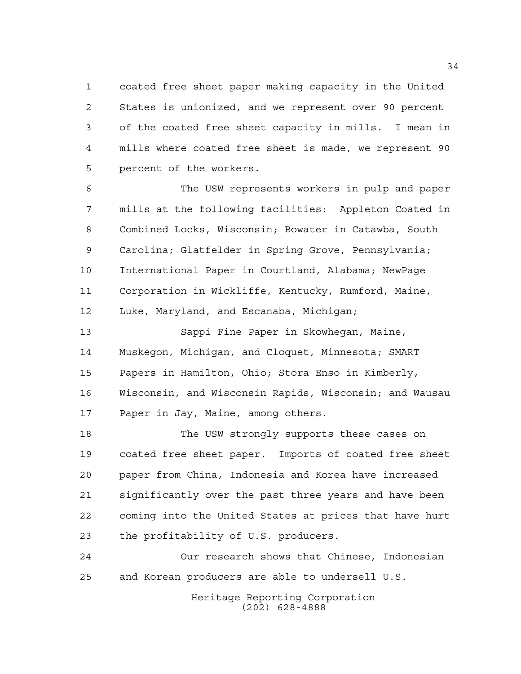coated free sheet paper making capacity in the United States is unionized, and we represent over 90 percent of the coated free sheet capacity in mills. I mean in mills where coated free sheet is made, we represent 90 percent of the workers.

 The USW represents workers in pulp and paper mills at the following facilities: Appleton Coated in Combined Locks, Wisconsin; Bowater in Catawba, South Carolina; Glatfelder in Spring Grove, Pennsylvania; International Paper in Courtland, Alabama; NewPage Corporation in Wickliffe, Kentucky, Rumford, Maine, Luke, Maryland, and Escanaba, Michigan;

 Sappi Fine Paper in Skowhegan, Maine, Muskegon, Michigan, and Cloquet, Minnesota; SMART Papers in Hamilton, Ohio; Stora Enso in Kimberly, Wisconsin, and Wisconsin Rapids, Wisconsin; and Wausau Paper in Jay, Maine, among others.

 The USW strongly supports these cases on coated free sheet paper. Imports of coated free sheet paper from China, Indonesia and Korea have increased significantly over the past three years and have been coming into the United States at prices that have hurt the profitability of U.S. producers.

 Our research shows that Chinese, Indonesian and Korean producers are able to undersell U.S.

> Heritage Reporting Corporation (202) 628-4888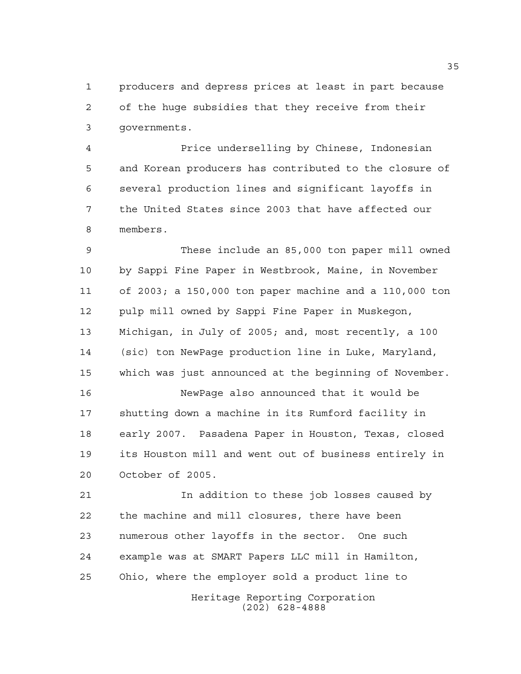producers and depress prices at least in part because of the huge subsidies that they receive from their governments.

 Price underselling by Chinese, Indonesian and Korean producers has contributed to the closure of several production lines and significant layoffs in the United States since 2003 that have affected our members.

 These include an 85,000 ton paper mill owned by Sappi Fine Paper in Westbrook, Maine, in November of 2003; a 150,000 ton paper machine and a 110,000 ton pulp mill owned by Sappi Fine Paper in Muskegon, Michigan, in July of 2005; and, most recently, a 100 (sic) ton NewPage production line in Luke, Maryland, which was just announced at the beginning of November.

 NewPage also announced that it would be shutting down a machine in its Rumford facility in early 2007. Pasadena Paper in Houston, Texas, closed its Houston mill and went out of business entirely in October of 2005.

Heritage Reporting Corporation In addition to these job losses caused by the machine and mill closures, there have been numerous other layoffs in the sector. One such example was at SMART Papers LLC mill in Hamilton, Ohio, where the employer sold a product line to

(202) 628-4888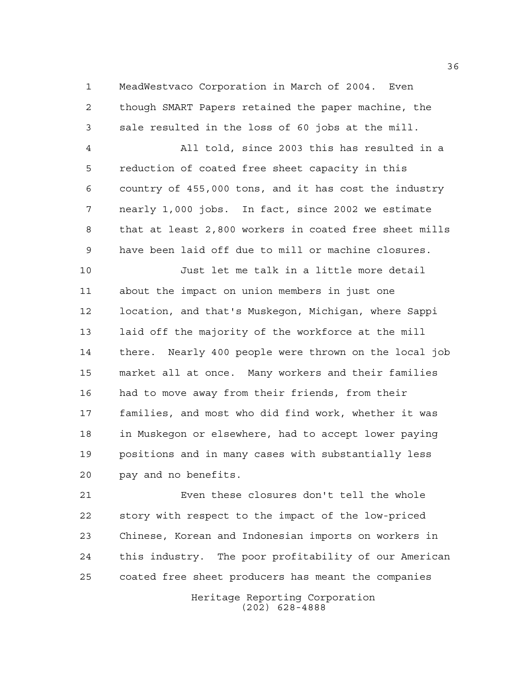MeadWestvaco Corporation in March of 2004. Even though SMART Papers retained the paper machine, the sale resulted in the loss of 60 jobs at the mill.

 All told, since 2003 this has resulted in a reduction of coated free sheet capacity in this country of 455,000 tons, and it has cost the industry nearly 1,000 jobs. In fact, since 2002 we estimate that at least 2,800 workers in coated free sheet mills have been laid off due to mill or machine closures.

 Just let me talk in a little more detail about the impact on union members in just one location, and that's Muskegon, Michigan, where Sappi laid off the majority of the workforce at the mill there. Nearly 400 people were thrown on the local job market all at once. Many workers and their families had to move away from their friends, from their families, and most who did find work, whether it was in Muskegon or elsewhere, had to accept lower paying positions and in many cases with substantially less pay and no benefits.

 Even these closures don't tell the whole story with respect to the impact of the low-priced Chinese, Korean and Indonesian imports on workers in this industry. The poor profitability of our American coated free sheet producers has meant the companies

> Heritage Reporting Corporation (202) 628-4888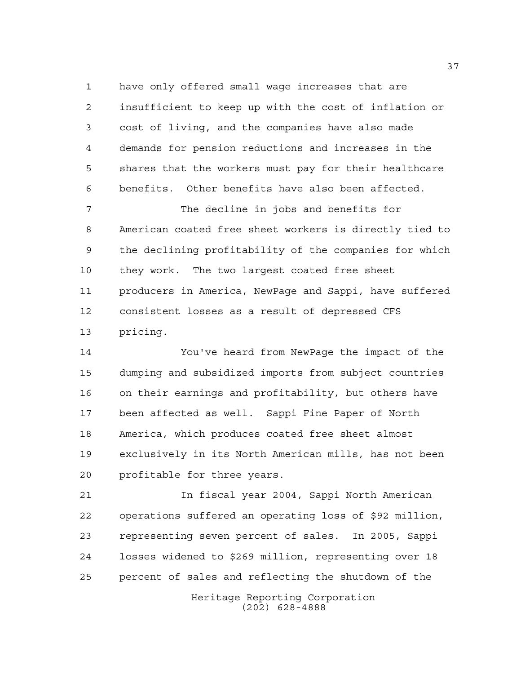have only offered small wage increases that are insufficient to keep up with the cost of inflation or cost of living, and the companies have also made demands for pension reductions and increases in the shares that the workers must pay for their healthcare benefits. Other benefits have also been affected.

 The decline in jobs and benefits for American coated free sheet workers is directly tied to the declining profitability of the companies for which they work. The two largest coated free sheet producers in America, NewPage and Sappi, have suffered consistent losses as a result of depressed CFS pricing.

 You've heard from NewPage the impact of the dumping and subsidized imports from subject countries on their earnings and profitability, but others have been affected as well. Sappi Fine Paper of North America, which produces coated free sheet almost exclusively in its North American mills, has not been profitable for three years.

 In fiscal year 2004, Sappi North American operations suffered an operating loss of \$92 million, representing seven percent of sales. In 2005, Sappi losses widened to \$269 million, representing over 18 percent of sales and reflecting the shutdown of the

> Heritage Reporting Corporation (202) 628-4888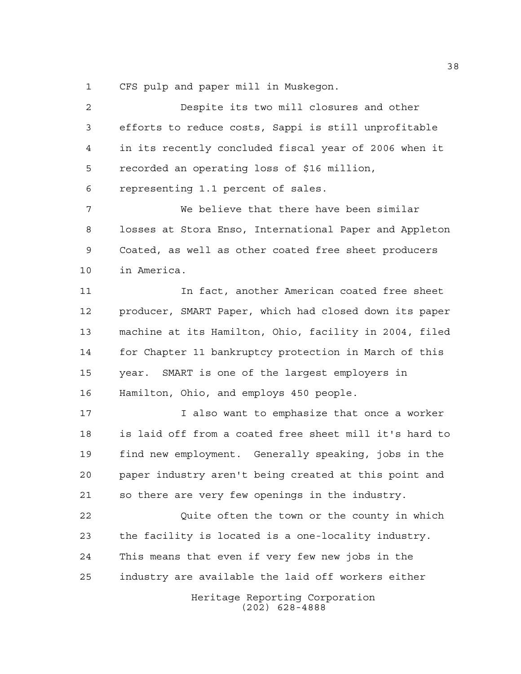CFS pulp and paper mill in Muskegon.

Heritage Reporting Corporation (202) 628-4888 Despite its two mill closures and other efforts to reduce costs, Sappi is still unprofitable in its recently concluded fiscal year of 2006 when it recorded an operating loss of \$16 million, representing 1.1 percent of sales. We believe that there have been similar losses at Stora Enso, International Paper and Appleton Coated, as well as other coated free sheet producers in America. In fact, another American coated free sheet producer, SMART Paper, which had closed down its paper machine at its Hamilton, Ohio, facility in 2004, filed for Chapter 11 bankruptcy protection in March of this year. SMART is one of the largest employers in Hamilton, Ohio, and employs 450 people. I also want to emphasize that once a worker is laid off from a coated free sheet mill it's hard to find new employment. Generally speaking, jobs in the paper industry aren't being created at this point and so there are very few openings in the industry. Quite often the town or the county in which the facility is located is a one-locality industry. This means that even if very few new jobs in the industry are available the laid off workers either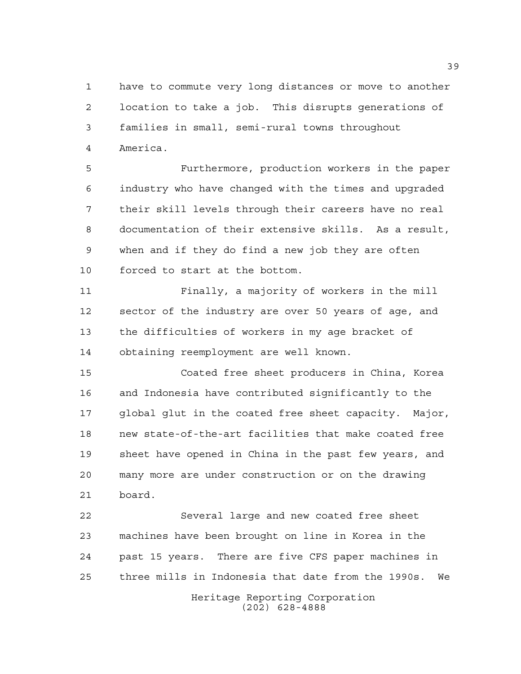have to commute very long distances or move to another location to take a job. This disrupts generations of families in small, semi-rural towns throughout America.

 Furthermore, production workers in the paper industry who have changed with the times and upgraded their skill levels through their careers have no real documentation of their extensive skills. As a result, when and if they do find a new job they are often forced to start at the bottom.

 Finally, a majority of workers in the mill sector of the industry are over 50 years of age, and the difficulties of workers in my age bracket of obtaining reemployment are well known.

 Coated free sheet producers in China, Korea and Indonesia have contributed significantly to the global glut in the coated free sheet capacity. Major, new state-of-the-art facilities that make coated free sheet have opened in China in the past few years, and many more are under construction or on the drawing board.

 Several large and new coated free sheet machines have been brought on line in Korea in the past 15 years. There are five CFS paper machines in three mills in Indonesia that date from the 1990s. We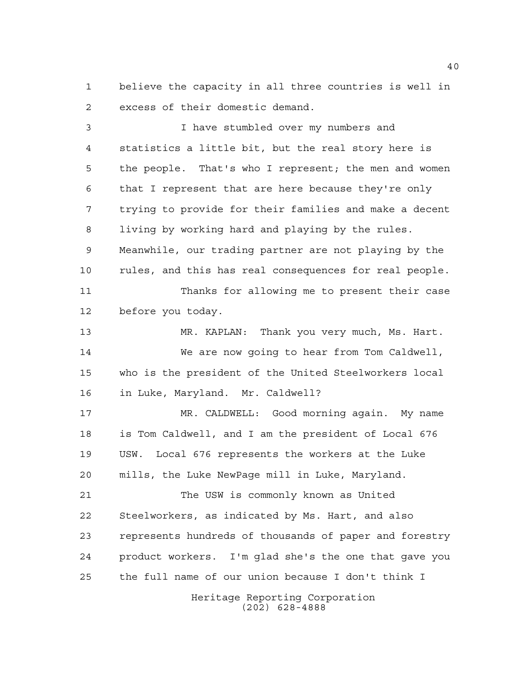believe the capacity in all three countries is well in excess of their domestic demand.

 I have stumbled over my numbers and statistics a little bit, but the real story here is the people. That's who I represent; the men and women that I represent that are here because they're only trying to provide for their families and make a decent living by working hard and playing by the rules. Meanwhile, our trading partner are not playing by the rules, and this has real consequences for real people. Thanks for allowing me to present their case before you today. MR. KAPLAN: Thank you very much, Ms. Hart. We are now going to hear from Tom Caldwell, who is the president of the United Steelworkers local in Luke, Maryland. Mr. Caldwell? MR. CALDWELL: Good morning again. My name is Tom Caldwell, and I am the president of Local 676 USW. Local 676 represents the workers at the Luke mills, the Luke NewPage mill in Luke, Maryland. The USW is commonly known as United Steelworkers, as indicated by Ms. Hart, and also represents hundreds of thousands of paper and forestry product workers. I'm glad she's the one that gave you the full name of our union because I don't think I

> Heritage Reporting Corporation (202) 628-4888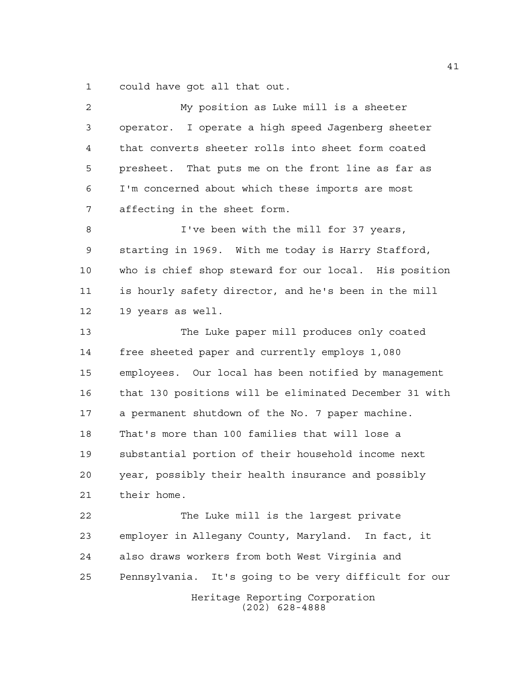could have got all that out.

| $\overline{a}$ | My position as Luke mill is a sheeter                  |
|----------------|--------------------------------------------------------|
| 3              | operator. I operate a high speed Jagenberg sheeter     |
| 4              | that converts sheeter rolls into sheet form coated     |
| 5              | presheet. That puts me on the front line as far as     |
| 6              | I'm concerned about which these imports are most       |
| 7              | affecting in the sheet form.                           |
| 8              | I've been with the mill for 37 years,                  |
| 9              | starting in 1969. With me today is Harry Stafford,     |
| 10             | who is chief shop steward for our local. His position  |
| 11             | is hourly safety director, and he's been in the mill   |
| 12             | 19 years as well.                                      |
| 13             | The Luke paper mill produces only coated               |
| 14             | free sheeted paper and currently employs 1,080         |
| 15             | employees. Our local has been notified by management   |
| 16             | that 130 positions will be eliminated December 31 with |
| 17             | a permanent shutdown of the No. 7 paper machine.       |
| 18             | That's more than 100 families that will lose a         |
| 19             | substantial portion of their household income next     |
| 20             | year, possibly their health insurance and possibly     |
| 21             | their home.                                            |
| 22             | The Luke mill is the largest private                   |
| 23             | employer in Allegany County, Maryland. In fact, it     |
| 24             | also draws workers from both West Virginia and         |
| 25             | Pennsylvania. It's going to be very difficult for our  |
|                | Heritage Reporting Corporation<br>$(202)$ 628-4888     |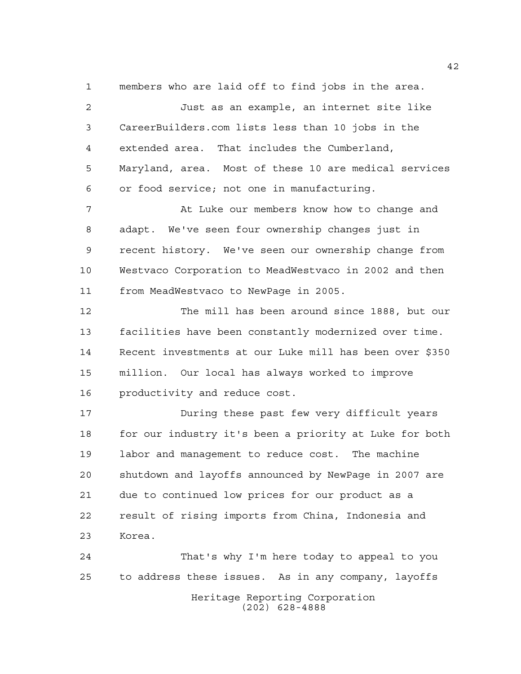members who are laid off to find jobs in the area.

 Just as an example, an internet site like CareerBuilders.com lists less than 10 jobs in the extended area. That includes the Cumberland, Maryland, area. Most of these 10 are medical services or food service; not one in manufacturing. 7 At Luke our members know how to change and adapt. We've seen four ownership changes just in recent history. We've seen our ownership change from Westvaco Corporation to MeadWestvaco in 2002 and then from MeadWestvaco to NewPage in 2005. The mill has been around since 1888, but our facilities have been constantly modernized over time. Recent investments at our Luke mill has been over \$350 million. Our local has always worked to improve productivity and reduce cost. During these past few very difficult years 18 for our industry it's been a priority at Luke for both labor and management to reduce cost. The machine shutdown and layoffs announced by NewPage in 2007 are

 due to continued low prices for our product as a result of rising imports from China, Indonesia and Korea.

Heritage Reporting Corporation (202) 628-4888 That's why I'm here today to appeal to you to address these issues. As in any company, layoffs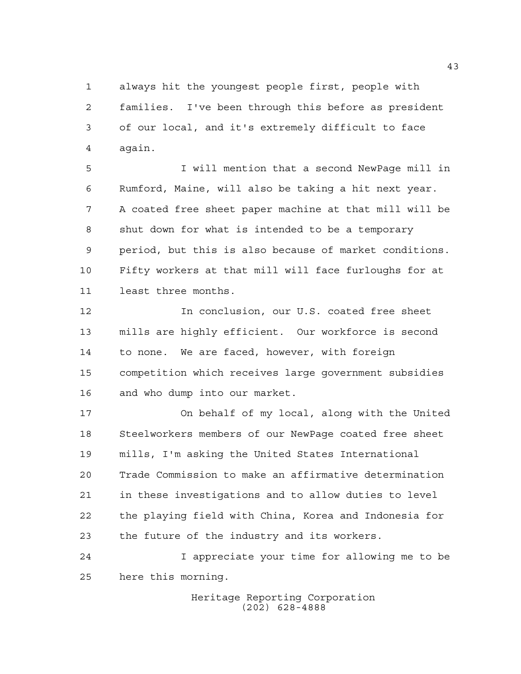always hit the youngest people first, people with families. I've been through this before as president of our local, and it's extremely difficult to face again.

 I will mention that a second NewPage mill in Rumford, Maine, will also be taking a hit next year. A coated free sheet paper machine at that mill will be shut down for what is intended to be a temporary period, but this is also because of market conditions. Fifty workers at that mill will face furloughs for at least three months.

 In conclusion, our U.S. coated free sheet mills are highly efficient. Our workforce is second to none. We are faced, however, with foreign competition which receives large government subsidies and who dump into our market.

 On behalf of my local, along with the United Steelworkers members of our NewPage coated free sheet mills, I'm asking the United States International Trade Commission to make an affirmative determination in these investigations and to allow duties to level the playing field with China, Korea and Indonesia for the future of the industry and its workers.

 I appreciate your time for allowing me to be here this morning.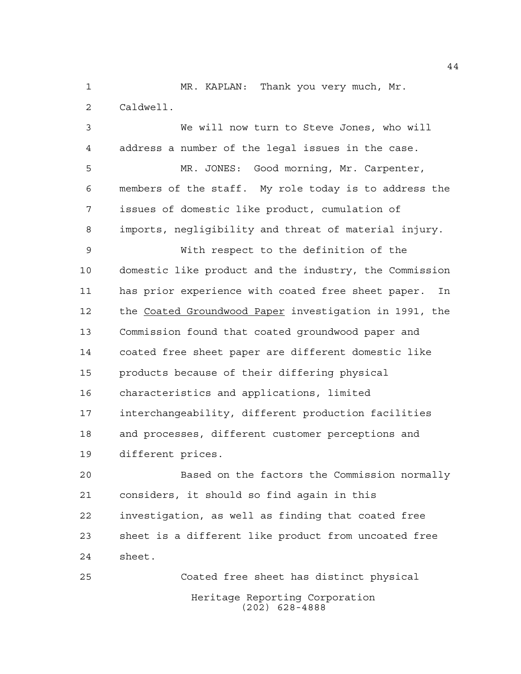MR. KAPLAN: Thank you very much, Mr. Caldwell.

 We will now turn to Steve Jones, who will address a number of the legal issues in the case.

 MR. JONES: Good morning, Mr. Carpenter, members of the staff. My role today is to address the issues of domestic like product, cumulation of imports, negligibility and threat of material injury.

 With respect to the definition of the domestic like product and the industry, the Commission has prior experience with coated free sheet paper. In the Coated Groundwood Paper investigation in 1991, the Commission found that coated groundwood paper and coated free sheet paper are different domestic like products because of their differing physical characteristics and applications, limited interchangeability, different production facilities and processes, different customer perceptions and different prices.

 Based on the factors the Commission normally considers, it should so find again in this investigation, as well as finding that coated free sheet is a different like product from uncoated free sheet.

Heritage Reporting Corporation (202) 628-4888 Coated free sheet has distinct physical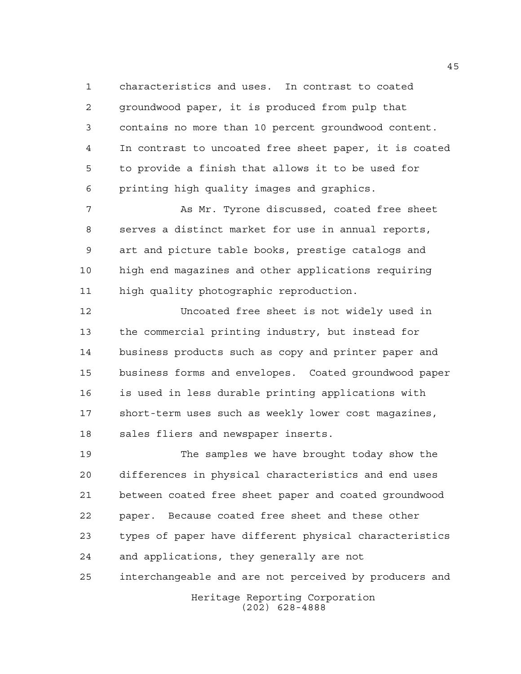characteristics and uses. In contrast to coated groundwood paper, it is produced from pulp that contains no more than 10 percent groundwood content. In contrast to uncoated free sheet paper, it is coated to provide a finish that allows it to be used for printing high quality images and graphics.

 As Mr. Tyrone discussed, coated free sheet serves a distinct market for use in annual reports, art and picture table books, prestige catalogs and high end magazines and other applications requiring high quality photographic reproduction.

 Uncoated free sheet is not widely used in the commercial printing industry, but instead for business products such as copy and printer paper and business forms and envelopes. Coated groundwood paper is used in less durable printing applications with short-term uses such as weekly lower cost magazines, sales fliers and newspaper inserts.

 The samples we have brought today show the differences in physical characteristics and end uses between coated free sheet paper and coated groundwood paper. Because coated free sheet and these other types of paper have different physical characteristics and applications, they generally are not interchangeable and are not perceived by producers and

Heritage Reporting Corporation (202) 628-4888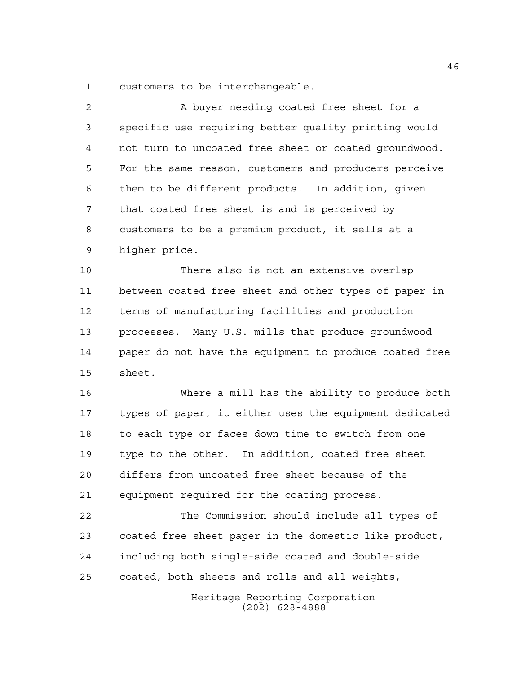customers to be interchangeable.

| 2  | A buyer needing coated free sheet for a                |
|----|--------------------------------------------------------|
| 3  | specific use requiring better quality printing would   |
| 4  | not turn to uncoated free sheet or coated groundwood.  |
| 5  | For the same reason, customers and producers perceive  |
| 6  | them to be different products. In addition, given      |
| 7  | that coated free sheet is and is perceived by          |
| 8  | customers to be a premium product, it sells at a       |
| 9  | higher price.                                          |
| 10 | There also is not an extensive overlap                 |
| 11 | between coated free sheet and other types of paper in  |
| 12 | terms of manufacturing facilities and production       |
| 13 | processes. Many U.S. mills that produce groundwood     |
| 14 | paper do not have the equipment to produce coated free |
| 15 | sheet.                                                 |
| 16 | Where a mill has the ability to produce both           |
| 17 | types of paper, it either uses the equipment dedicated |
| 18 | to each type or faces down time to switch from one     |
| 19 | type to the other. In addition, coated free sheet      |
| 20 | differs from uncoated free sheet because of the        |
| 21 | equipment required for the coating process.            |
| 22 | The Commission should include all types of             |
| 23 | coated free sheet paper in the domestic like product,  |
| 24 | including both single-side coated and double-side      |
| 25 | coated, both sheets and rolls and all weights,         |
|    | Heritage Reporting Corporation                         |

(202) 628-4888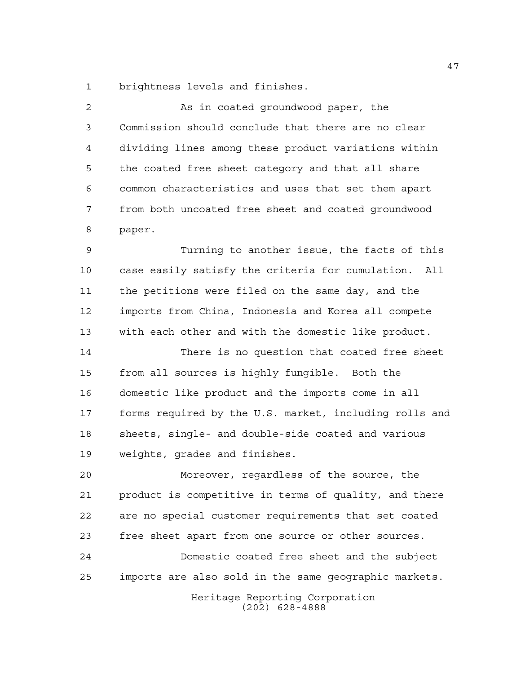brightness levels and finishes.

2 As in coated groundwood paper, the Commission should conclude that there are no clear dividing lines among these product variations within the coated free sheet category and that all share common characteristics and uses that set them apart from both uncoated free sheet and coated groundwood paper. Turning to another issue, the facts of this case easily satisfy the criteria for cumulation. All the petitions were filed on the same day, and the imports from China, Indonesia and Korea all compete with each other and with the domestic like product. There is no question that coated free sheet from all sources is highly fungible. Both the domestic like product and the imports come in all forms required by the U.S. market, including rolls and sheets, single- and double-side coated and various weights, grades and finishes. Moreover, regardless of the source, the product is competitive in terms of quality, and there are no special customer requirements that set coated free sheet apart from one source or other sources.

 Domestic coated free sheet and the subject imports are also sold in the same geographic markets.

> Heritage Reporting Corporation (202) 628-4888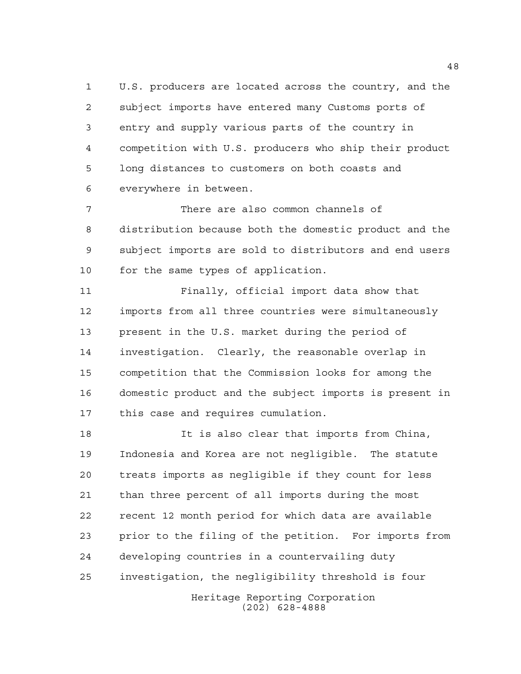U.S. producers are located across the country, and the subject imports have entered many Customs ports of entry and supply various parts of the country in competition with U.S. producers who ship their product long distances to customers on both coasts and everywhere in between.

 There are also common channels of distribution because both the domestic product and the subject imports are sold to distributors and end users for the same types of application.

 Finally, official import data show that imports from all three countries were simultaneously present in the U.S. market during the period of investigation. Clearly, the reasonable overlap in competition that the Commission looks for among the domestic product and the subject imports is present in this case and requires cumulation.

 It is also clear that imports from China, Indonesia and Korea are not negligible. The statute treats imports as negligible if they count for less than three percent of all imports during the most recent 12 month period for which data are available prior to the filing of the petition. For imports from developing countries in a countervailing duty investigation, the negligibility threshold is four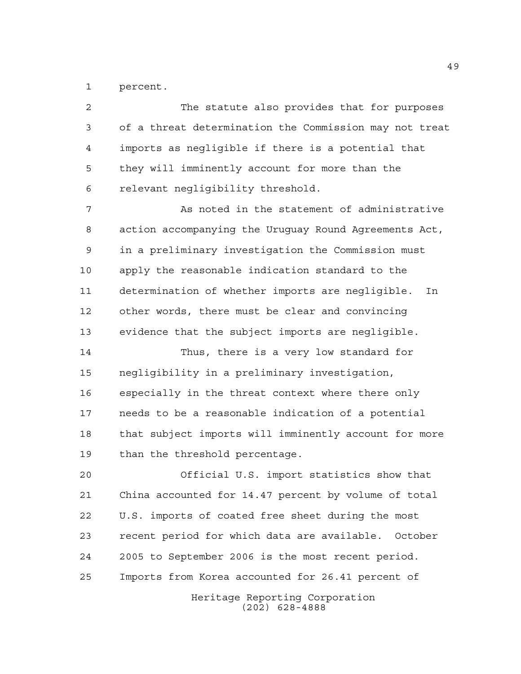percent.

Heritage Reporting Corporation (202) 628-4888 The statute also provides that for purposes of a threat determination the Commission may not treat imports as negligible if there is a potential that they will imminently account for more than the relevant negligibility threshold. As noted in the statement of administrative action accompanying the Uruguay Round Agreements Act, in a preliminary investigation the Commission must apply the reasonable indication standard to the determination of whether imports are negligible. In other words, there must be clear and convincing evidence that the subject imports are negligible. Thus, there is a very low standard for negligibility in a preliminary investigation, especially in the threat context where there only needs to be a reasonable indication of a potential that subject imports will imminently account for more than the threshold percentage. Official U.S. import statistics show that China accounted for 14.47 percent by volume of total U.S. imports of coated free sheet during the most recent period for which data are available. October 2005 to September 2006 is the most recent period. Imports from Korea accounted for 26.41 percent of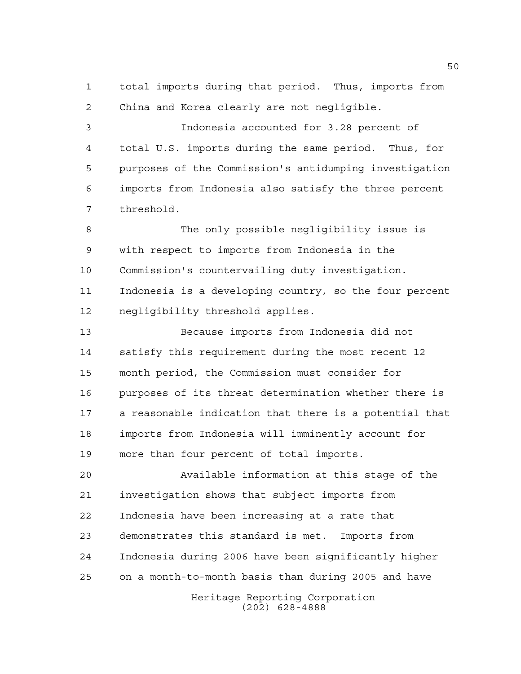total imports during that period. Thus, imports from China and Korea clearly are not negligible.

 Indonesia accounted for 3.28 percent of total U.S. imports during the same period. Thus, for purposes of the Commission's antidumping investigation imports from Indonesia also satisfy the three percent threshold.

 The only possible negligibility issue is with respect to imports from Indonesia in the Commission's countervailing duty investigation. Indonesia is a developing country, so the four percent negligibility threshold applies.

 Because imports from Indonesia did not satisfy this requirement during the most recent 12 month period, the Commission must consider for purposes of its threat determination whether there is a reasonable indication that there is a potential that imports from Indonesia will imminently account for more than four percent of total imports.

 Available information at this stage of the investigation shows that subject imports from Indonesia have been increasing at a rate that demonstrates this standard is met. Imports from Indonesia during 2006 have been significantly higher on a month-to-month basis than during 2005 and have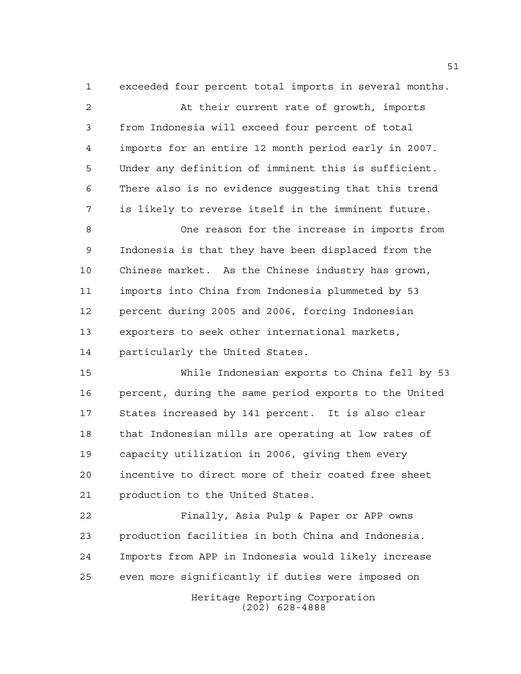exceeded four percent total imports in several months.

 At their current rate of growth, imports from Indonesia will exceed four percent of total imports for an entire 12 month period early in 2007. Under any definition of imminent this is sufficient. There also is no evidence suggesting that this trend is likely to reverse itself in the imminent future. One reason for the increase in imports from

 Indonesia is that they have been displaced from the Chinese market. As the Chinese industry has grown, imports into China from Indonesia plummeted by 53 percent during 2005 and 2006, forcing Indonesian exporters to seek other international markets, particularly the United States.

 While Indonesian exports to China fell by 53 percent, during the same period exports to the United States increased by 141 percent. It is also clear that Indonesian mills are operating at low rates of capacity utilization in 2006, giving them every incentive to direct more of their coated free sheet production to the United States.

 Finally, Asia Pulp & Paper or APP owns production facilities in both China and Indonesia. Imports from APP in Indonesia would likely increase even more significantly if duties were imposed on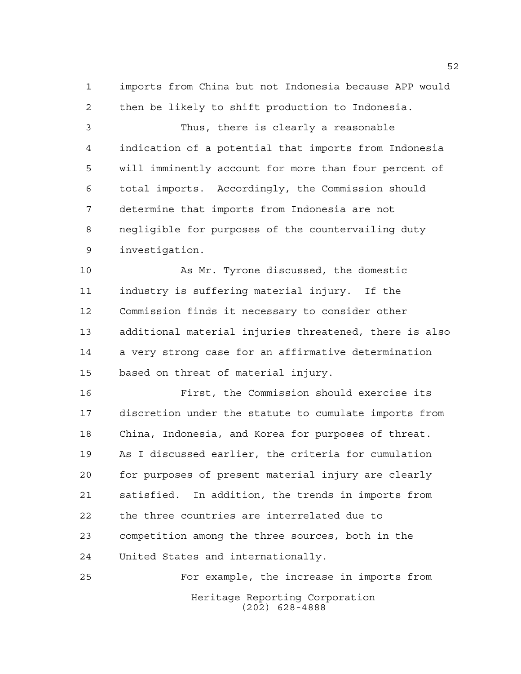imports from China but not Indonesia because APP would then be likely to shift production to Indonesia.

 Thus, there is clearly a reasonable indication of a potential that imports from Indonesia will imminently account for more than four percent of total imports. Accordingly, the Commission should determine that imports from Indonesia are not negligible for purposes of the countervailing duty investigation.

 As Mr. Tyrone discussed, the domestic industry is suffering material injury. If the Commission finds it necessary to consider other additional material injuries threatened, there is also a very strong case for an affirmative determination based on threat of material injury.

 First, the Commission should exercise its discretion under the statute to cumulate imports from China, Indonesia, and Korea for purposes of threat. As I discussed earlier, the criteria for cumulation for purposes of present material injury are clearly satisfied. In addition, the trends in imports from the three countries are interrelated due to competition among the three sources, both in the United States and internationally.

Heritage Reporting Corporation (202) 628-4888 For example, the increase in imports from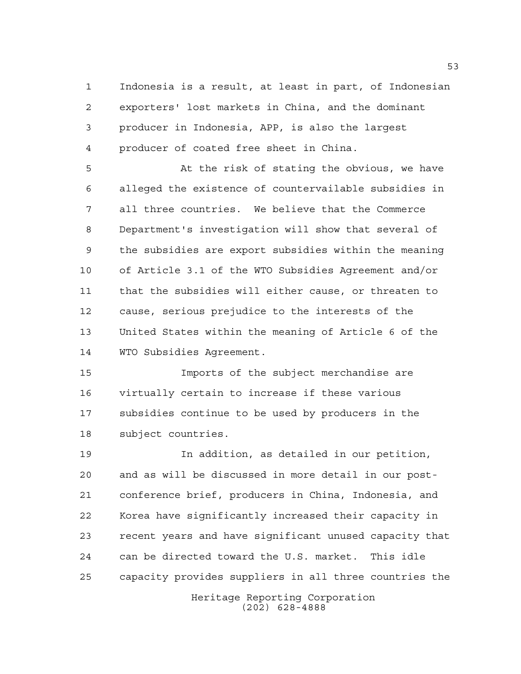Indonesia is a result, at least in part, of Indonesian exporters' lost markets in China, and the dominant producer in Indonesia, APP, is also the largest producer of coated free sheet in China.

 At the risk of stating the obvious, we have alleged the existence of countervailable subsidies in all three countries. We believe that the Commerce Department's investigation will show that several of the subsidies are export subsidies within the meaning of Article 3.1 of the WTO Subsidies Agreement and/or that the subsidies will either cause, or threaten to cause, serious prejudice to the interests of the United States within the meaning of Article 6 of the WTO Subsidies Agreement.

 Imports of the subject merchandise are virtually certain to increase if these various subsidies continue to be used by producers in the subject countries.

 In addition, as detailed in our petition, and as will be discussed in more detail in our post- conference brief, producers in China, Indonesia, and Korea have significantly increased their capacity in recent years and have significant unused capacity that can be directed toward the U.S. market. This idle capacity provides suppliers in all three countries the

Heritage Reporting Corporation (202) 628-4888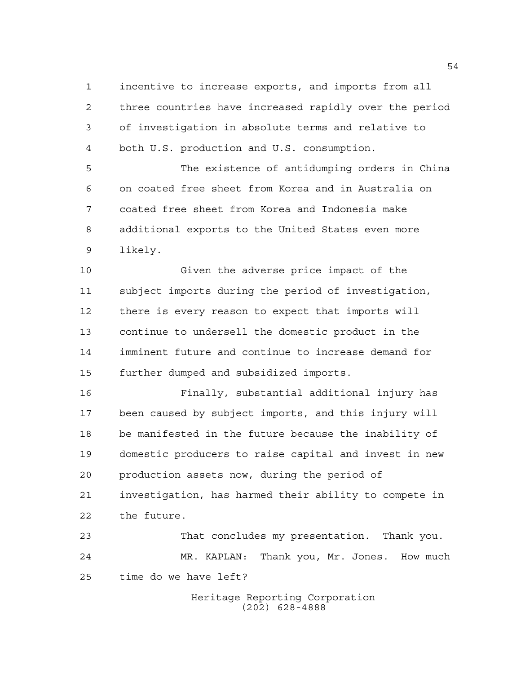incentive to increase exports, and imports from all three countries have increased rapidly over the period of investigation in absolute terms and relative to both U.S. production and U.S. consumption.

 The existence of antidumping orders in China on coated free sheet from Korea and in Australia on coated free sheet from Korea and Indonesia make additional exports to the United States even more likely.

 Given the adverse price impact of the subject imports during the period of investigation, there is every reason to expect that imports will continue to undersell the domestic product in the imminent future and continue to increase demand for further dumped and subsidized imports.

 Finally, substantial additional injury has been caused by subject imports, and this injury will be manifested in the future because the inability of domestic producers to raise capital and invest in new production assets now, during the period of investigation, has harmed their ability to compete in the future.

 That concludes my presentation. Thank you. MR. KAPLAN: Thank you, Mr. Jones. How much time do we have left?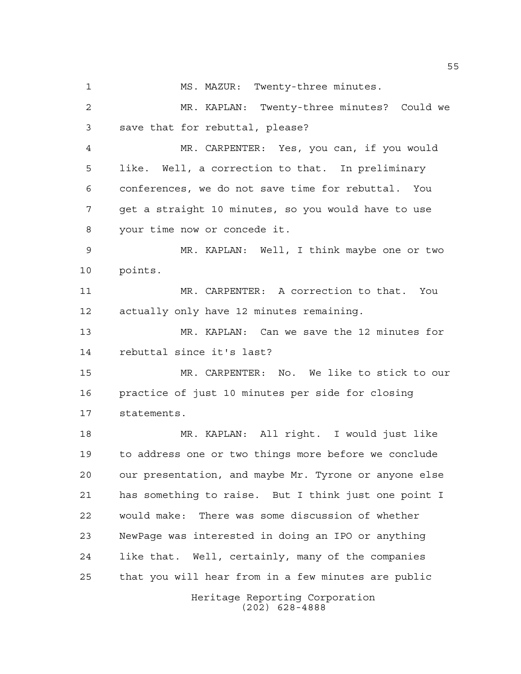MR. KAPLAN: Twenty-three minutes? Could we save that for rebuttal, please? MR. CARPENTER: Yes, you can, if you would like. Well, a correction to that. In preliminary conferences, we do not save time for rebuttal. You get a straight 10 minutes, so you would have to use your time now or concede it. MR. KAPLAN: Well, I think maybe one or two points. MR. CARPENTER: A correction to that. You actually only have 12 minutes remaining. MR. KAPLAN: Can we save the 12 minutes for rebuttal since it's last? MR. CARPENTER: No. We like to stick to our

MS. MAZUR: Twenty-three minutes.

 practice of just 10 minutes per side for closing statements.

 MR. KAPLAN: All right. I would just like to address one or two things more before we conclude our presentation, and maybe Mr. Tyrone or anyone else has something to raise. But I think just one point I would make: There was some discussion of whether NewPage was interested in doing an IPO or anything like that. Well, certainly, many of the companies that you will hear from in a few minutes are public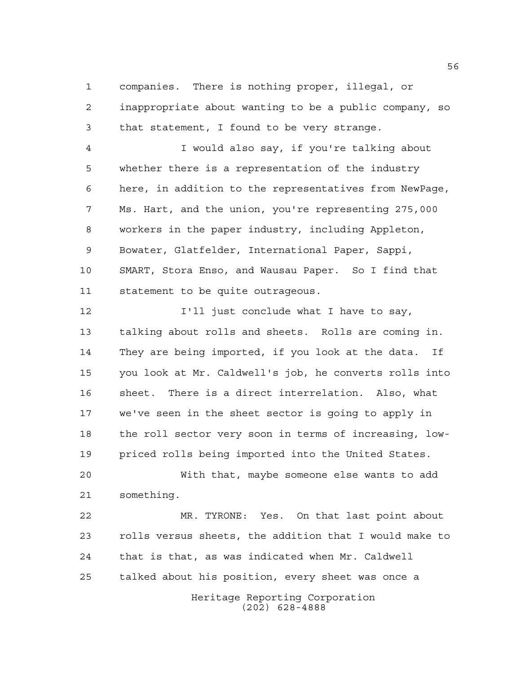companies. There is nothing proper, illegal, or inappropriate about wanting to be a public company, so that statement, I found to be very strange.

 I would also say, if you're talking about whether there is a representation of the industry here, in addition to the representatives from NewPage, Ms. Hart, and the union, you're representing 275,000 workers in the paper industry, including Appleton, Bowater, Glatfelder, International Paper, Sappi, SMART, Stora Enso, and Wausau Paper. So I find that statement to be quite outrageous.

**I'll** just conclude what I have to say, talking about rolls and sheets. Rolls are coming in. They are being imported, if you look at the data. If you look at Mr. Caldwell's job, he converts rolls into sheet. There is a direct interrelation. Also, what we've seen in the sheet sector is going to apply in the roll sector very soon in terms of increasing, low-priced rolls being imported into the United States.

 With that, maybe someone else wants to add something.

Heritage Reporting Corporation MR. TYRONE: Yes. On that last point about rolls versus sheets, the addition that I would make to that is that, as was indicated when Mr. Caldwell talked about his position, every sheet was once a

(202) 628-4888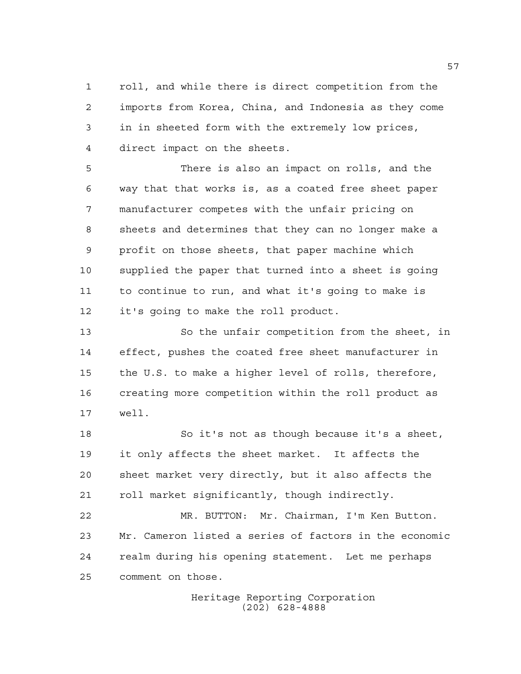roll, and while there is direct competition from the imports from Korea, China, and Indonesia as they come in in sheeted form with the extremely low prices, direct impact on the sheets.

 There is also an impact on rolls, and the way that that works is, as a coated free sheet paper manufacturer competes with the unfair pricing on sheets and determines that they can no longer make a profit on those sheets, that paper machine which supplied the paper that turned into a sheet is going to continue to run, and what it's going to make is it's going to make the roll product.

 So the unfair competition from the sheet, in effect, pushes the coated free sheet manufacturer in the U.S. to make a higher level of rolls, therefore, creating more competition within the roll product as well.

 So it's not as though because it's a sheet, it only affects the sheet market. It affects the sheet market very directly, but it also affects the roll market significantly, though indirectly.

 MR. BUTTON: Mr. Chairman, I'm Ken Button. Mr. Cameron listed a series of factors in the economic realm during his opening statement. Let me perhaps comment on those.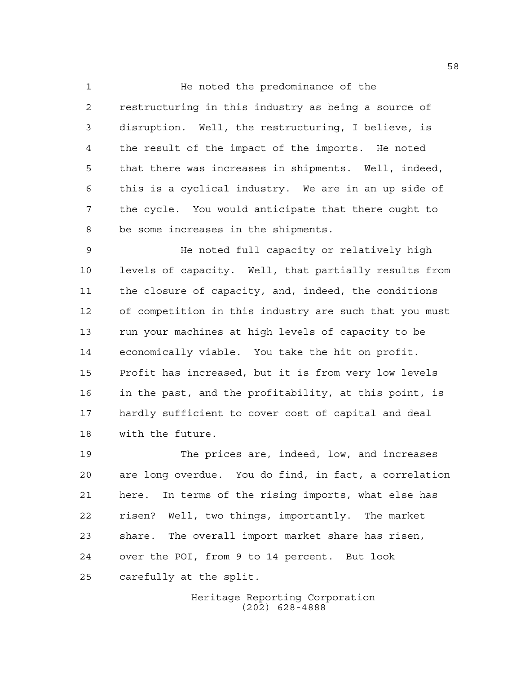1 He noted the predominance of the restructuring in this industry as being a source of disruption. Well, the restructuring, I believe, is the result of the impact of the imports. He noted that there was increases in shipments. Well, indeed, this is a cyclical industry. We are in an up side of the cycle. You would anticipate that there ought to be some increases in the shipments.

 He noted full capacity or relatively high levels of capacity. Well, that partially results from the closure of capacity, and, indeed, the conditions of competition in this industry are such that you must run your machines at high levels of capacity to be economically viable. You take the hit on profit. Profit has increased, but it is from very low levels in the past, and the profitability, at this point, is hardly sufficient to cover cost of capital and deal with the future.

 The prices are, indeed, low, and increases are long overdue. You do find, in fact, a correlation here. In terms of the rising imports, what else has risen? Well, two things, importantly. The market share. The overall import market share has risen, over the POI, from 9 to 14 percent. But look carefully at the split.

> Heritage Reporting Corporation (202) 628-4888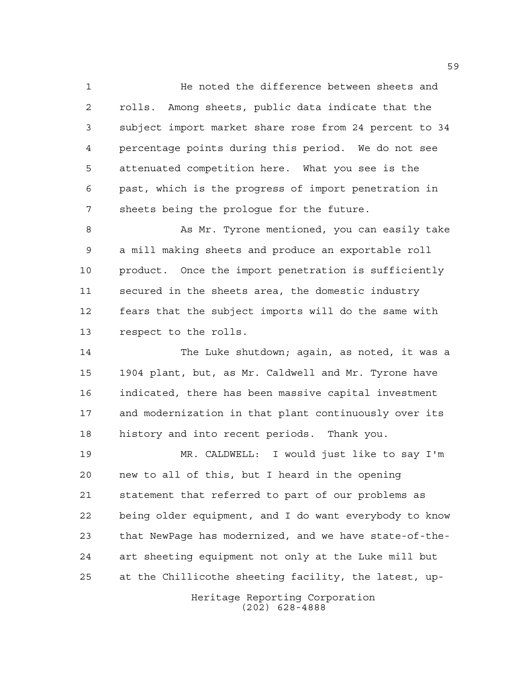He noted the difference between sheets and rolls. Among sheets, public data indicate that the subject import market share rose from 24 percent to 34 percentage points during this period. We do not see attenuated competition here. What you see is the past, which is the progress of import penetration in sheets being the prologue for the future.

8 As Mr. Tyrone mentioned, you can easily take a mill making sheets and produce an exportable roll product. Once the import penetration is sufficiently secured in the sheets area, the domestic industry fears that the subject imports will do the same with respect to the rolls.

 The Luke shutdown; again, as noted, it was a 1904 plant, but, as Mr. Caldwell and Mr. Tyrone have indicated, there has been massive capital investment and modernization in that plant continuously over its history and into recent periods. Thank you.

 MR. CALDWELL: I would just like to say I'm new to all of this, but I heard in the opening statement that referred to part of our problems as being older equipment, and I do want everybody to know that NewPage has modernized, and we have state-of-the- art sheeting equipment not only at the Luke mill but at the Chillicothe sheeting facility, the latest, up-

> Heritage Reporting Corporation (202) 628-4888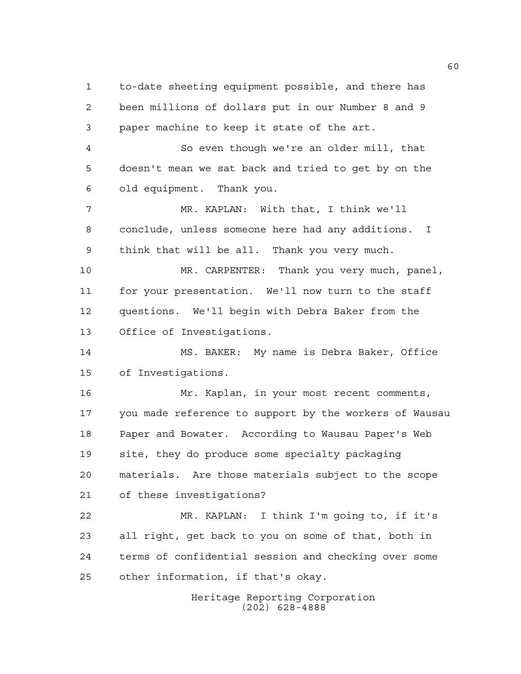to-date sheeting equipment possible, and there has been millions of dollars put in our Number 8 and 9 paper machine to keep it state of the art. So even though we're an older mill, that doesn't mean we sat back and tried to get by on the old equipment. Thank you. MR. KAPLAN: With that, I think we'll conclude, unless someone here had any additions. I think that will be all. Thank you very much. MR. CARPENTER: Thank you very much, panel, for your presentation. We'll now turn to the staff questions. We'll begin with Debra Baker from the Office of Investigations. MS. BAKER: My name is Debra Baker, Office of Investigations. Mr. Kaplan, in your most recent comments, you made reference to support by the workers of Wausau Paper and Bowater. According to Wausau Paper's Web site, they do produce some specialty packaging materials. Are those materials subject to the scope of these investigations? MR. KAPLAN: I think I'm going to, if it's all right, get back to you on some of that, both in terms of confidential session and checking over some other information, if that's okay.

Heritage Reporting Corporation (202) 628-4888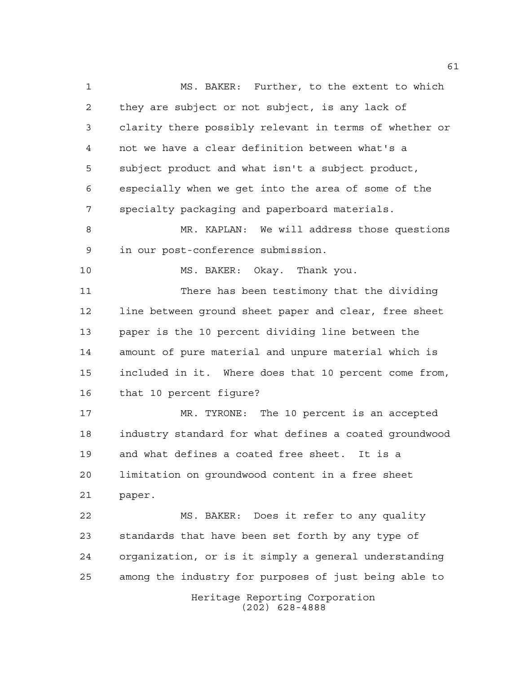Heritage Reporting Corporation MS. BAKER: Further, to the extent to which they are subject or not subject, is any lack of clarity there possibly relevant in terms of whether or not we have a clear definition between what's a subject product and what isn't a subject product, especially when we get into the area of some of the specialty packaging and paperboard materials. MR. KAPLAN: We will address those questions in our post-conference submission. MS. BAKER: Okay. Thank you. There has been testimony that the dividing line between ground sheet paper and clear, free sheet paper is the 10 percent dividing line between the amount of pure material and unpure material which is included in it. Where does that 10 percent come from, that 10 percent figure? MR. TYRONE: The 10 percent is an accepted industry standard for what defines a coated groundwood and what defines a coated free sheet. It is a limitation on groundwood content in a free sheet paper. MS. BAKER: Does it refer to any quality standards that have been set forth by any type of organization, or is it simply a general understanding among the industry for purposes of just being able to

(202) 628-4888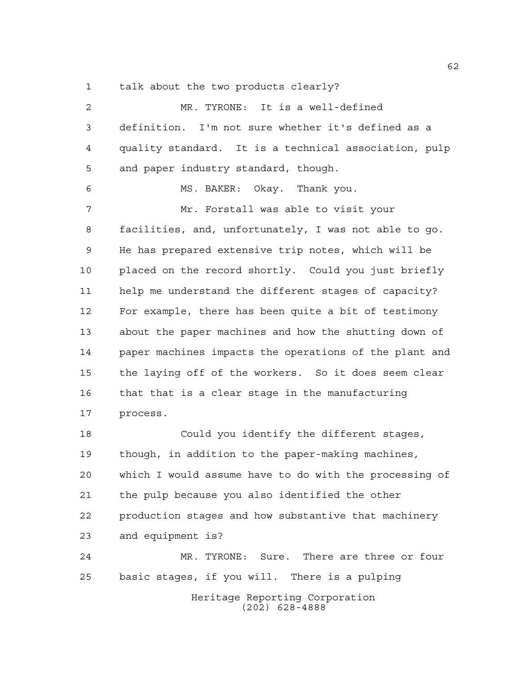talk about the two products clearly?

| 2  | MR. TYRONE: It is a well-defined                       |
|----|--------------------------------------------------------|
| 3  | definition. I'm not sure whether it's defined as a     |
| 4  | quality standard. It is a technical association, pulp  |
| 5  | and paper industry standard, though.                   |
| 6  | MS. BAKER: Okay. Thank you.                            |
| 7  | Mr. Forstall was able to visit your                    |
| 8  | facilities, and, unfortunately, I was not able to go.  |
| 9  | He has prepared extensive trip notes, which will be    |
| 10 | placed on the record shortly. Could you just briefly   |
| 11 | help me understand the different stages of capacity?   |
| 12 | For example, there has been quite a bit of testimony   |
| 13 | about the paper machines and how the shutting down of  |
| 14 | paper machines impacts the operations of the plant and |
| 15 | the laying off of the workers. So it does seem clear   |
| 16 | that that is a clear stage in the manufacturing        |
| 17 | process.                                               |
| 18 | Could you identify the different stages,               |
| 19 | though, in addition to the paper-making machines,      |
| 20 | which I would assume have to do with the processing of |
| 21 | the pulp because you also identified the other         |
| 22 | production stages and how substantive that machinery   |
| 23 | and equipment is?                                      |
| 24 | MR. TYRONE: Sure. There are three or four              |
| 25 | basic stages, if you will. There is a pulping          |
|    | Heritage Reporting Corporation<br>$(202)$ 628-4888     |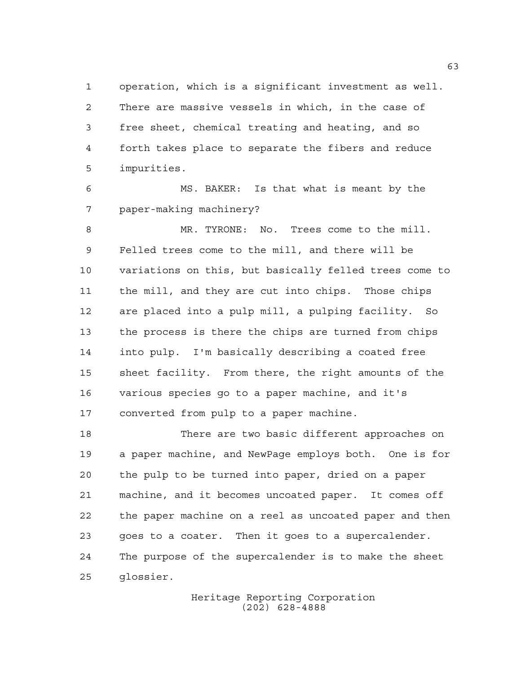operation, which is a significant investment as well. There are massive vessels in which, in the case of free sheet, chemical treating and heating, and so forth takes place to separate the fibers and reduce impurities.

 MS. BAKER: Is that what is meant by the paper-making machinery?

 MR. TYRONE: No. Trees come to the mill. Felled trees come to the mill, and there will be variations on this, but basically felled trees come to the mill, and they are cut into chips. Those chips are placed into a pulp mill, a pulping facility. So the process is there the chips are turned from chips into pulp. I'm basically describing a coated free sheet facility. From there, the right amounts of the various species go to a paper machine, and it's converted from pulp to a paper machine.

 There are two basic different approaches on a paper machine, and NewPage employs both. One is for the pulp to be turned into paper, dried on a paper machine, and it becomes uncoated paper. It comes off the paper machine on a reel as uncoated paper and then goes to a coater. Then it goes to a supercalender. The purpose of the supercalender is to make the sheet glossier.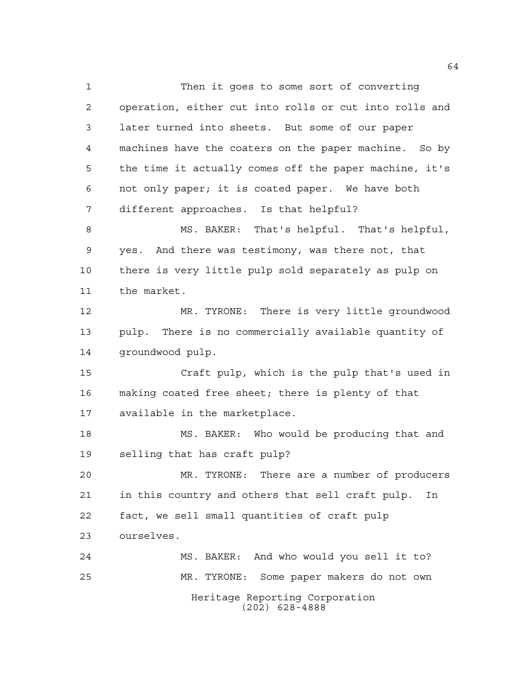Heritage Reporting Corporation (202) 628-4888 Then it goes to some sort of converting operation, either cut into rolls or cut into rolls and later turned into sheets. But some of our paper machines have the coaters on the paper machine. So by the time it actually comes off the paper machine, it's not only paper; it is coated paper. We have both different approaches. Is that helpful? MS. BAKER: That's helpful. That's helpful, yes. And there was testimony, was there not, that there is very little pulp sold separately as pulp on the market. MR. TYRONE: There is very little groundwood pulp. There is no commercially available quantity of groundwood pulp. Craft pulp, which is the pulp that's used in making coated free sheet; there is plenty of that available in the marketplace. MS. BAKER: Who would be producing that and selling that has craft pulp? MR. TYRONE: There are a number of producers in this country and others that sell craft pulp. In fact, we sell small quantities of craft pulp ourselves. MS. BAKER: And who would you sell it to? MR. TYRONE: Some paper makers do not own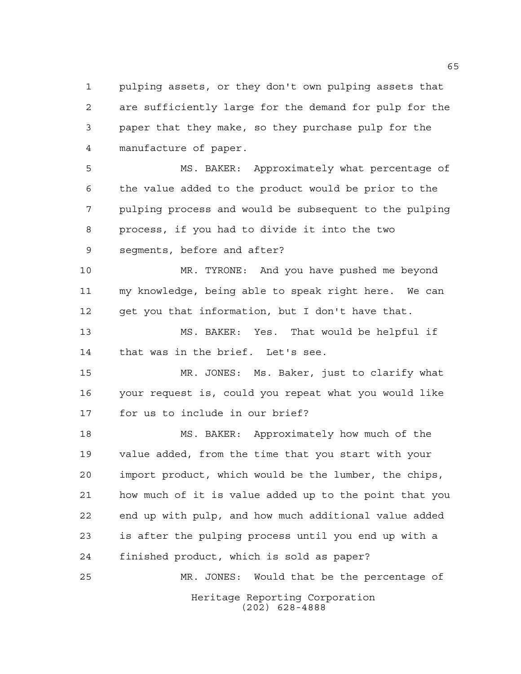pulping assets, or they don't own pulping assets that are sufficiently large for the demand for pulp for the paper that they make, so they purchase pulp for the manufacture of paper.

 MS. BAKER: Approximately what percentage of the value added to the product would be prior to the pulping process and would be subsequent to the pulping process, if you had to divide it into the two segments, before and after?

 MR. TYRONE: And you have pushed me beyond my knowledge, being able to speak right here. We can get you that information, but I don't have that.

 MS. BAKER: Yes. That would be helpful if that was in the brief. Let's see.

 MR. JONES: Ms. Baker, just to clarify what your request is, could you repeat what you would like for us to include in our brief?

 MS. BAKER: Approximately how much of the value added, from the time that you start with your import product, which would be the lumber, the chips, how much of it is value added up to the point that you end up with pulp, and how much additional value added is after the pulping process until you end up with a finished product, which is sold as paper?

Heritage Reporting Corporation (202) 628-4888 MR. JONES: Would that be the percentage of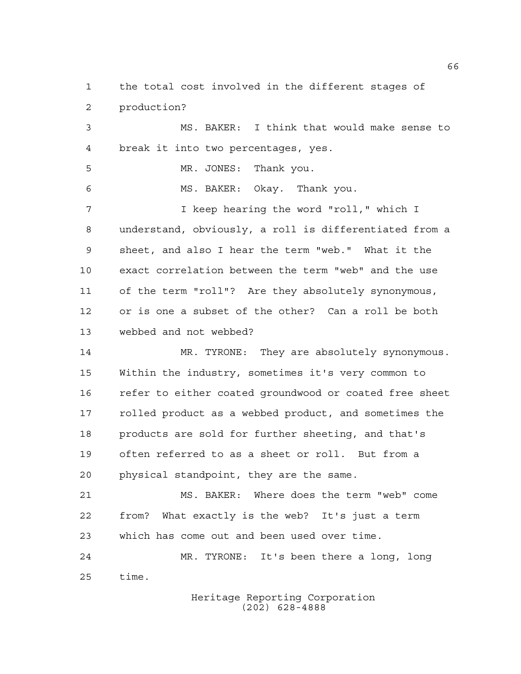the total cost involved in the different stages of production?

 MS. BAKER: I think that would make sense to break it into two percentages, yes. MR. JONES: Thank you. MS. BAKER: Okay. Thank you. I keep hearing the word "roll," which I understand, obviously, a roll is differentiated from a sheet, and also I hear the term "web." What it the exact correlation between the term "web" and the use of the term "roll"? Are they absolutely synonymous, or is one a subset of the other? Can a roll be both webbed and not webbed?

 MR. TYRONE: They are absolutely synonymous. Within the industry, sometimes it's very common to refer to either coated groundwood or coated free sheet rolled product as a webbed product, and sometimes the products are sold for further sheeting, and that's often referred to as a sheet or roll. But from a physical standpoint, they are the same.

 MS. BAKER: Where does the term "web" come from? What exactly is the web? It's just a term which has come out and been used over time.

 MR. TYRONE: It's been there a long, long time.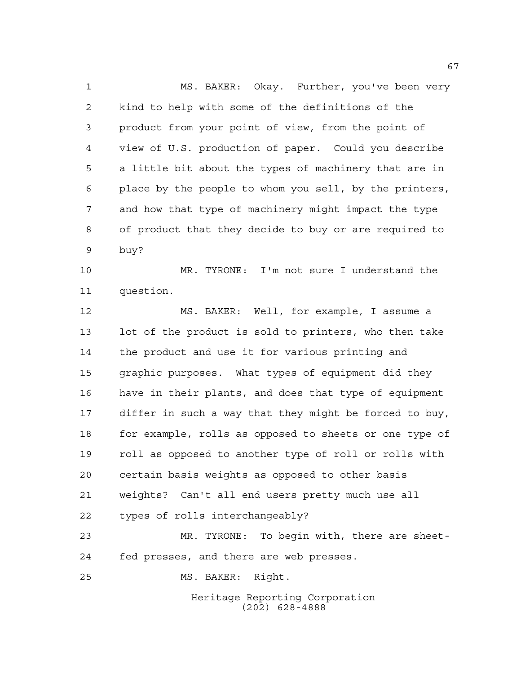MS. BAKER: Okay. Further, you've been very kind to help with some of the definitions of the product from your point of view, from the point of view of U.S. production of paper. Could you describe a little bit about the types of machinery that are in place by the people to whom you sell, by the printers, and how that type of machinery might impact the type of product that they decide to buy or are required to buy?

 MR. TYRONE: I'm not sure I understand the question.

 MS. BAKER: Well, for example, I assume a lot of the product is sold to printers, who then take the product and use it for various printing and graphic purposes. What types of equipment did they have in their plants, and does that type of equipment differ in such a way that they might be forced to buy, 18 for example, rolls as opposed to sheets or one type of roll as opposed to another type of roll or rolls with certain basis weights as opposed to other basis weights? Can't all end users pretty much use all types of rolls interchangeably?

 MR. TYRONE: To begin with, there are sheet-fed presses, and there are web presses.

MS. BAKER: Right.

Heritage Reporting Corporation (202) 628-4888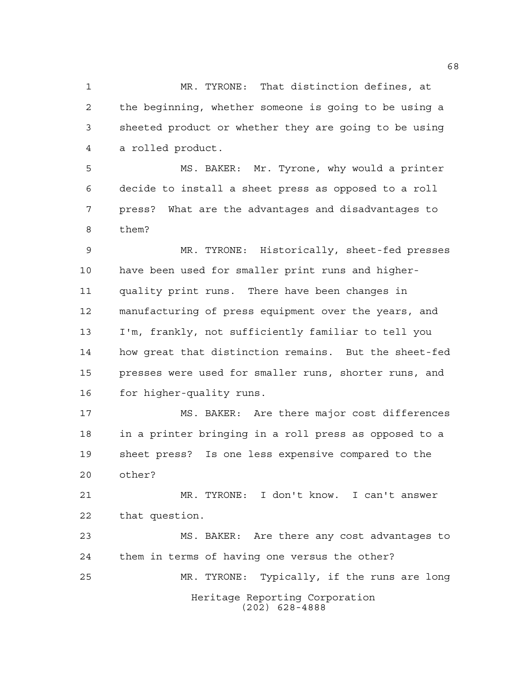MR. TYRONE: That distinction defines, at the beginning, whether someone is going to be using a sheeted product or whether they are going to be using a rolled product.

 MS. BAKER: Mr. Tyrone, why would a printer decide to install a sheet press as opposed to a roll press? What are the advantages and disadvantages to them?

 MR. TYRONE: Historically, sheet-fed presses have been used for smaller print runs and higher- quality print runs. There have been changes in manufacturing of press equipment over the years, and I'm, frankly, not sufficiently familiar to tell you how great that distinction remains. But the sheet-fed presses were used for smaller runs, shorter runs, and for higher-quality runs.

 MS. BAKER: Are there major cost differences in a printer bringing in a roll press as opposed to a sheet press? Is one less expensive compared to the other?

 MR. TYRONE: I don't know. I can't answer that question.

Heritage Reporting Corporation (202) 628-4888 MS. BAKER: Are there any cost advantages to them in terms of having one versus the other? MR. TYRONE: Typically, if the runs are long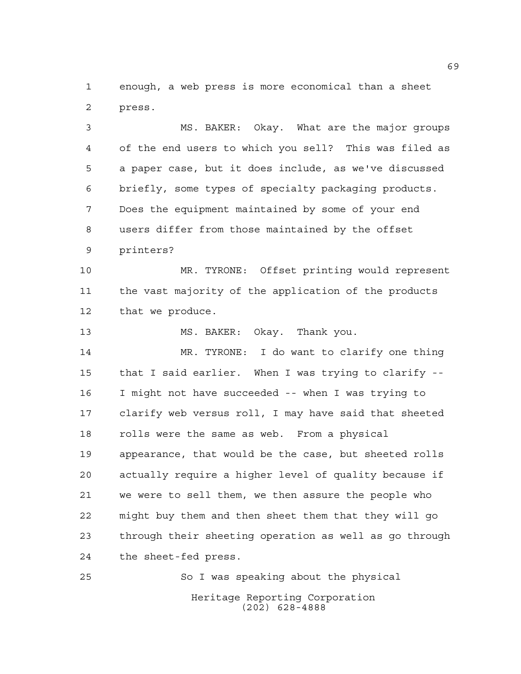enough, a web press is more economical than a sheet press.

 MS. BAKER: Okay. What are the major groups of the end users to which you sell? This was filed as a paper case, but it does include, as we've discussed briefly, some types of specialty packaging products. Does the equipment maintained by some of your end users differ from those maintained by the offset printers?

 MR. TYRONE: Offset printing would represent the vast majority of the application of the products that we produce.

13 MS. BAKER: Okay. Thank you.

 MR. TYRONE: I do want to clarify one thing that I said earlier. When I was trying to clarify -- I might not have succeeded -- when I was trying to clarify web versus roll, I may have said that sheeted rolls were the same as web. From a physical appearance, that would be the case, but sheeted rolls actually require a higher level of quality because if we were to sell them, we then assure the people who might buy them and then sheet them that they will go through their sheeting operation as well as go through the sheet-fed press.

Heritage Reporting Corporation (202) 628-4888 So I was speaking about the physical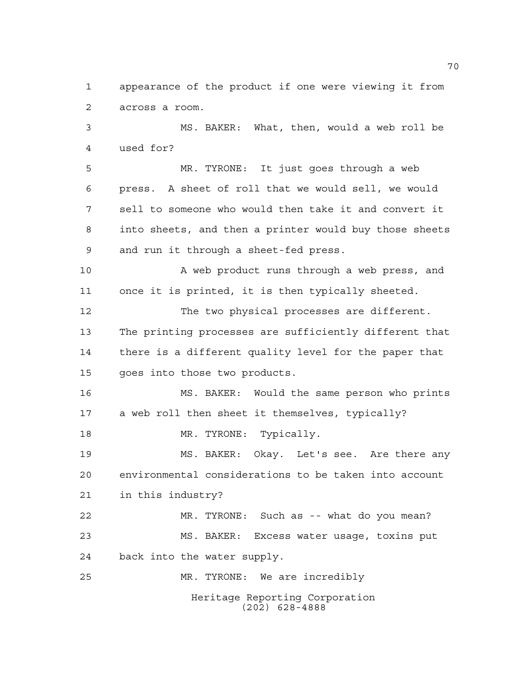appearance of the product if one were viewing it from across a room.

 MS. BAKER: What, then, would a web roll be used for?

 MR. TYRONE: It just goes through a web press. A sheet of roll that we would sell, we would sell to someone who would then take it and convert it into sheets, and then a printer would buy those sheets and run it through a sheet-fed press.

 A web product runs through a web press, and once it is printed, it is then typically sheeted.

 The two physical processes are different. The printing processes are sufficiently different that there is a different quality level for the paper that goes into those two products.

 MS. BAKER: Would the same person who prints a web roll then sheet it themselves, typically? 18 MR. TYRONE: Typically.

 MS. BAKER: Okay. Let's see. Are there any environmental considerations to be taken into account in this industry?

 MR. TYRONE: Such as -- what do you mean? MS. BAKER: Excess water usage, toxins put back into the water supply.

MR. TYRONE: We are incredibly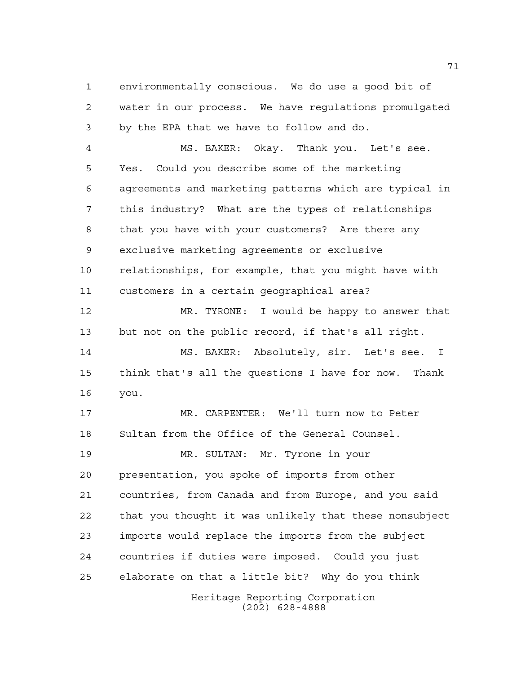environmentally conscious. We do use a good bit of water in our process. We have regulations promulgated by the EPA that we have to follow and do.

 MS. BAKER: Okay. Thank you. Let's see. Yes. Could you describe some of the marketing agreements and marketing patterns which are typical in this industry? What are the types of relationships that you have with your customers? Are there any exclusive marketing agreements or exclusive relationships, for example, that you might have with customers in a certain geographical area?

 MR. TYRONE: I would be happy to answer that but not on the public record, if that's all right.

 MS. BAKER: Absolutely, sir. Let's see. I think that's all the questions I have for now. Thank you.

 MR. CARPENTER: We'll turn now to Peter Sultan from the Office of the General Counsel.

Heritage Reporting Corporation (202) 628-4888 MR. SULTAN: Mr. Tyrone in your presentation, you spoke of imports from other countries, from Canada and from Europe, and you said that you thought it was unlikely that these nonsubject imports would replace the imports from the subject countries if duties were imposed. Could you just elaborate on that a little bit? Why do you think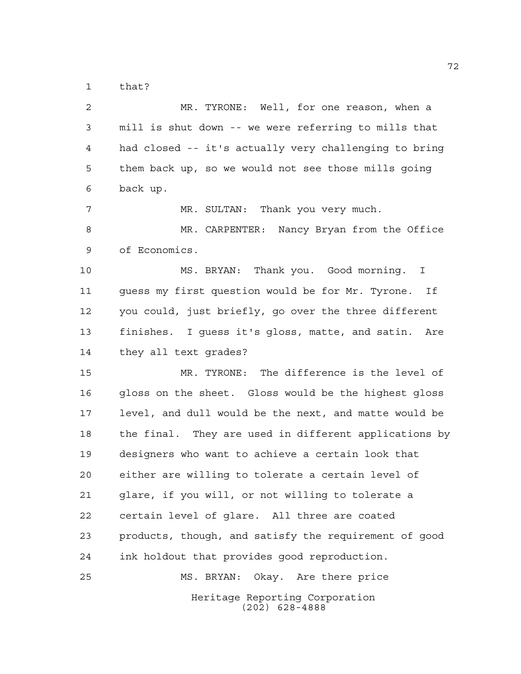that?

| 2  | MR. TYRONE: Well, for one reason, when a               |
|----|--------------------------------------------------------|
| 3  | mill is shut down -- we were referring to mills that   |
| 4  | had closed -- it's actually very challenging to bring  |
| 5  | them back up, so we would not see those mills going    |
| 6  | back up.                                               |
| 7  | MR. SULTAN: Thank you very much.                       |
| 8  | MR. CARPENTER: Nancy Bryan from the Office             |
| 9  | of Economics.                                          |
| 10 | MS. BRYAN: Thank you. Good morning. I                  |
| 11 | guess my first question would be for Mr. Tyrone.<br>Ιf |
| 12 | you could, just briefly, go over the three different   |
| 13 | finishes. I guess it's gloss, matte, and satin.<br>Are |
| 14 | they all text grades?                                  |
| 15 | MR. TYRONE: The difference is the level of             |
| 16 | gloss on the sheet. Gloss would be the highest gloss   |
| 17 | level, and dull would be the next, and matte would be  |
| 18 | the final. They are used in different applications by  |
| 19 | designers who want to achieve a certain look that      |
| 20 | either are willing to tolerate a certain level of      |
| 21 | glare, if you will, or not willing to tolerate a       |
| 22 | certain level of glare. All three are coated           |
| 23 | products, though, and satisfy the requirement of good  |
| 24 | ink holdout that provides good reproduction.           |
| 25 | MS. BRYAN: Okay. Are there price                       |
|    | Heritage Reporting Corporation<br>$(202)$ 628-4888     |
|    |                                                        |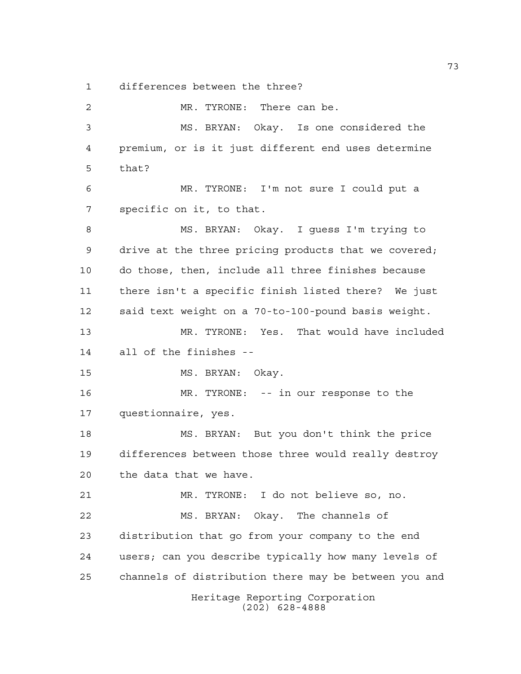differences between the three?

Heritage Reporting Corporation (202) 628-4888 MR. TYRONE: There can be. MS. BRYAN: Okay. Is one considered the premium, or is it just different end uses determine that? MR. TYRONE: I'm not sure I could put a specific on it, to that. MS. BRYAN: Okay. I guess I'm trying to drive at the three pricing products that we covered; do those, then, include all three finishes because there isn't a specific finish listed there? We just said text weight on a 70-to-100-pound basis weight. MR. TYRONE: Yes. That would have included all of the finishes -- 15 MS. BRYAN: Okay. MR. TYRONE: -- in our response to the questionnaire, yes. MS. BRYAN: But you don't think the price differences between those three would really destroy the data that we have. MR. TYRONE: I do not believe so, no. MS. BRYAN: Okay. The channels of distribution that go from your company to the end users; can you describe typically how many levels of channels of distribution there may be between you and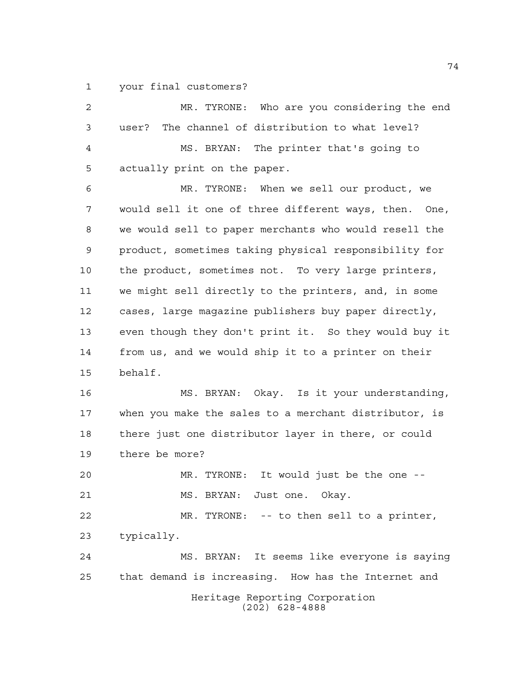your final customers?

| $\overline{2}$ | MR. TYRONE: Who are you considering the end           |
|----------------|-------------------------------------------------------|
| 3              | The channel of distribution to what level?<br>user?   |
| $\overline{4}$ | MS. BRYAN: The printer that's going to                |
| 5              | actually print on the paper.                          |
| 6              | MR. TYRONE: When we sell our product, we              |
| 7              | would sell it one of three different ways, then. One, |
| 8              | we would sell to paper merchants who would resell the |
| 9              | product, sometimes taking physical responsibility for |
| 10             | the product, sometimes not. To very large printers,   |
| 11             | we might sell directly to the printers, and, in some  |
| 12             | cases, large magazine publishers buy paper directly,  |
| 13             | even though they don't print it. So they would buy it |
| 14             | from us, and we would ship it to a printer on their   |
| 15             | behalf.                                               |
| 16             | MS. BRYAN: Okay. Is it your understanding,            |
| 17             | when you make the sales to a merchant distributor, is |
| 18             | there just one distributor layer in there, or could   |
| 19             | there be more?                                        |
| 20             | MR. TYRONE:<br>It would just be the one --            |
| 21             | MS. BRYAN: Just one. Okay.                            |
| 22             | MR. TYRONE: -- to then sell to a printer,             |
| 23             | typically.                                            |
| 24             | MS. BRYAN: It seems like everyone is saying           |
| 25             | that demand is increasing. How has the Internet and   |
|                | Heritage Reporting Corporation<br>$(202)$ 628-4888    |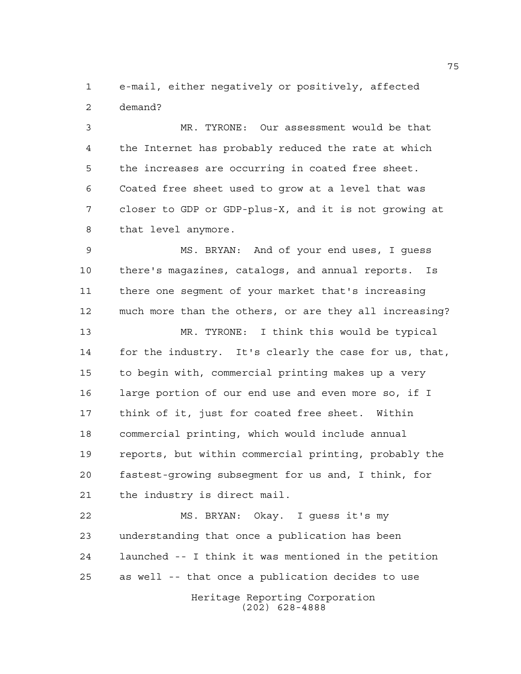e-mail, either negatively or positively, affected demand?

 MR. TYRONE: Our assessment would be that the Internet has probably reduced the rate at which the increases are occurring in coated free sheet. Coated free sheet used to grow at a level that was closer to GDP or GDP-plus-X, and it is not growing at that level anymore.

 MS. BRYAN: And of your end uses, I guess there's magazines, catalogs, and annual reports. Is there one segment of your market that's increasing much more than the others, or are they all increasing?

 MR. TYRONE: I think this would be typical for the industry. It's clearly the case for us, that, to begin with, commercial printing makes up a very large portion of our end use and even more so, if I think of it, just for coated free sheet. Within commercial printing, which would include annual reports, but within commercial printing, probably the fastest-growing subsegment for us and, I think, for the industry is direct mail.

Heritage Reporting Corporation MS. BRYAN: Okay. I guess it's my understanding that once a publication has been launched -- I think it was mentioned in the petition as well -- that once a publication decides to use

(202) 628-4888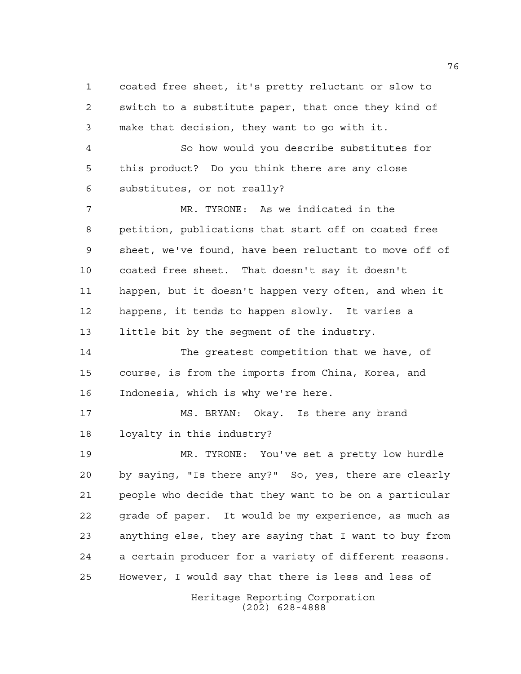Heritage Reporting Corporation coated free sheet, it's pretty reluctant or slow to switch to a substitute paper, that once they kind of make that decision, they want to go with it. So how would you describe substitutes for this product? Do you think there are any close substitutes, or not really? MR. TYRONE: As we indicated in the petition, publications that start off on coated free sheet, we've found, have been reluctant to move off of coated free sheet. That doesn't say it doesn't happen, but it doesn't happen very often, and when it happens, it tends to happen slowly. It varies a little bit by the segment of the industry. The greatest competition that we have, of course, is from the imports from China, Korea, and Indonesia, which is why we're here. MS. BRYAN: Okay. Is there any brand loyalty in this industry? MR. TYRONE: You've set a pretty low hurdle by saying, "Is there any?" So, yes, there are clearly people who decide that they want to be on a particular grade of paper. It would be my experience, as much as anything else, they are saying that I want to buy from a certain producer for a variety of different reasons. However, I would say that there is less and less of

(202) 628-4888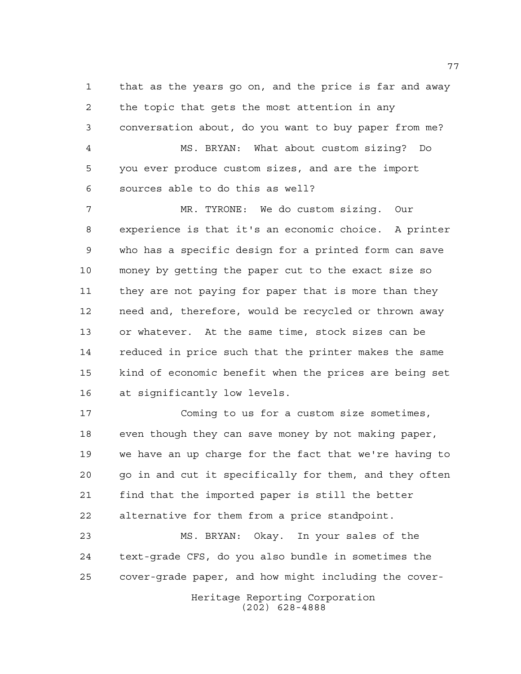that as the years go on, and the price is far and away the topic that gets the most attention in any conversation about, do you want to buy paper from me? MS. BRYAN: What about custom sizing? Do you ever produce custom sizes, and are the import sources able to do this as well?

 MR. TYRONE: We do custom sizing. Our experience is that it's an economic choice. A printer who has a specific design for a printed form can save money by getting the paper cut to the exact size so they are not paying for paper that is more than they need and, therefore, would be recycled or thrown away or whatever. At the same time, stock sizes can be reduced in price such that the printer makes the same kind of economic benefit when the prices are being set at significantly low levels.

 Coming to us for a custom size sometimes, even though they can save money by not making paper, we have an up charge for the fact that we're having to go in and cut it specifically for them, and they often find that the imported paper is still the better alternative for them from a price standpoint.

 MS. BRYAN: Okay. In your sales of the text-grade CFS, do you also bundle in sometimes the cover-grade paper, and how might including the cover-

> Heritage Reporting Corporation (202) 628-4888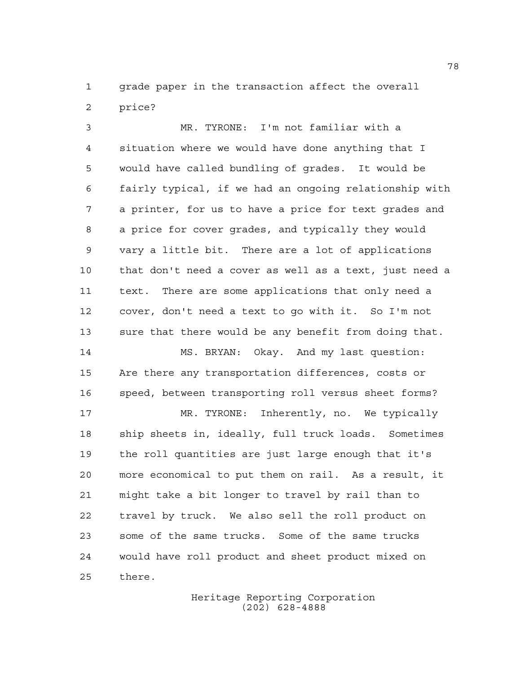grade paper in the transaction affect the overall price?

 MR. TYRONE: I'm not familiar with a situation where we would have done anything that I would have called bundling of grades. It would be fairly typical, if we had an ongoing relationship with a printer, for us to have a price for text grades and a price for cover grades, and typically they would vary a little bit. There are a lot of applications that don't need a cover as well as a text, just need a text. There are some applications that only need a cover, don't need a text to go with it. So I'm not sure that there would be any benefit from doing that. MS. BRYAN: Okay. And my last question: Are there any transportation differences, costs or speed, between transporting roll versus sheet forms?

 MR. TYRONE: Inherently, no. We typically ship sheets in, ideally, full truck loads. Sometimes the roll quantities are just large enough that it's more economical to put them on rail. As a result, it might take a bit longer to travel by rail than to travel by truck. We also sell the roll product on some of the same trucks. Some of the same trucks would have roll product and sheet product mixed on there.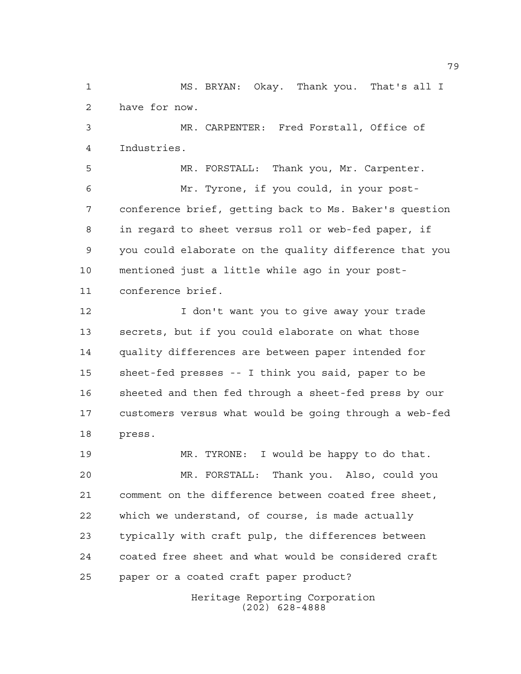MS. BRYAN: Okay. Thank you. That's all I have for now.

 MR. CARPENTER: Fred Forstall, Office of Industries.

 MR. FORSTALL: Thank you, Mr. Carpenter. Mr. Tyrone, if you could, in your post- conference brief, getting back to Ms. Baker's question in regard to sheet versus roll or web-fed paper, if you could elaborate on the quality difference that you mentioned just a little while ago in your post-conference brief.

 I don't want you to give away your trade secrets, but if you could elaborate on what those quality differences are between paper intended for sheet-fed presses -- I think you said, paper to be sheeted and then fed through a sheet-fed press by our customers versus what would be going through a web-fed press.

 MR. TYRONE: I would be happy to do that. MR. FORSTALL: Thank you. Also, could you comment on the difference between coated free sheet, which we understand, of course, is made actually typically with craft pulp, the differences between coated free sheet and what would be considered craft paper or a coated craft paper product?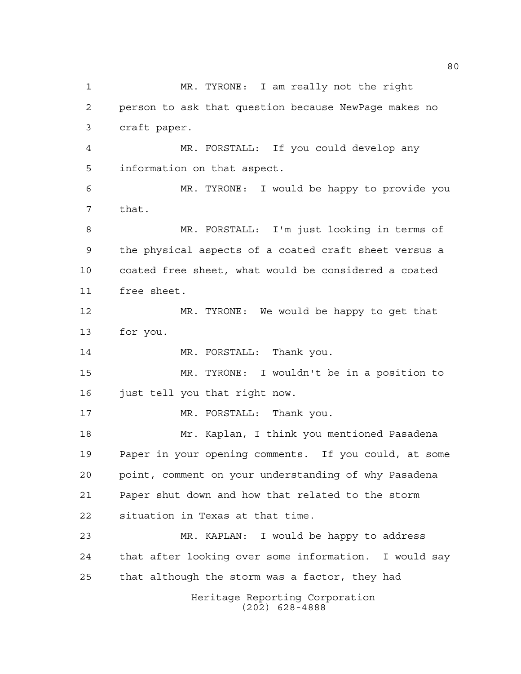Heritage Reporting Corporation (202) 628-4888 MR. TYRONE: I am really not the right person to ask that question because NewPage makes no craft paper. MR. FORSTALL: If you could develop any information on that aspect. MR. TYRONE: I would be happy to provide you that. MR. FORSTALL: I'm just looking in terms of the physical aspects of a coated craft sheet versus a coated free sheet, what would be considered a coated free sheet. MR. TYRONE: We would be happy to get that for you. 14 MR. FORSTALL: Thank you. MR. TYRONE: I wouldn't be in a position to just tell you that right now. 17 MR. FORSTALL: Thank you. Mr. Kaplan, I think you mentioned Pasadena Paper in your opening comments. If you could, at some point, comment on your understanding of why Pasadena Paper shut down and how that related to the storm situation in Texas at that time. MR. KAPLAN: I would be happy to address that after looking over some information. I would say that although the storm was a factor, they had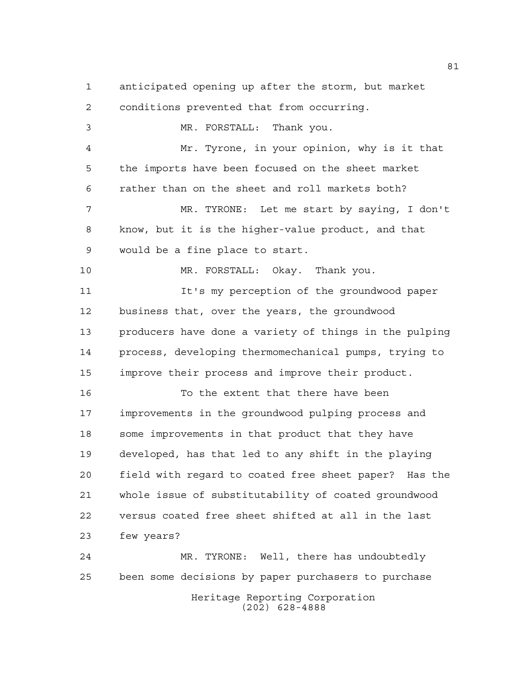anticipated opening up after the storm, but market conditions prevented that from occurring. MR. FORSTALL: Thank you. Mr. Tyrone, in your opinion, why is it that the imports have been focused on the sheet market rather than on the sheet and roll markets both? MR. TYRONE: Let me start by saying, I don't know, but it is the higher-value product, and that would be a fine place to start. MR. FORSTALL: Okay. Thank you. It's my perception of the groundwood paper business that, over the years, the groundwood producers have done a variety of things in the pulping process, developing thermomechanical pumps, trying to improve their process and improve their product. To the extent that there have been improvements in the groundwood pulping process and some improvements in that product that they have developed, has that led to any shift in the playing field with regard to coated free sheet paper? Has the whole issue of substitutability of coated groundwood versus coated free sheet shifted at all in the last few years? MR. TYRONE: Well, there has undoubtedly been some decisions by paper purchasers to purchase

Heritage Reporting Corporation (202) 628-4888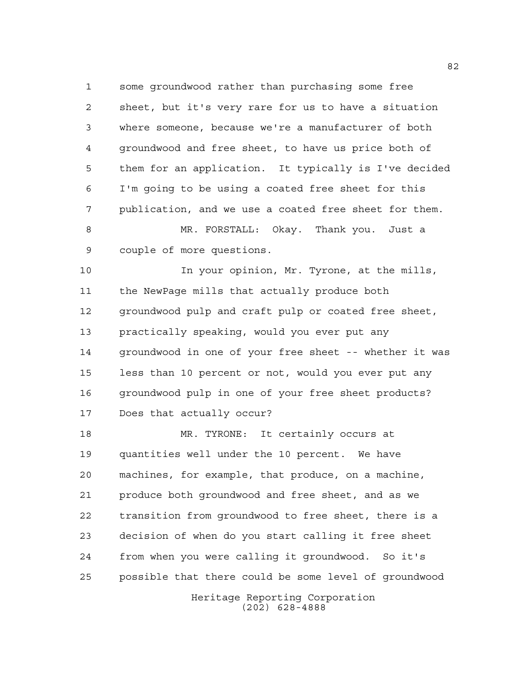some groundwood rather than purchasing some free sheet, but it's very rare for us to have a situation where someone, because we're a manufacturer of both groundwood and free sheet, to have us price both of them for an application. It typically is I've decided I'm going to be using a coated free sheet for this publication, and we use a coated free sheet for them.

 MR. FORSTALL: Okay. Thank you. Just a couple of more questions.

 In your opinion, Mr. Tyrone, at the mills, the NewPage mills that actually produce both 12 groundwood pulp and craft pulp or coated free sheet, practically speaking, would you ever put any groundwood in one of your free sheet -- whether it was less than 10 percent or not, would you ever put any groundwood pulp in one of your free sheet products? Does that actually occur?

 MR. TYRONE: It certainly occurs at quantities well under the 10 percent. We have machines, for example, that produce, on a machine, produce both groundwood and free sheet, and as we transition from groundwood to free sheet, there is a decision of when do you start calling it free sheet from when you were calling it groundwood. So it's possible that there could be some level of groundwood

Heritage Reporting Corporation (202) 628-4888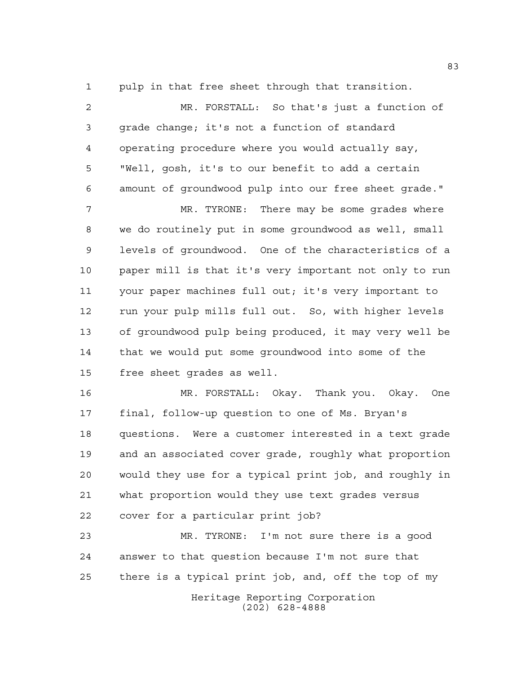pulp in that free sheet through that transition.

 MR. FORSTALL: So that's just a function of grade change; it's not a function of standard operating procedure where you would actually say, "Well, gosh, it's to our benefit to add a certain amount of groundwood pulp into our free sheet grade." MR. TYRONE: There may be some grades where we do routinely put in some groundwood as well, small levels of groundwood. One of the characteristics of a paper mill is that it's very important not only to run your paper machines full out; it's very important to run your pulp mills full out. So, with higher levels of groundwood pulp being produced, it may very well be

 that we would put some groundwood into some of the free sheet grades as well.

 MR. FORSTALL: Okay. Thank you. Okay. One final, follow-up question to one of Ms. Bryan's questions. Were a customer interested in a text grade and an associated cover grade, roughly what proportion would they use for a typical print job, and roughly in what proportion would they use text grades versus cover for a particular print job?

 MR. TYRONE: I'm not sure there is a good answer to that question because I'm not sure that there is a typical print job, and, off the top of my

Heritage Reporting Corporation (202) 628-4888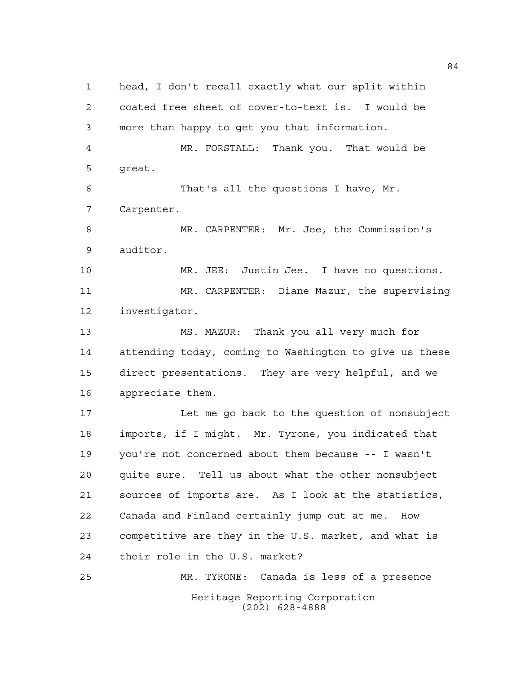Heritage Reporting Corporation (202) 628-4888 head, I don't recall exactly what our split within coated free sheet of cover-to-text is. I would be more than happy to get you that information. MR. FORSTALL: Thank you. That would be great. That's all the questions I have, Mr. Carpenter. MR. CARPENTER: Mr. Jee, the Commission's auditor. MR. JEE: Justin Jee. I have no questions. MR. CARPENTER: Diane Mazur, the supervising investigator. MS. MAZUR: Thank you all very much for attending today, coming to Washington to give us these direct presentations. They are very helpful, and we appreciate them. Let me go back to the question of nonsubject imports, if I might. Mr. Tyrone, you indicated that you're not concerned about them because -- I wasn't quite sure. Tell us about what the other nonsubject sources of imports are. As I look at the statistics, Canada and Finland certainly jump out at me. How competitive are they in the U.S. market, and what is their role in the U.S. market? MR. TYRONE: Canada is less of a presence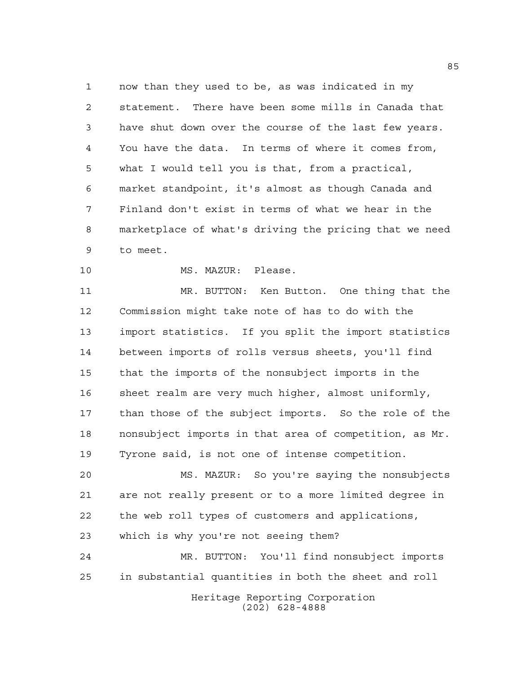now than they used to be, as was indicated in my statement. There have been some mills in Canada that have shut down over the course of the last few years. You have the data. In terms of where it comes from, what I would tell you is that, from a practical, market standpoint, it's almost as though Canada and Finland don't exist in terms of what we hear in the marketplace of what's driving the pricing that we need to meet.

10 MS. MAZUR: Please.

 MR. BUTTON: Ken Button. One thing that the Commission might take note of has to do with the import statistics. If you split the import statistics between imports of rolls versus sheets, you'll find that the imports of the nonsubject imports in the sheet realm are very much higher, almost uniformly, than those of the subject imports. So the role of the nonsubject imports in that area of competition, as Mr. Tyrone said, is not one of intense competition.

 MS. MAZUR: So you're saying the nonsubjects are not really present or to a more limited degree in the web roll types of customers and applications, which is why you're not seeing them?

Heritage Reporting Corporation MR. BUTTON: You'll find nonsubject imports in substantial quantities in both the sheet and roll

(202) 628-4888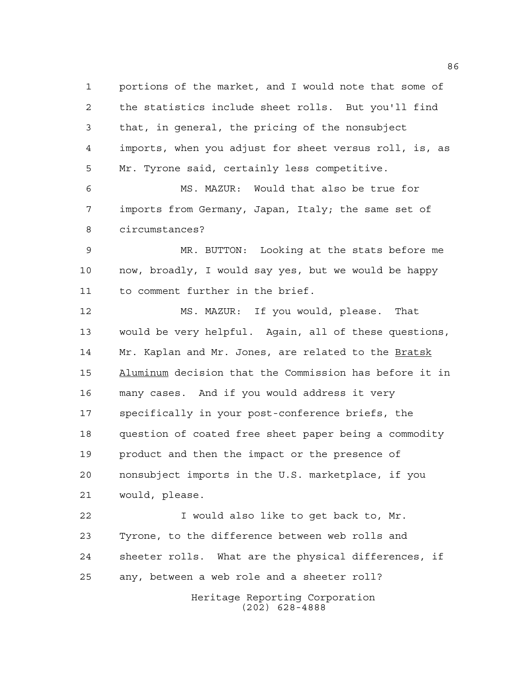portions of the market, and I would note that some of the statistics include sheet rolls. But you'll find that, in general, the pricing of the nonsubject imports, when you adjust for sheet versus roll, is, as Mr. Tyrone said, certainly less competitive. MS. MAZUR: Would that also be true for imports from Germany, Japan, Italy; the same set of circumstances? MR. BUTTON: Looking at the stats before me now, broadly, I would say yes, but we would be happy to comment further in the brief. MS. MAZUR: If you would, please. That would be very helpful. Again, all of these questions, Mr. Kaplan and Mr. Jones, are related to the Bratsk

 Aluminum decision that the Commission has before it in many cases. And if you would address it very specifically in your post-conference briefs, the question of coated free sheet paper being a commodity product and then the impact or the presence of nonsubject imports in the U.S. marketplace, if you would, please.

 I would also like to get back to, Mr. Tyrone, to the difference between web rolls and sheeter rolls. What are the physical differences, if any, between a web role and a sheeter roll?

Heritage Reporting Corporation (202) 628-4888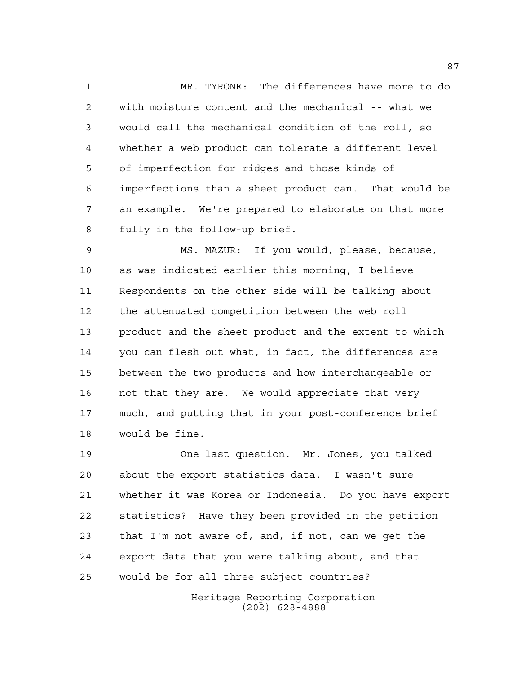MR. TYRONE: The differences have more to do with moisture content and the mechanical -- what we would call the mechanical condition of the roll, so whether a web product can tolerate a different level of imperfection for ridges and those kinds of imperfections than a sheet product can. That would be an example. We're prepared to elaborate on that more fully in the follow-up brief.

 MS. MAZUR: If you would, please, because, as was indicated earlier this morning, I believe Respondents on the other side will be talking about the attenuated competition between the web roll product and the sheet product and the extent to which you can flesh out what, in fact, the differences are between the two products and how interchangeable or not that they are. We would appreciate that very much, and putting that in your post-conference brief would be fine.

 One last question. Mr. Jones, you talked about the export statistics data. I wasn't sure whether it was Korea or Indonesia. Do you have export statistics? Have they been provided in the petition that I'm not aware of, and, if not, can we get the export data that you were talking about, and that would be for all three subject countries?

> Heritage Reporting Corporation (202) 628-4888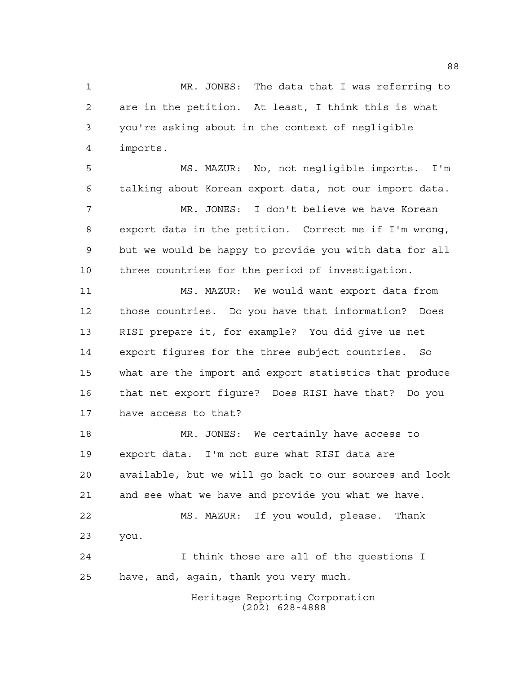MR. JONES: The data that I was referring to are in the petition. At least, I think this is what you're asking about in the context of negligible imports.

 MS. MAZUR: No, not negligible imports. I'm talking about Korean export data, not our import data. MR. JONES: I don't believe we have Korean export data in the petition. Correct me if I'm wrong, but we would be happy to provide you with data for all three countries for the period of investigation.

 MS. MAZUR: We would want export data from those countries. Do you have that information? Does RISI prepare it, for example? You did give us net export figures for the three subject countries. So what are the import and export statistics that produce that net export figure? Does RISI have that? Do you have access to that?

 MR. JONES: We certainly have access to export data. I'm not sure what RISI data are available, but we will go back to our sources and look and see what we have and provide you what we have. MS. MAZUR: If you would, please. Thank you. I think those are all of the questions I have, and, again, thank you very much.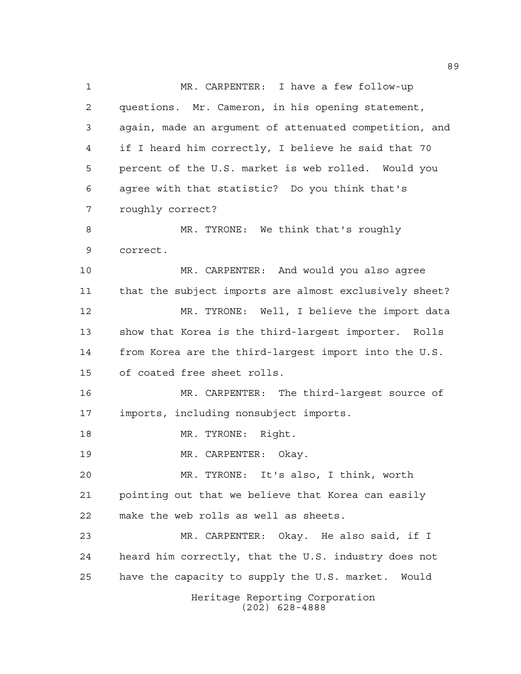Heritage Reporting Corporation (202) 628-4888 MR. CARPENTER: I have a few follow-up questions. Mr. Cameron, in his opening statement, again, made an argument of attenuated competition, and if I heard him correctly, I believe he said that 70 percent of the U.S. market is web rolled. Would you agree with that statistic? Do you think that's roughly correct? 8 MR. TYRONE: We think that's roughly correct. MR. CARPENTER: And would you also agree that the subject imports are almost exclusively sheet? MR. TYRONE: Well, I believe the import data show that Korea is the third-largest importer. Rolls from Korea are the third-largest import into the U.S. of coated free sheet rolls. MR. CARPENTER: The third-largest source of imports, including nonsubject imports. 18 MR. TYRONE: Right. MR. CARPENTER: Okay. MR. TYRONE: It's also, I think, worth pointing out that we believe that Korea can easily make the web rolls as well as sheets. MR. CARPENTER: Okay. He also said, if I heard him correctly, that the U.S. industry does not have the capacity to supply the U.S. market. Would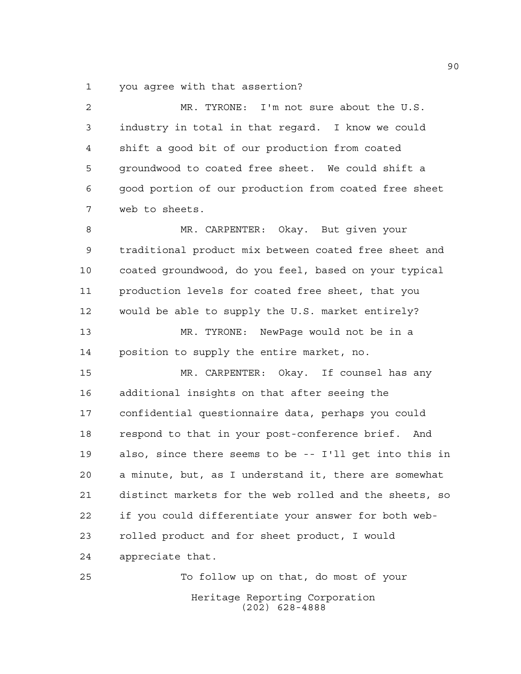you agree with that assertion?

 MR. TYRONE: I'm not sure about the U.S. industry in total in that regard. I know we could shift a good bit of our production from coated groundwood to coated free sheet. We could shift a good portion of our production from coated free sheet web to sheets.

 MR. CARPENTER: Okay. But given your traditional product mix between coated free sheet and coated groundwood, do you feel, based on your typical production levels for coated free sheet, that you would be able to supply the U.S. market entirely? MR. TYRONE: NewPage would not be in a position to supply the entire market, no.

 MR. CARPENTER: Okay. If counsel has any additional insights on that after seeing the confidential questionnaire data, perhaps you could respond to that in your post-conference brief. And also, since there seems to be -- I'll get into this in a minute, but, as I understand it, there are somewhat distinct markets for the web rolled and the sheets, so if you could differentiate your answer for both web- rolled product and for sheet product, I would appreciate that.

Heritage Reporting Corporation (202) 628-4888 To follow up on that, do most of your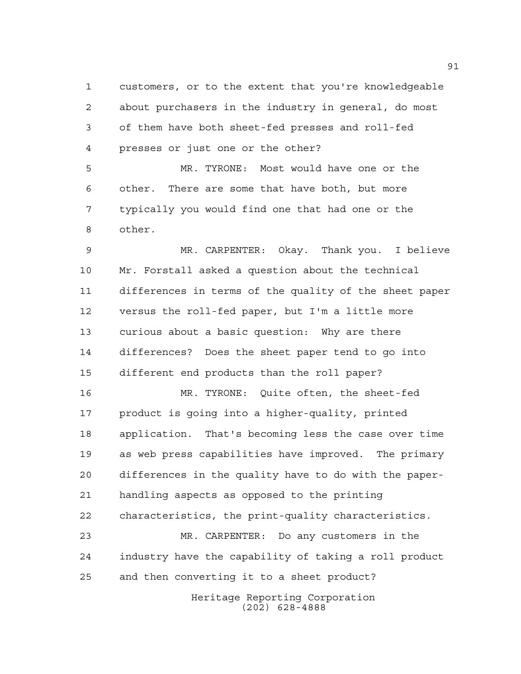customers, or to the extent that you're knowledgeable about purchasers in the industry in general, do most of them have both sheet-fed presses and roll-fed presses or just one or the other?

 MR. TYRONE: Most would have one or the other. There are some that have both, but more typically you would find one that had one or the other.

 MR. CARPENTER: Okay. Thank you. I believe Mr. Forstall asked a question about the technical differences in terms of the quality of the sheet paper versus the roll-fed paper, but I'm a little more curious about a basic question: Why are there differences? Does the sheet paper tend to go into different end products than the roll paper?

 MR. TYRONE: Quite often, the sheet-fed product is going into a higher-quality, printed application. That's becoming less the case over time as web press capabilities have improved. The primary differences in the quality have to do with the paper- handling aspects as opposed to the printing characteristics, the print-quality characteristics.

 MR. CARPENTER: Do any customers in the industry have the capability of taking a roll product and then converting it to a sheet product?

> Heritage Reporting Corporation (202) 628-4888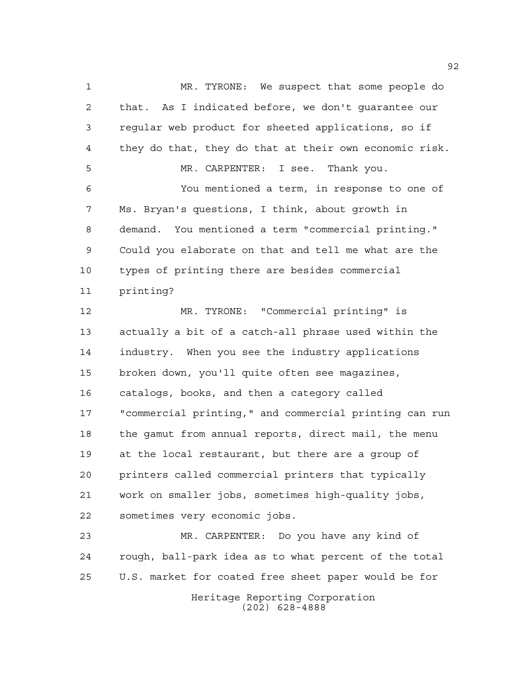MR. TYRONE: We suspect that some people do that. As I indicated before, we don't guarantee our regular web product for sheeted applications, so if they do that, they do that at their own economic risk. MR. CARPENTER: I see. Thank you. You mentioned a term, in response to one of Ms. Bryan's questions, I think, about growth in demand. You mentioned a term "commercial printing." Could you elaborate on that and tell me what are the types of printing there are besides commercial printing? MR. TYRONE: "Commercial printing" is actually a bit of a catch-all phrase used within the industry. When you see the industry applications broken down, you'll quite often see magazines, catalogs, books, and then a category called "commercial printing," and commercial printing can run the gamut from annual reports, direct mail, the menu at the local restaurant, but there are a group of printers called commercial printers that typically work on smaller jobs, sometimes high-quality jobs, sometimes very economic jobs.

Heritage Reporting Corporation MR. CARPENTER: Do you have any kind of rough, ball-park idea as to what percent of the total U.S. market for coated free sheet paper would be for

(202) 628-4888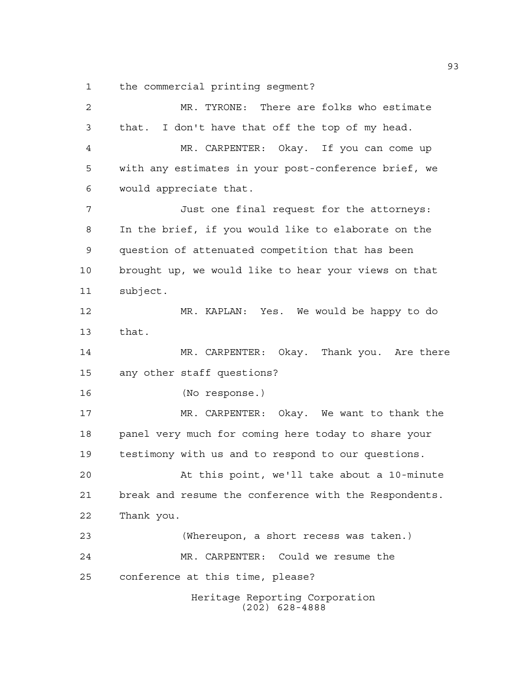the commercial printing segment?

| $\overline{c}$ | MR. TYRONE: There are folks who estimate              |
|----------------|-------------------------------------------------------|
| 3              | that. I don't have that off the top of my head.       |
| 4              | MR. CARPENTER: Okay. If you can come up               |
| 5              | with any estimates in your post-conference brief, we  |
| 6              | would appreciate that.                                |
| 7              | Just one final request for the attorneys:             |
| 8              | In the brief, if you would like to elaborate on the   |
| 9              | question of attenuated competition that has been      |
| 10             | brought up, we would like to hear your views on that  |
| 11             | subject.                                              |
| 12             | MR. KAPLAN: Yes. We would be happy to do              |
| 13             | that.                                                 |
| 14             | MR. CARPENTER: Okay. Thank you. Are there             |
| 15             | any other staff questions?                            |
| 16             | (No response.)                                        |
| 17             | MR. CARPENTER: Okay. We want to thank the             |
| 18             | panel very much for coming here today to share your   |
| 19             | testimony with us and to respond to our questions.    |
| 20             | At this point, we'll take about a 10-minute           |
| 21             | break and resume the conference with the Respondents. |
| 22             | Thank you.                                            |
| 23             | (Whereupon, a short recess was taken.)                |
| 24             | MR. CARPENTER: Could we resume the                    |
| 25             | conference at this time, please?                      |
|                | Heritage Reporting Corporation<br>$(202)$ 628-4888    |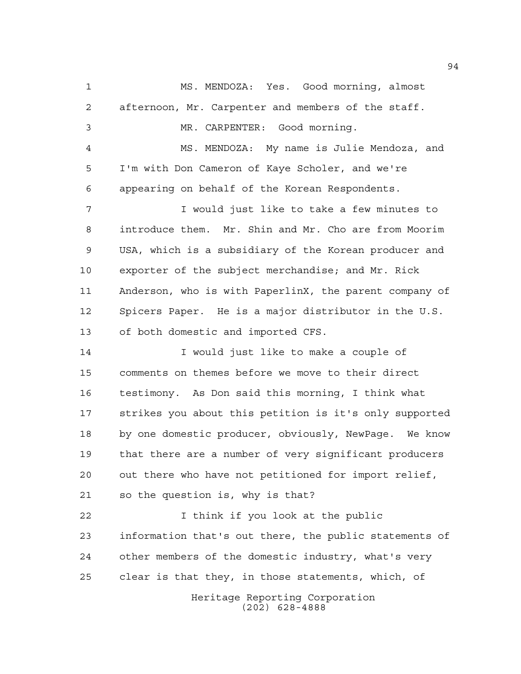Heritage Reporting Corporation (202) 628-4888 MS. MENDOZA: Yes. Good morning, almost afternoon, Mr. Carpenter and members of the staff. MR. CARPENTER: Good morning. MS. MENDOZA: My name is Julie Mendoza, and I'm with Don Cameron of Kaye Scholer, and we're appearing on behalf of the Korean Respondents. I would just like to take a few minutes to introduce them. Mr. Shin and Mr. Cho are from Moorim USA, which is a subsidiary of the Korean producer and exporter of the subject merchandise; and Mr. Rick Anderson, who is with PaperlinX, the parent company of Spicers Paper. He is a major distributor in the U.S. of both domestic and imported CFS. I would just like to make a couple of comments on themes before we move to their direct testimony. As Don said this morning, I think what strikes you about this petition is it's only supported by one domestic producer, obviously, NewPage. We know that there are a number of very significant producers out there who have not petitioned for import relief, so the question is, why is that? 22 1 think if you look at the public information that's out there, the public statements of other members of the domestic industry, what's very clear is that they, in those statements, which, of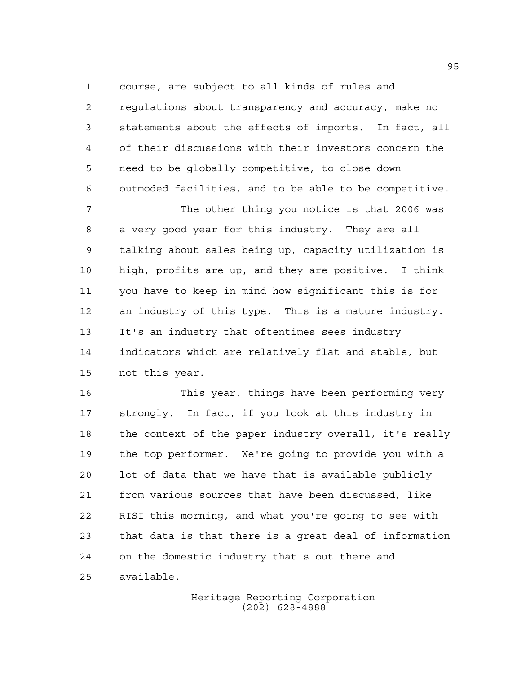course, are subject to all kinds of rules and

 regulations about transparency and accuracy, make no statements about the effects of imports. In fact, all of their discussions with their investors concern the need to be globally competitive, to close down outmoded facilities, and to be able to be competitive.

 The other thing you notice is that 2006 was a very good year for this industry. They are all talking about sales being up, capacity utilization is high, profits are up, and they are positive. I think you have to keep in mind how significant this is for an industry of this type. This is a mature industry. It's an industry that oftentimes sees industry indicators which are relatively flat and stable, but not this year.

 This year, things have been performing very strongly. In fact, if you look at this industry in the context of the paper industry overall, it's really the top performer. We're going to provide you with a lot of data that we have that is available publicly from various sources that have been discussed, like RISI this morning, and what you're going to see with that data is that there is a great deal of information on the domestic industry that's out there and available.

> Heritage Reporting Corporation (202) 628-4888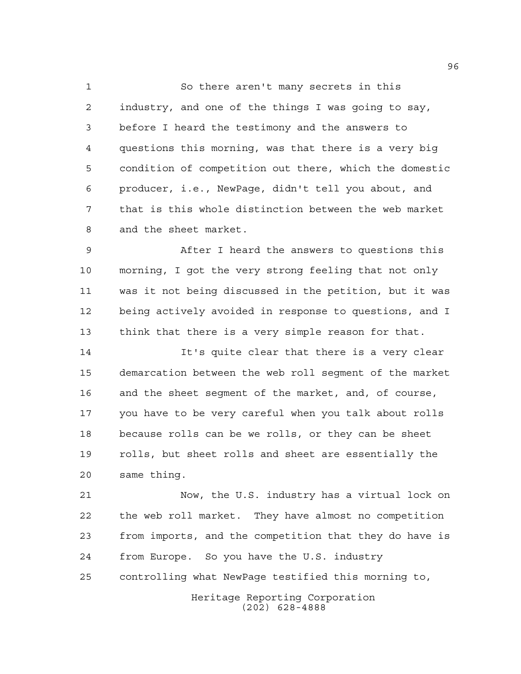So there aren't many secrets in this industry, and one of the things I was going to say, before I heard the testimony and the answers to questions this morning, was that there is a very big condition of competition out there, which the domestic producer, i.e., NewPage, didn't tell you about, and that is this whole distinction between the web market and the sheet market.

 After I heard the answers to questions this morning, I got the very strong feeling that not only was it not being discussed in the petition, but it was being actively avoided in response to questions, and I think that there is a very simple reason for that.

 It's quite clear that there is a very clear demarcation between the web roll segment of the market and the sheet segment of the market, and, of course, you have to be very careful when you talk about rolls because rolls can be we rolls, or they can be sheet rolls, but sheet rolls and sheet are essentially the same thing.

 Now, the U.S. industry has a virtual lock on the web roll market. They have almost no competition from imports, and the competition that they do have is from Europe. So you have the U.S. industry controlling what NewPage testified this morning to,

> Heritage Reporting Corporation (202) 628-4888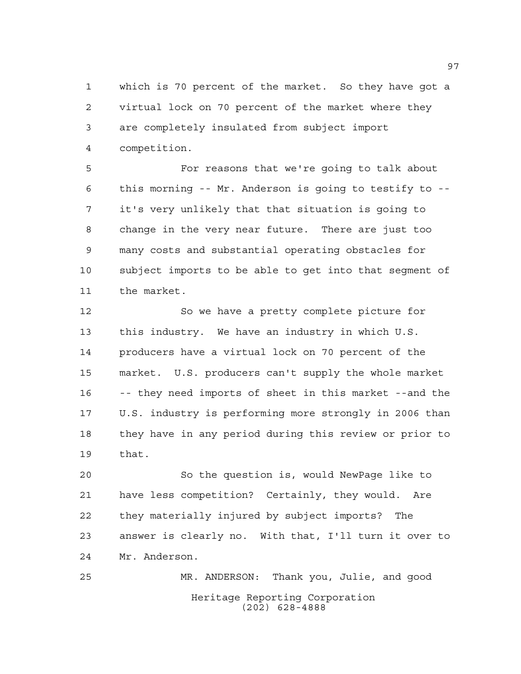which is 70 percent of the market. So they have got a virtual lock on 70 percent of the market where they are completely insulated from subject import competition.

 For reasons that we're going to talk about this morning -- Mr. Anderson is going to testify to -- it's very unlikely that that situation is going to change in the very near future. There are just too many costs and substantial operating obstacles for subject imports to be able to get into that segment of the market.

 So we have a pretty complete picture for this industry. We have an industry in which U.S. producers have a virtual lock on 70 percent of the market. U.S. producers can't supply the whole market -- they need imports of sheet in this market --and the U.S. industry is performing more strongly in 2006 than they have in any period during this review or prior to that.

 So the question is, would NewPage like to have less competition? Certainly, they would. Are they materially injured by subject imports? The answer is clearly no. With that, I'll turn it over to Mr. Anderson.

Heritage Reporting Corporation (202) 628-4888 MR. ANDERSON: Thank you, Julie, and good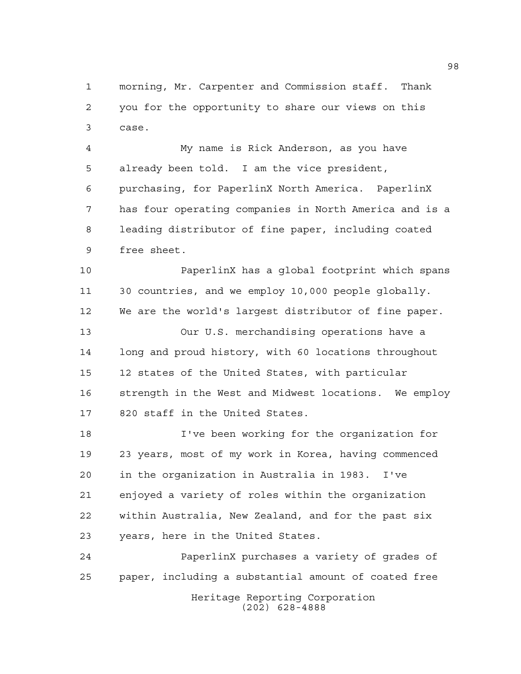morning, Mr. Carpenter and Commission staff. Thank you for the opportunity to share our views on this case.

 My name is Rick Anderson, as you have already been told. I am the vice president, purchasing, for PaperlinX North America. PaperlinX has four operating companies in North America and is a leading distributor of fine paper, including coated free sheet.

 PaperlinX has a global footprint which spans 30 countries, and we employ 10,000 people globally. We are the world's largest distributor of fine paper.

 Our U.S. merchandising operations have a long and proud history, with 60 locations throughout 12 states of the United States, with particular strength in the West and Midwest locations. We employ 820 staff in the United States.

 I've been working for the organization for 23 years, most of my work in Korea, having commenced in the organization in Australia in 1983. I've enjoyed a variety of roles within the organization within Australia, New Zealand, and for the past six years, here in the United States.

Heritage Reporting Corporation (202) 628-4888 PaperlinX purchases a variety of grades of paper, including a substantial amount of coated free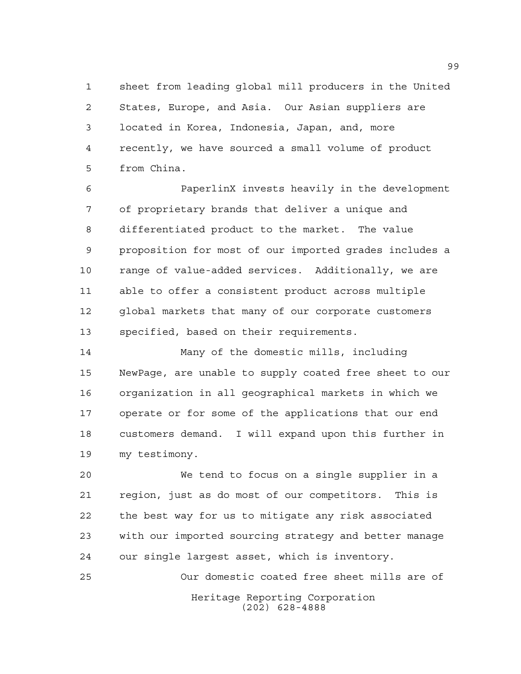sheet from leading global mill producers in the United States, Europe, and Asia. Our Asian suppliers are located in Korea, Indonesia, Japan, and, more recently, we have sourced a small volume of product from China.

 PaperlinX invests heavily in the development of proprietary brands that deliver a unique and differentiated product to the market. The value proposition for most of our imported grades includes a range of value-added services. Additionally, we are able to offer a consistent product across multiple global markets that many of our corporate customers specified, based on their requirements.

 Many of the domestic mills, including NewPage, are unable to supply coated free sheet to our organization in all geographical markets in which we operate or for some of the applications that our end customers demand. I will expand upon this further in my testimony.

 We tend to focus on a single supplier in a region, just as do most of our competitors. This is the best way for us to mitigate any risk associated with our imported sourcing strategy and better manage our single largest asset, which is inventory.

Heritage Reporting Corporation (202) 628-4888 Our domestic coated free sheet mills are of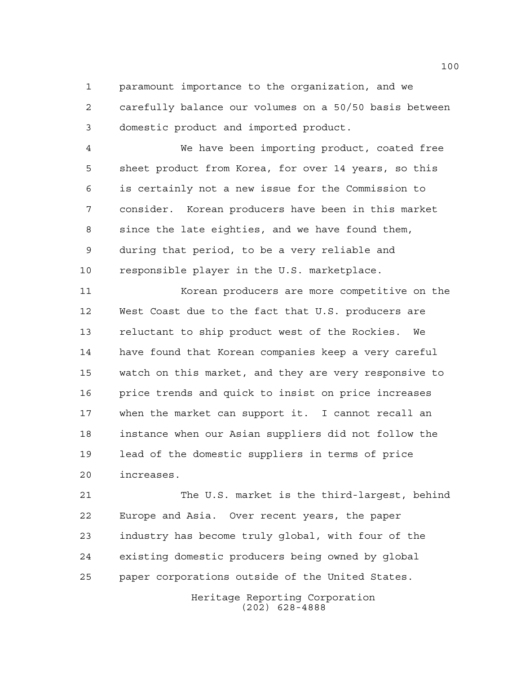paramount importance to the organization, and we carefully balance our volumes on a 50/50 basis between domestic product and imported product.

 We have been importing product, coated free sheet product from Korea, for over 14 years, so this is certainly not a new issue for the Commission to consider. Korean producers have been in this market since the late eighties, and we have found them, during that period, to be a very reliable and responsible player in the U.S. marketplace.

 Korean producers are more competitive on the West Coast due to the fact that U.S. producers are reluctant to ship product west of the Rockies. We have found that Korean companies keep a very careful watch on this market, and they are very responsive to price trends and quick to insist on price increases when the market can support it. I cannot recall an instance when our Asian suppliers did not follow the lead of the domestic suppliers in terms of price increases.

 The U.S. market is the third-largest, behind Europe and Asia. Over recent years, the paper industry has become truly global, with four of the existing domestic producers being owned by global paper corporations outside of the United States.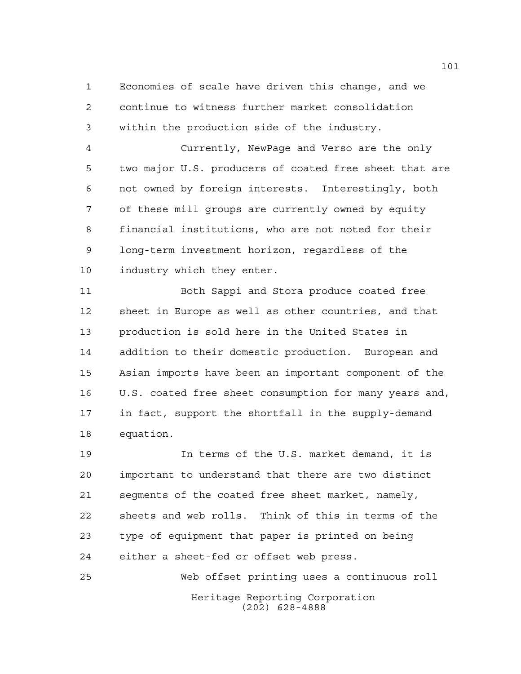Economies of scale have driven this change, and we continue to witness further market consolidation within the production side of the industry.

 Currently, NewPage and Verso are the only two major U.S. producers of coated free sheet that are not owned by foreign interests. Interestingly, both of these mill groups are currently owned by equity financial institutions, who are not noted for their long-term investment horizon, regardless of the industry which they enter.

 Both Sappi and Stora produce coated free sheet in Europe as well as other countries, and that production is sold here in the United States in addition to their domestic production. European and Asian imports have been an important component of the U.S. coated free sheet consumption for many years and, in fact, support the shortfall in the supply-demand equation.

 In terms of the U.S. market demand, it is important to understand that there are two distinct segments of the coated free sheet market, namely, sheets and web rolls. Think of this in terms of the type of equipment that paper is printed on being either a sheet-fed or offset web press.

Heritage Reporting Corporation (202) 628-4888 Web offset printing uses a continuous roll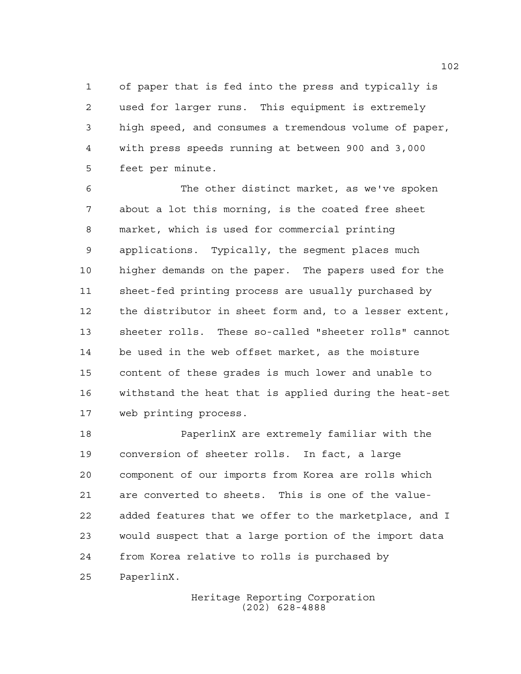of paper that is fed into the press and typically is used for larger runs. This equipment is extremely high speed, and consumes a tremendous volume of paper, with press speeds running at between 900 and 3,000 feet per minute.

 The other distinct market, as we've spoken about a lot this morning, is the coated free sheet market, which is used for commercial printing applications. Typically, the segment places much higher demands on the paper. The papers used for the sheet-fed printing process are usually purchased by the distributor in sheet form and, to a lesser extent, sheeter rolls. These so-called "sheeter rolls" cannot be used in the web offset market, as the moisture content of these grades is much lower and unable to withstand the heat that is applied during the heat-set web printing process.

 PaperlinX are extremely familiar with the conversion of sheeter rolls. In fact, a large component of our imports from Korea are rolls which are converted to sheets. This is one of the value- added features that we offer to the marketplace, and I would suspect that a large portion of the import data from Korea relative to rolls is purchased by PaperlinX.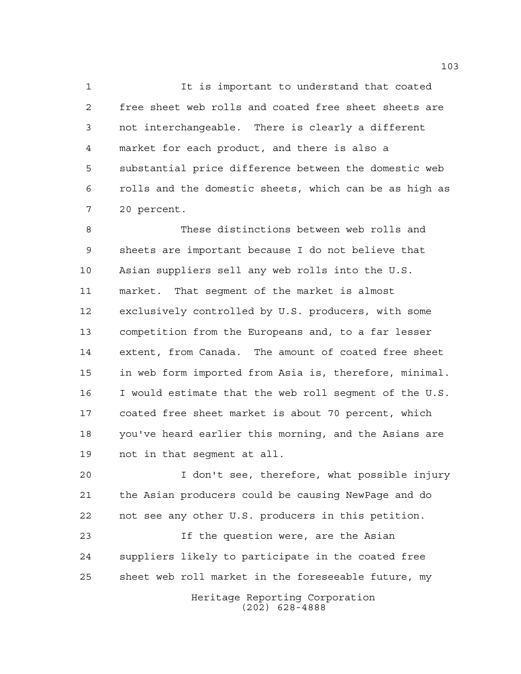It is important to understand that coated free sheet web rolls and coated free sheet sheets are not interchangeable. There is clearly a different market for each product, and there is also a substantial price difference between the domestic web rolls and the domestic sheets, which can be as high as 20 percent.

 These distinctions between web rolls and sheets are important because I do not believe that Asian suppliers sell any web rolls into the U.S. market. That segment of the market is almost exclusively controlled by U.S. producers, with some competition from the Europeans and, to a far lesser extent, from Canada. The amount of coated free sheet in web form imported from Asia is, therefore, minimal. I would estimate that the web roll segment of the U.S. coated free sheet market is about 70 percent, which you've heard earlier this morning, and the Asians are not in that segment at all.

 I don't see, therefore, what possible injury the Asian producers could be causing NewPage and do not see any other U.S. producers in this petition.

 If the question were, are the Asian suppliers likely to participate in the coated free sheet web roll market in the foreseeable future, my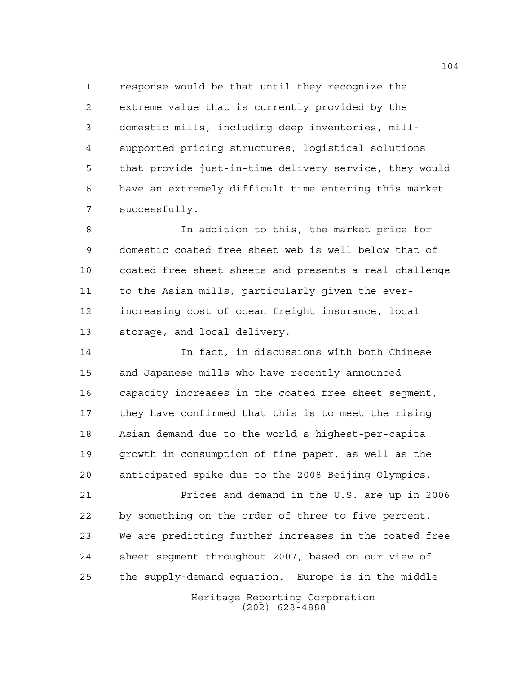response would be that until they recognize the extreme value that is currently provided by the domestic mills, including deep inventories, mill- supported pricing structures, logistical solutions that provide just-in-time delivery service, they would have an extremely difficult time entering this market successfully.

 In addition to this, the market price for domestic coated free sheet web is well below that of coated free sheet sheets and presents a real challenge to the Asian mills, particularly given the ever- increasing cost of ocean freight insurance, local storage, and local delivery.

 In fact, in discussions with both Chinese and Japanese mills who have recently announced capacity increases in the coated free sheet segment, they have confirmed that this is to meet the rising Asian demand due to the world's highest-per-capita growth in consumption of fine paper, as well as the anticipated spike due to the 2008 Beijing Olympics.

 Prices and demand in the U.S. are up in 2006 by something on the order of three to five percent. We are predicting further increases in the coated free sheet segment throughout 2007, based on our view of the supply-demand equation. Europe is in the middle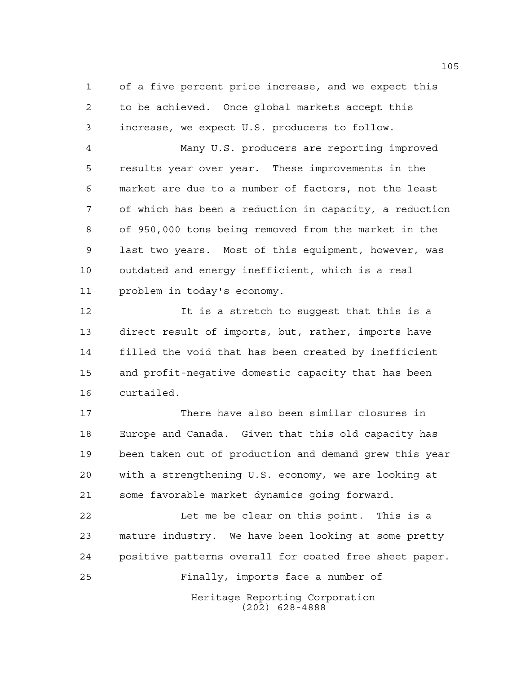of a five percent price increase, and we expect this to be achieved. Once global markets accept this increase, we expect U.S. producers to follow.

 Many U.S. producers are reporting improved results year over year. These improvements in the market are due to a number of factors, not the least of which has been a reduction in capacity, a reduction of 950,000 tons being removed from the market in the last two years. Most of this equipment, however, was outdated and energy inefficient, which is a real problem in today's economy.

12 12 It is a stretch to suqqest that this is a direct result of imports, but, rather, imports have filled the void that has been created by inefficient and profit-negative domestic capacity that has been curtailed.

 There have also been similar closures in Europe and Canada. Given that this old capacity has been taken out of production and demand grew this year with a strengthening U.S. economy, we are looking at some favorable market dynamics going forward.

Heritage Reporting Corporation Let me be clear on this point. This is a mature industry. We have been looking at some pretty positive patterns overall for coated free sheet paper. Finally, imports face a number of

(202) 628-4888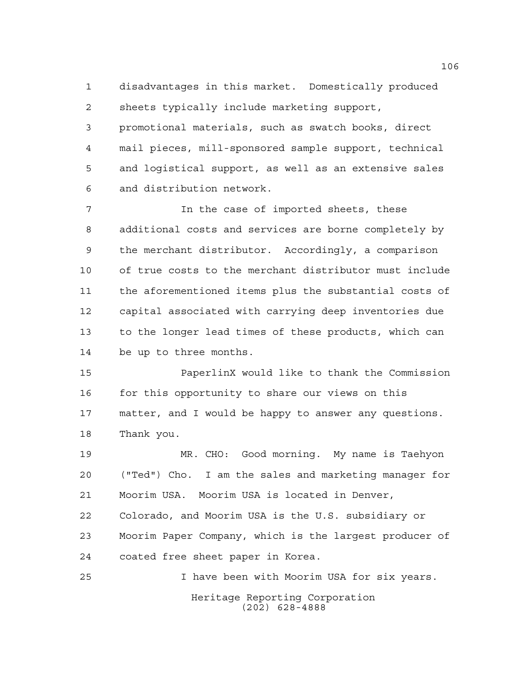disadvantages in this market. Domestically produced sheets typically include marketing support, promotional materials, such as swatch books, direct

 mail pieces, mill-sponsored sample support, technical and logistical support, as well as an extensive sales and distribution network.

 In the case of imported sheets, these additional costs and services are borne completely by the merchant distributor. Accordingly, a comparison of true costs to the merchant distributor must include the aforementioned items plus the substantial costs of capital associated with carrying deep inventories due to the longer lead times of these products, which can be up to three months.

 PaperlinX would like to thank the Commission 16 for this opportunity to share our views on this matter, and I would be happy to answer any questions. Thank you.

 MR. CHO: Good morning. My name is Taehyon ("Ted") Cho. I am the sales and marketing manager for Moorim USA. Moorim USA is located in Denver, Colorado, and Moorim USA is the U.S. subsidiary or Moorim Paper Company, which is the largest producer of coated free sheet paper in Korea.

Heritage Reporting Corporation (202) 628-4888 I have been with Moorim USA for six years.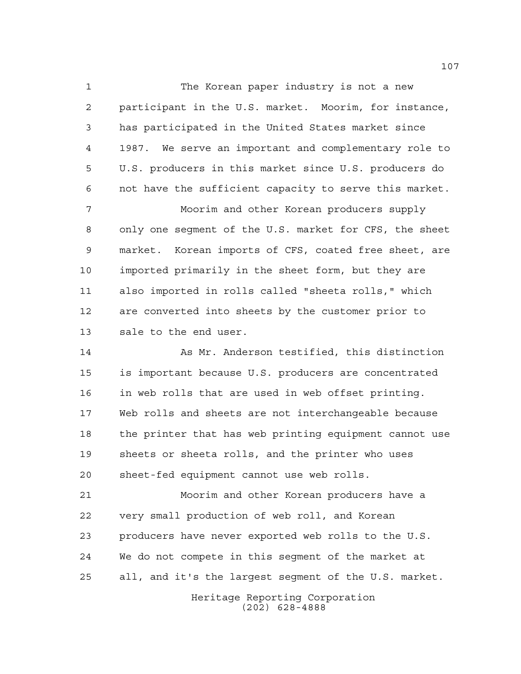The Korean paper industry is not a new participant in the U.S. market. Moorim, for instance, has participated in the United States market since 1987. We serve an important and complementary role to U.S. producers in this market since U.S. producers do not have the sufficient capacity to serve this market.

 Moorim and other Korean producers supply only one segment of the U.S. market for CFS, the sheet market. Korean imports of CFS, coated free sheet, are imported primarily in the sheet form, but they are also imported in rolls called "sheeta rolls," which are converted into sheets by the customer prior to sale to the end user.

14 As Mr. Anderson testified, this distinction is important because U.S. producers are concentrated in web rolls that are used in web offset printing. Web rolls and sheets are not interchangeable because the printer that has web printing equipment cannot use sheets or sheeta rolls, and the printer who uses sheet-fed equipment cannot use web rolls.

 Moorim and other Korean producers have a very small production of web roll, and Korean producers have never exported web rolls to the U.S. We do not compete in this segment of the market at all, and it's the largest segment of the U.S. market.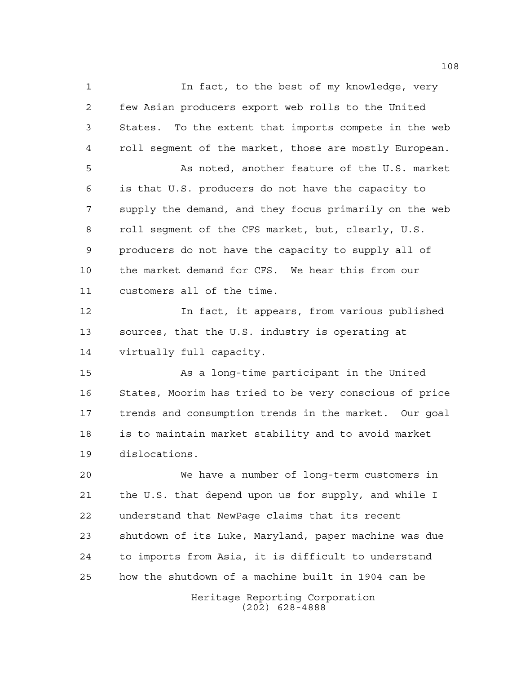Heritage Reporting Corporation (202) 628-4888 1 1 In fact, to the best of my knowledge, very few Asian producers export web rolls to the United States. To the extent that imports compete in the web roll segment of the market, those are mostly European. As noted, another feature of the U.S. market is that U.S. producers do not have the capacity to supply the demand, and they focus primarily on the web roll segment of the CFS market, but, clearly, U.S. producers do not have the capacity to supply all of the market demand for CFS. We hear this from our customers all of the time. In fact, it appears, from various published sources, that the U.S. industry is operating at virtually full capacity. As a long-time participant in the United States, Moorim has tried to be very conscious of price trends and consumption trends in the market. Our goal is to maintain market stability and to avoid market dislocations. We have a number of long-term customers in the U.S. that depend upon us for supply, and while I understand that NewPage claims that its recent shutdown of its Luke, Maryland, paper machine was due to imports from Asia, it is difficult to understand how the shutdown of a machine built in 1904 can be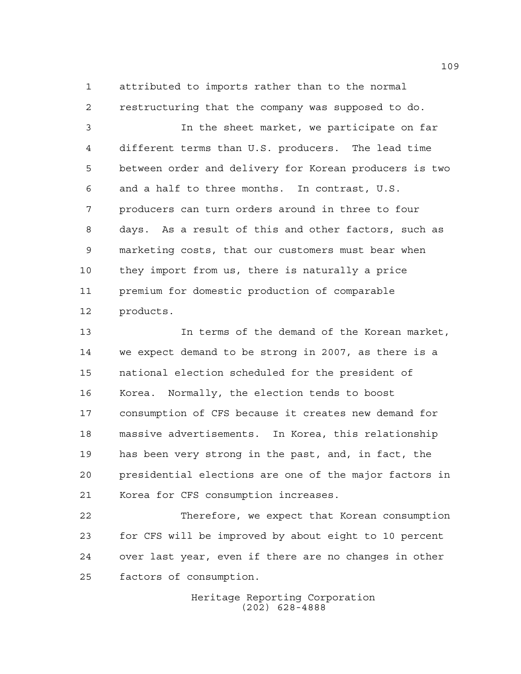attributed to imports rather than to the normal restructuring that the company was supposed to do.

 In the sheet market, we participate on far different terms than U.S. producers. The lead time between order and delivery for Korean producers is two and a half to three months. In contrast, U.S. producers can turn orders around in three to four days. As a result of this and other factors, such as marketing costs, that our customers must bear when they import from us, there is naturally a price premium for domestic production of comparable products.

 In terms of the demand of the Korean market, we expect demand to be strong in 2007, as there is a national election scheduled for the president of Korea. Normally, the election tends to boost consumption of CFS because it creates new demand for massive advertisements. In Korea, this relationship has been very strong in the past, and, in fact, the presidential elections are one of the major factors in Korea for CFS consumption increases.

 Therefore, we expect that Korean consumption for CFS will be improved by about eight to 10 percent over last year, even if there are no changes in other factors of consumption.

> Heritage Reporting Corporation (202) 628-4888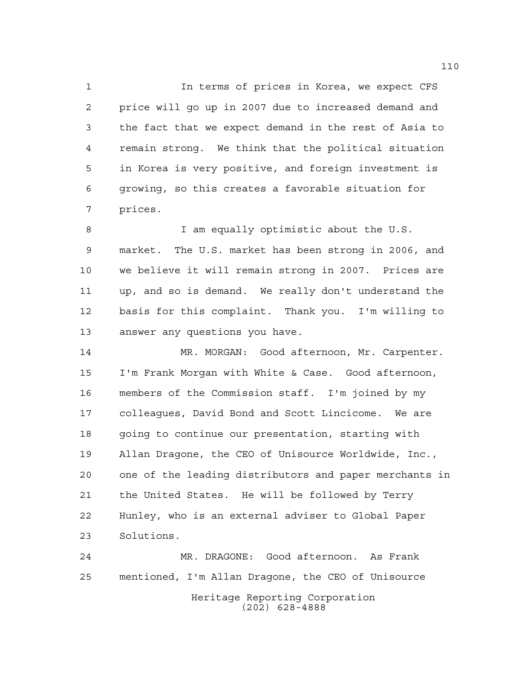In terms of prices in Korea, we expect CFS price will go up in 2007 due to increased demand and the fact that we expect demand in the rest of Asia to remain strong. We think that the political situation in Korea is very positive, and foreign investment is growing, so this creates a favorable situation for prices.

 I am equally optimistic about the U.S. market. The U.S. market has been strong in 2006, and we believe it will remain strong in 2007. Prices are up, and so is demand. We really don't understand the basis for this complaint. Thank you. I'm willing to answer any questions you have.

 MR. MORGAN: Good afternoon, Mr. Carpenter. I'm Frank Morgan with White & Case. Good afternoon, members of the Commission staff. I'm joined by my colleagues, David Bond and Scott Lincicome. We are going to continue our presentation, starting with Allan Dragone, the CEO of Unisource Worldwide, Inc., one of the leading distributors and paper merchants in the United States. He will be followed by Terry Hunley, who is an external adviser to Global Paper Solutions.

Heritage Reporting Corporation (202) 628-4888 MR. DRAGONE: Good afternoon. As Frank mentioned, I'm Allan Dragone, the CEO of Unisource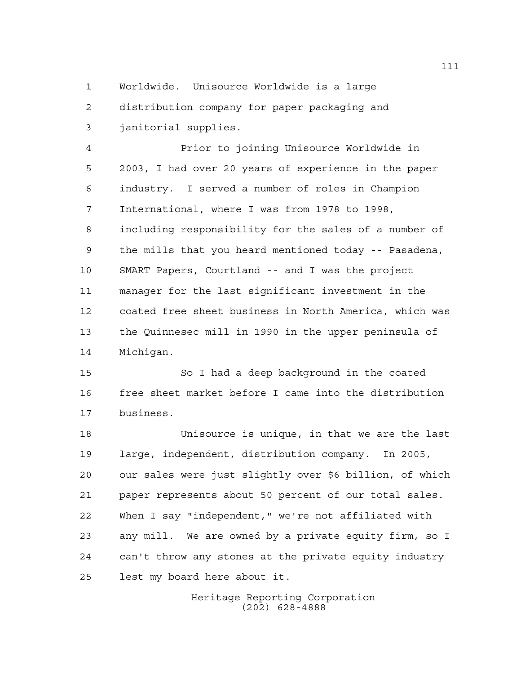Worldwide. Unisource Worldwide is a large distribution company for paper packaging and janitorial supplies.

 Prior to joining Unisource Worldwide in 2003, I had over 20 years of experience in the paper industry. I served a number of roles in Champion International, where I was from 1978 to 1998, including responsibility for the sales of a number of the mills that you heard mentioned today -- Pasadena, SMART Papers, Courtland -- and I was the project manager for the last significant investment in the coated free sheet business in North America, which was the Quinnesec mill in 1990 in the upper peninsula of Michigan.

 So I had a deep background in the coated free sheet market before I came into the distribution business.

 Unisource is unique, in that we are the last large, independent, distribution company. In 2005, our sales were just slightly over \$6 billion, of which paper represents about 50 percent of our total sales. When I say "independent," we're not affiliated with any mill. We are owned by a private equity firm, so I can't throw any stones at the private equity industry lest my board here about it.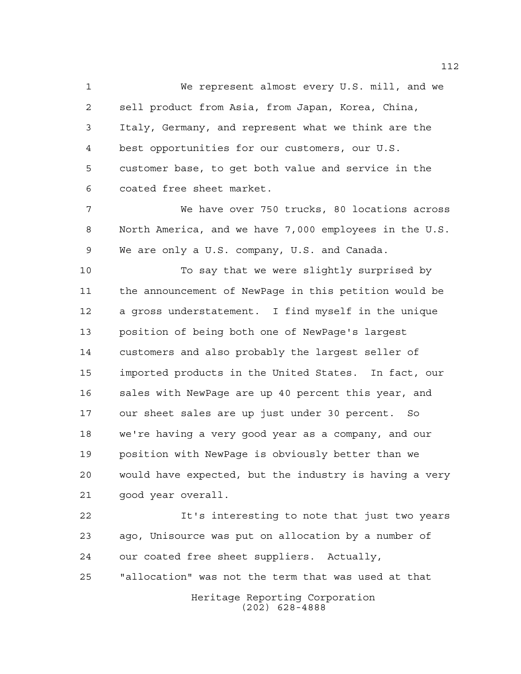We represent almost every U.S. mill, and we sell product from Asia, from Japan, Korea, China, Italy, Germany, and represent what we think are the best opportunities for our customers, our U.S. customer base, to get both value and service in the coated free sheet market.

 We have over 750 trucks, 80 locations across North America, and we have 7,000 employees in the U.S. We are only a U.S. company, U.S. and Canada.

 To say that we were slightly surprised by the announcement of NewPage in this petition would be a gross understatement. I find myself in the unique position of being both one of NewPage's largest customers and also probably the largest seller of imported products in the United States. In fact, our sales with NewPage are up 40 percent this year, and our sheet sales are up just under 30 percent. So we're having a very good year as a company, and our position with NewPage is obviously better than we would have expected, but the industry is having a very good year overall.

Heritage Reporting Corporation It's interesting to note that just two years ago, Unisource was put on allocation by a number of our coated free sheet suppliers. Actually, "allocation" was not the term that was used at that

(202) 628-4888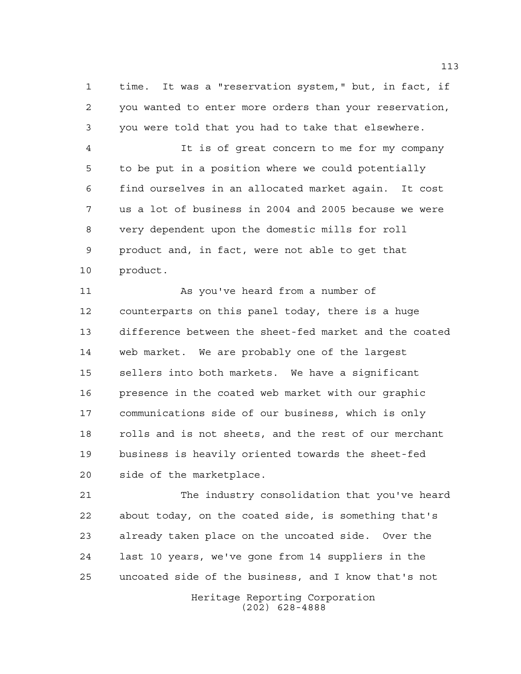time. It was a "reservation system," but, in fact, if you wanted to enter more orders than your reservation, you were told that you had to take that elsewhere.

 It is of great concern to me for my company to be put in a position where we could potentially find ourselves in an allocated market again. It cost us a lot of business in 2004 and 2005 because we were very dependent upon the domestic mills for roll product and, in fact, were not able to get that product.

 As you've heard from a number of counterparts on this panel today, there is a huge difference between the sheet-fed market and the coated web market. We are probably one of the largest sellers into both markets. We have a significant presence in the coated web market with our graphic communications side of our business, which is only rolls and is not sheets, and the rest of our merchant business is heavily oriented towards the sheet-fed side of the marketplace.

 The industry consolidation that you've heard about today, on the coated side, is something that's already taken place on the uncoated side. Over the last 10 years, we've gone from 14 suppliers in the uncoated side of the business, and I know that's not

> Heritage Reporting Corporation (202) 628-4888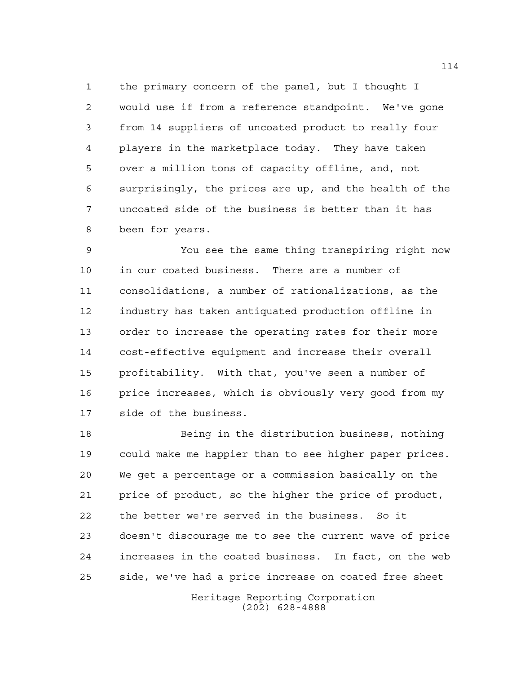the primary concern of the panel, but I thought I would use if from a reference standpoint. We've gone from 14 suppliers of uncoated product to really four players in the marketplace today. They have taken over a million tons of capacity offline, and, not surprisingly, the prices are up, and the health of the uncoated side of the business is better than it has been for years.

 You see the same thing transpiring right now in our coated business. There are a number of consolidations, a number of rationalizations, as the industry has taken antiquated production offline in order to increase the operating rates for their more cost-effective equipment and increase their overall profitability. With that, you've seen a number of price increases, which is obviously very good from my side of the business.

 Being in the distribution business, nothing could make me happier than to see higher paper prices. We get a percentage or a commission basically on the price of product, so the higher the price of product, the better we're served in the business. So it doesn't discourage me to see the current wave of price increases in the coated business. In fact, on the web side, we've had a price increase on coated free sheet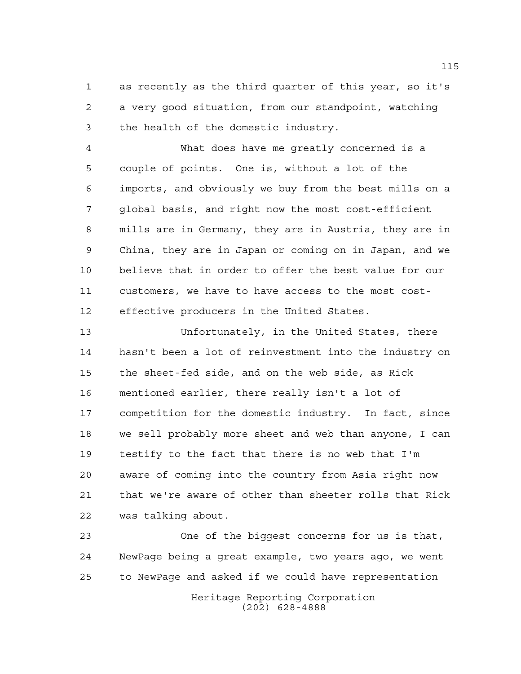as recently as the third quarter of this year, so it's a very good situation, from our standpoint, watching the health of the domestic industry.

 What does have me greatly concerned is a couple of points. One is, without a lot of the imports, and obviously we buy from the best mills on a global basis, and right now the most cost-efficient mills are in Germany, they are in Austria, they are in China, they are in Japan or coming on in Japan, and we believe that in order to offer the best value for our customers, we have to have access to the most cost-effective producers in the United States.

 Unfortunately, in the United States, there hasn't been a lot of reinvestment into the industry on the sheet-fed side, and on the web side, as Rick mentioned earlier, there really isn't a lot of competition for the domestic industry. In fact, since we sell probably more sheet and web than anyone, I can testify to the fact that there is no web that I'm aware of coming into the country from Asia right now that we're aware of other than sheeter rolls that Rick was talking about.

 One of the biggest concerns for us is that, NewPage being a great example, two years ago, we went to NewPage and asked if we could have representation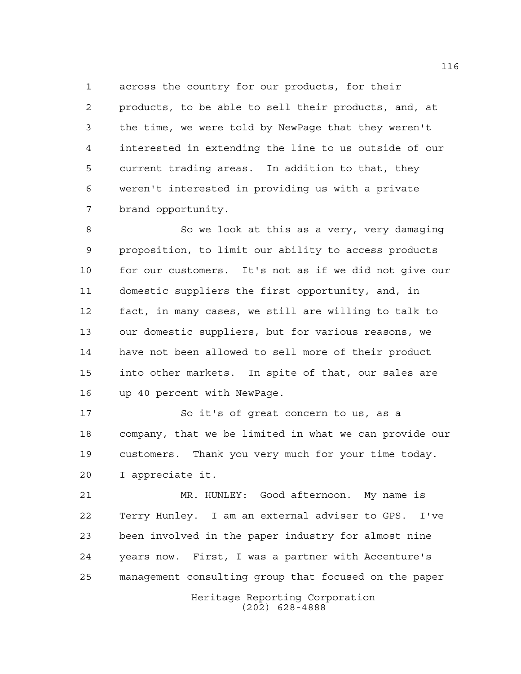across the country for our products, for their products, to be able to sell their products, and, at the time, we were told by NewPage that they weren't interested in extending the line to us outside of our current trading areas. In addition to that, they weren't interested in providing us with a private brand opportunity.

8 So we look at this as a very, very damaging proposition, to limit our ability to access products for our customers. It's not as if we did not give our domestic suppliers the first opportunity, and, in fact, in many cases, we still are willing to talk to our domestic suppliers, but for various reasons, we have not been allowed to sell more of their product into other markets. In spite of that, our sales are up 40 percent with NewPage.

 So it's of great concern to us, as a company, that we be limited in what we can provide our customers. Thank you very much for your time today. I appreciate it.

 MR. HUNLEY: Good afternoon. My name is Terry Hunley. I am an external adviser to GPS. I've been involved in the paper industry for almost nine years now. First, I was a partner with Accenture's management consulting group that focused on the paper

> Heritage Reporting Corporation (202) 628-4888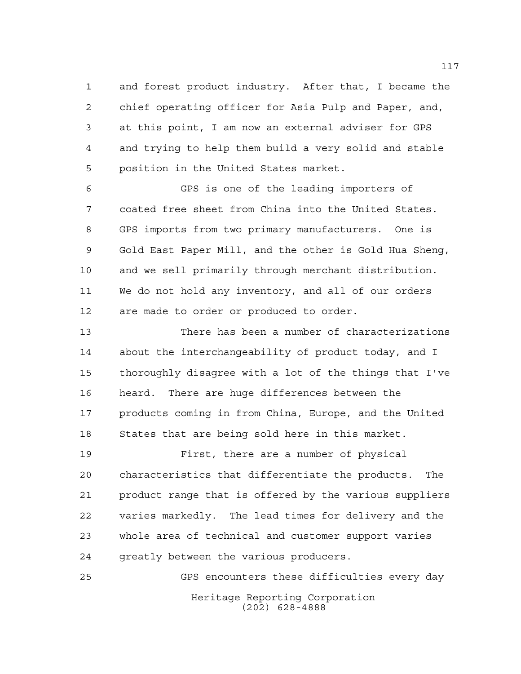and forest product industry. After that, I became the chief operating officer for Asia Pulp and Paper, and, at this point, I am now an external adviser for GPS and trying to help them build a very solid and stable position in the United States market.

 GPS is one of the leading importers of coated free sheet from China into the United States. GPS imports from two primary manufacturers. One is Gold East Paper Mill, and the other is Gold Hua Sheng, and we sell primarily through merchant distribution. We do not hold any inventory, and all of our orders are made to order or produced to order.

 There has been a number of characterizations about the interchangeability of product today, and I thoroughly disagree with a lot of the things that I've heard. There are huge differences between the products coming in from China, Europe, and the United States that are being sold here in this market.

 First, there are a number of physical characteristics that differentiate the products. The product range that is offered by the various suppliers varies markedly. The lead times for delivery and the whole area of technical and customer support varies greatly between the various producers.

Heritage Reporting Corporation (202) 628-4888 GPS encounters these difficulties every day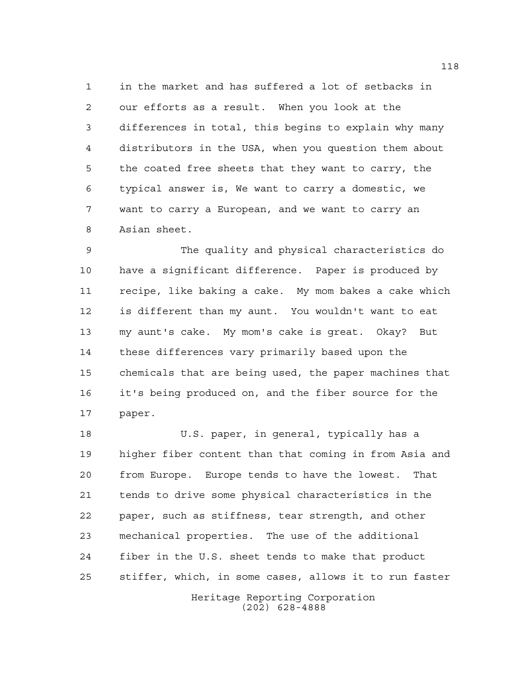in the market and has suffered a lot of setbacks in our efforts as a result. When you look at the differences in total, this begins to explain why many distributors in the USA, when you question them about the coated free sheets that they want to carry, the typical answer is, We want to carry a domestic, we want to carry a European, and we want to carry an Asian sheet.

 The quality and physical characteristics do have a significant difference. Paper is produced by recipe, like baking a cake. My mom bakes a cake which is different than my aunt. You wouldn't want to eat my aunt's cake. My mom's cake is great. Okay? But these differences vary primarily based upon the chemicals that are being used, the paper machines that it's being produced on, and the fiber source for the paper.

 U.S. paper, in general, typically has a higher fiber content than that coming in from Asia and from Europe. Europe tends to have the lowest. That tends to drive some physical characteristics in the paper, such as stiffness, tear strength, and other mechanical properties. The use of the additional fiber in the U.S. sheet tends to make that product stiffer, which, in some cases, allows it to run faster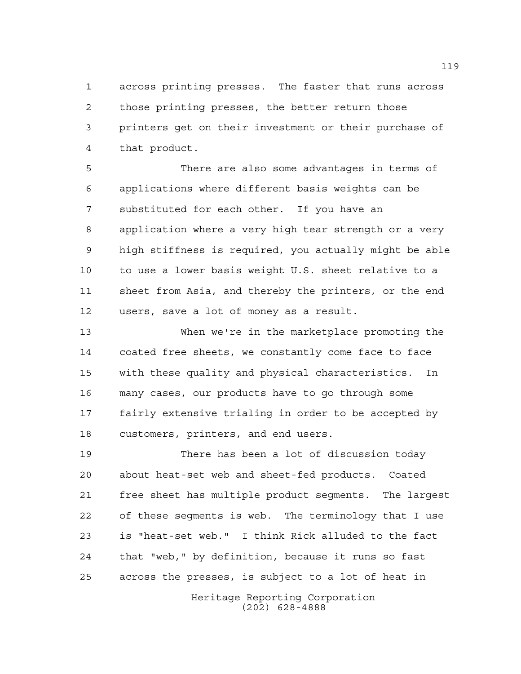across printing presses. The faster that runs across those printing presses, the better return those printers get on their investment or their purchase of that product.

 There are also some advantages in terms of applications where different basis weights can be substituted for each other. If you have an application where a very high tear strength or a very high stiffness is required, you actually might be able to use a lower basis weight U.S. sheet relative to a sheet from Asia, and thereby the printers, or the end users, save a lot of money as a result.

 When we're in the marketplace promoting the coated free sheets, we constantly come face to face with these quality and physical characteristics. In many cases, our products have to go through some fairly extensive trialing in order to be accepted by customers, printers, and end users.

 There has been a lot of discussion today about heat-set web and sheet-fed products. Coated free sheet has multiple product segments. The largest of these segments is web. The terminology that I use is "heat-set web." I think Rick alluded to the fact that "web," by definition, because it runs so fast across the presses, is subject to a lot of heat in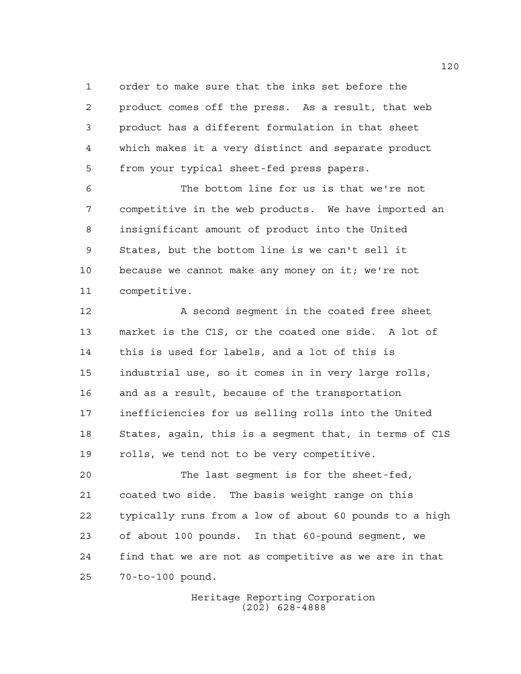order to make sure that the inks set before the product comes off the press. As a result, that web product has a different formulation in that sheet which makes it a very distinct and separate product from your typical sheet-fed press papers.

 The bottom line for us is that we're not competitive in the web products. We have imported an insignificant amount of product into the United States, but the bottom line is we can't sell it because we cannot make any money on it; we're not competitive.

12 A second seqment in the coated free sheet market is the C1S, or the coated one side. A lot of this is used for labels, and a lot of this is industrial use, so it comes in in very large rolls, and as a result, because of the transportation inefficiencies for us selling rolls into the United States, again, this is a segment that, in terms of C1S rolls, we tend not to be very competitive.

 The last segment is for the sheet-fed, coated two side. The basis weight range on this typically runs from a low of about 60 pounds to a high of about 100 pounds. In that 60-pound segment, we find that we are not as competitive as we are in that 70-to-100 pound.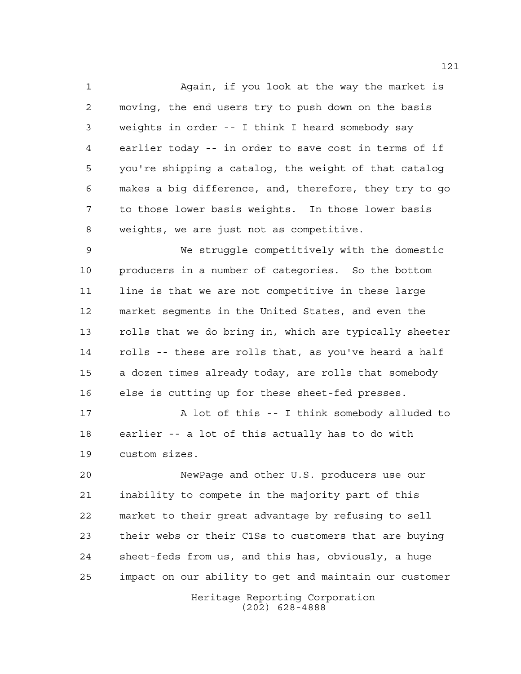Again, if you look at the way the market is moving, the end users try to push down on the basis weights in order -- I think I heard somebody say earlier today -- in order to save cost in terms of if you're shipping a catalog, the weight of that catalog makes a big difference, and, therefore, they try to go to those lower basis weights. In those lower basis weights, we are just not as competitive.

 We struggle competitively with the domestic producers in a number of categories. So the bottom line is that we are not competitive in these large market segments in the United States, and even the rolls that we do bring in, which are typically sheeter rolls -- these are rolls that, as you've heard a half a dozen times already today, are rolls that somebody else is cutting up for these sheet-fed presses.

 A lot of this -- I think somebody alluded to earlier -- a lot of this actually has to do with custom sizes.

 NewPage and other U.S. producers use our inability to compete in the majority part of this market to their great advantage by refusing to sell their webs or their C1Ss to customers that are buying sheet-feds from us, and this has, obviously, a huge impact on our ability to get and maintain our customer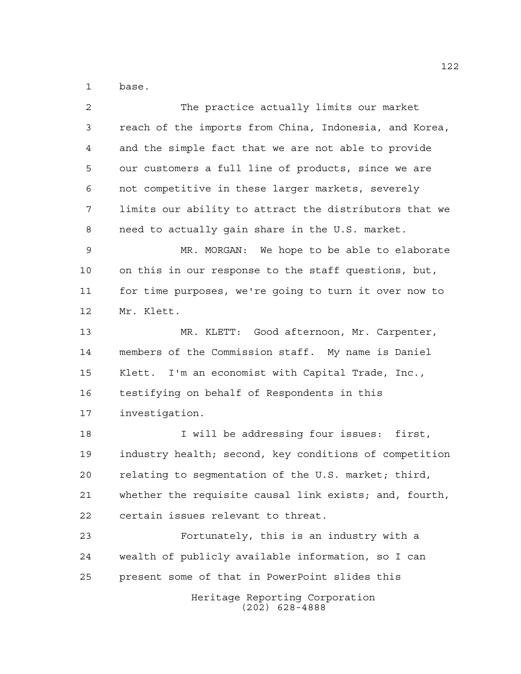base.

| $\overline{2}$ | The practice actually limits our market                |
|----------------|--------------------------------------------------------|
| 3              | reach of the imports from China, Indonesia, and Korea, |
| 4              | and the simple fact that we are not able to provide    |
| 5              | our customers a full line of products, since we are    |
| 6              | not competitive in these larger markets, severely      |
| 7              | limits our ability to attract the distributors that we |
| 8              | need to actually gain share in the U.S. market.        |
| 9              | MR. MORGAN: We hope to be able to elaborate            |
| 10             | on this in our response to the staff questions, but,   |
| 11             | for time purposes, we're going to turn it over now to  |
| 12             | Mr. Klett.                                             |
| 13             | MR. KLETT: Good afternoon, Mr. Carpenter,              |
| 14             | members of the Commission staff. My name is Daniel     |
| 15             | Klett. I'm an economist with Capital Trade, Inc.,      |
| 16             | testifying on behalf of Respondents in this            |
| 17             | investigation.                                         |
| 18             | I will be addressing four issues: first,               |
| 19             | industry health; second, key conditions of competition |
| 20             | relating to seqmentation of the U.S. market; third,    |
| 21             | whether the requisite causal link exists; and, fourth, |
| 22             | certain issues relevant to threat.                     |
| 23             | Fortunately, this is an industry with a                |
| 24             | wealth of publicly available information, so I can     |
| 25             | present some of that in PowerPoint slides this         |
|                | Heritage Reporting Corporation<br>$(202)$ 628-4888     |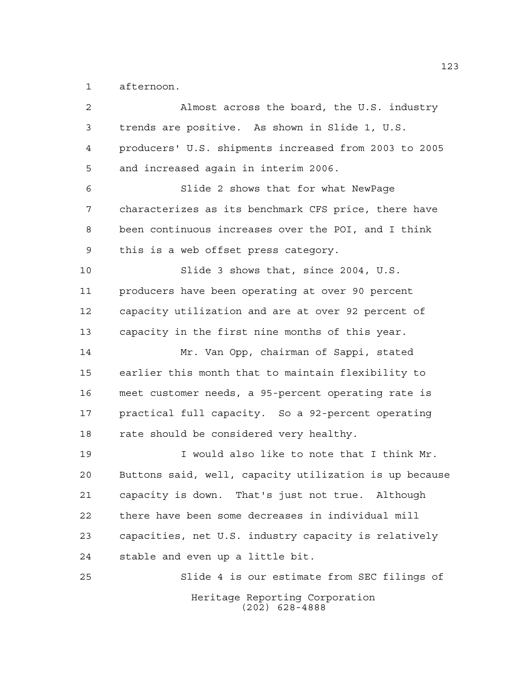afternoon.

| $\overline{2}$ | Almost across the board, the U.S. industry             |
|----------------|--------------------------------------------------------|
| 3              | trends are positive. As shown in Slide 1, U.S.         |
| 4              | producers' U.S. shipments increased from 2003 to 2005  |
| 5              | and increased again in interim 2006.                   |
| 6              | Slide 2 shows that for what NewPage                    |
| 7              | characterizes as its benchmark CFS price, there have   |
| 8              | been continuous increases over the POI, and I think    |
| 9              | this is a web offset press category.                   |
| 10             | Slide 3 shows that, since 2004, U.S.                   |
| 11             | producers have been operating at over 90 percent       |
| 12             | capacity utilization and are at over 92 percent of     |
| 13             | capacity in the first nine months of this year.        |
| 14             | Mr. Van Opp, chairman of Sappi, stated                 |
| 15             | earlier this month that to maintain flexibility to     |
| 16             | meet customer needs, a 95-percent operating rate is    |
| 17             | practical full capacity. So a 92-percent operating     |
| 18             | rate should be considered very healthy.                |
| 19             | I would also like to note that I think Mr.             |
| 20             | Buttons said, well, capacity utilization is up because |
| 21             | capacity is down. That's just not true. Although       |
| 22             | there have been some decreases in individual mill      |
| 23             | capacities, net U.S. industry capacity is relatively   |
| 24             | stable and even up a little bit.                       |
| 25             | Slide 4 is our estimate from SEC filings of            |
|                | Heritage Reporting Corporation<br>$(202)$ 628-4888     |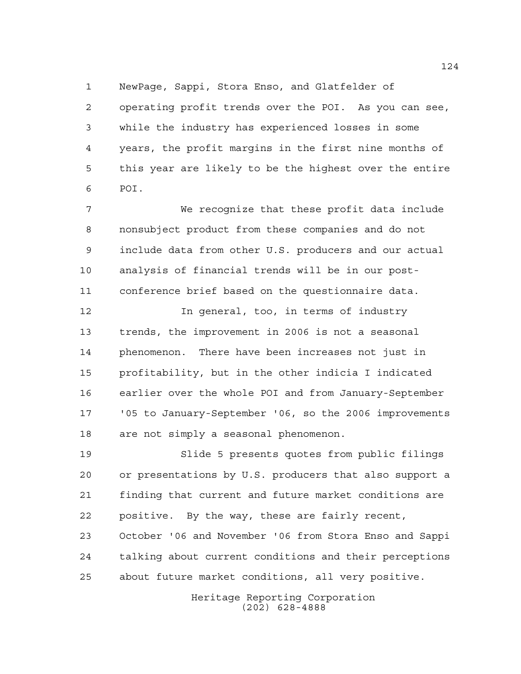NewPage, Sappi, Stora Enso, and Glatfelder of

 operating profit trends over the POI. As you can see, while the industry has experienced losses in some years, the profit margins in the first nine months of this year are likely to be the highest over the entire POI.

 We recognize that these profit data include nonsubject product from these companies and do not include data from other U.S. producers and our actual analysis of financial trends will be in our post-conference brief based on the questionnaire data.

 In general, too, in terms of industry trends, the improvement in 2006 is not a seasonal phenomenon. There have been increases not just in profitability, but in the other indicia I indicated earlier over the whole POI and from January-September '05 to January-September '06, so the 2006 improvements are not simply a seasonal phenomenon.

 Slide 5 presents quotes from public filings or presentations by U.S. producers that also support a finding that current and future market conditions are positive. By the way, these are fairly recent,

 October '06 and November '06 from Stora Enso and Sappi talking about current conditions and their perceptions about future market conditions, all very positive.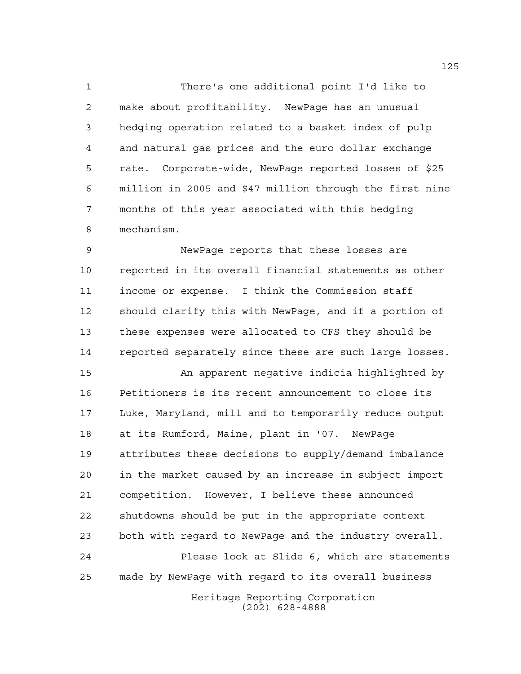There's one additional point I'd like to make about profitability. NewPage has an unusual hedging operation related to a basket index of pulp and natural gas prices and the euro dollar exchange rate. Corporate-wide, NewPage reported losses of \$25 million in 2005 and \$47 million through the first nine months of this year associated with this hedging mechanism.

 NewPage reports that these losses are reported in its overall financial statements as other income or expense. I think the Commission staff should clarify this with NewPage, and if a portion of these expenses were allocated to CFS they should be reported separately since these are such large losses.

 An apparent negative indicia highlighted by Petitioners is its recent announcement to close its Luke, Maryland, mill and to temporarily reduce output at its Rumford, Maine, plant in '07. NewPage attributes these decisions to supply/demand imbalance in the market caused by an increase in subject import competition. However, I believe these announced shutdowns should be put in the appropriate context both with regard to NewPage and the industry overall. Please look at Slide 6, which are statements made by NewPage with regard to its overall business

> Heritage Reporting Corporation (202) 628-4888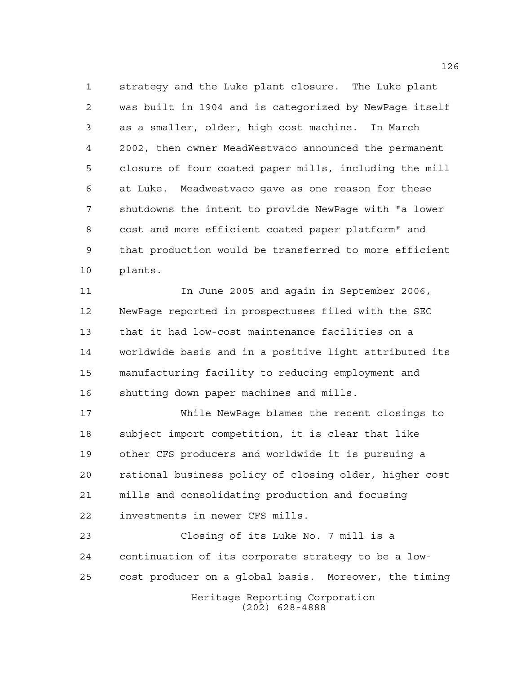strategy and the Luke plant closure. The Luke plant was built in 1904 and is categorized by NewPage itself as a smaller, older, high cost machine. In March 2002, then owner MeadWestvaco announced the permanent closure of four coated paper mills, including the mill at Luke. Meadwestvaco gave as one reason for these shutdowns the intent to provide NewPage with "a lower cost and more efficient coated paper platform" and that production would be transferred to more efficient plants.

 In June 2005 and again in September 2006, NewPage reported in prospectuses filed with the SEC that it had low-cost maintenance facilities on a worldwide basis and in a positive light attributed its manufacturing facility to reducing employment and shutting down paper machines and mills.

 While NewPage blames the recent closings to subject import competition, it is clear that like other CFS producers and worldwide it is pursuing a rational business policy of closing older, higher cost mills and consolidating production and focusing investments in newer CFS mills.

Heritage Reporting Corporation (202) 628-4888 Closing of its Luke No. 7 mill is a continuation of its corporate strategy to be a low-cost producer on a global basis. Moreover, the timing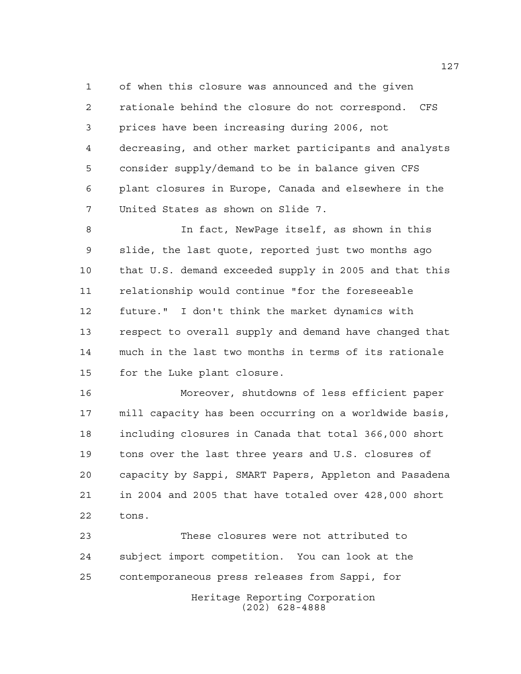of when this closure was announced and the given rationale behind the closure do not correspond. CFS prices have been increasing during 2006, not decreasing, and other market participants and analysts consider supply/demand to be in balance given CFS plant closures in Europe, Canada and elsewhere in the United States as shown on Slide 7.

 In fact, NewPage itself, as shown in this slide, the last quote, reported just two months ago that U.S. demand exceeded supply in 2005 and that this relationship would continue "for the foreseeable future." I don't think the market dynamics with respect to overall supply and demand have changed that much in the last two months in terms of its rationale for the Luke plant closure.

 Moreover, shutdowns of less efficient paper mill capacity has been occurring on a worldwide basis, including closures in Canada that total 366,000 short tons over the last three years and U.S. closures of capacity by Sappi, SMART Papers, Appleton and Pasadena in 2004 and 2005 that have totaled over 428,000 short tons.

Heritage Reporting Corporation (202) 628-4888 These closures were not attributed to subject import competition. You can look at the contemporaneous press releases from Sappi, for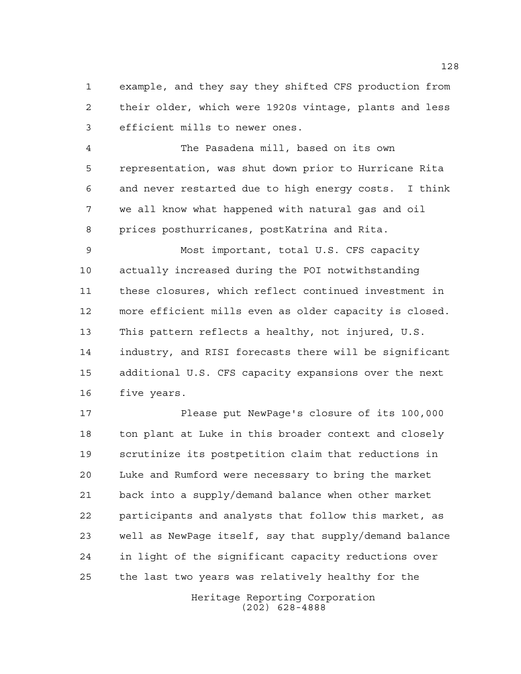example, and they say they shifted CFS production from their older, which were 1920s vintage, plants and less efficient mills to newer ones.

 The Pasadena mill, based on its own representation, was shut down prior to Hurricane Rita and never restarted due to high energy costs. I think we all know what happened with natural gas and oil prices posthurricanes, postKatrina and Rita.

 Most important, total U.S. CFS capacity actually increased during the POI notwithstanding these closures, which reflect continued investment in more efficient mills even as older capacity is closed. This pattern reflects a healthy, not injured, U.S. industry, and RISI forecasts there will be significant additional U.S. CFS capacity expansions over the next five years.

 Please put NewPage's closure of its 100,000 ton plant at Luke in this broader context and closely scrutinize its postpetition claim that reductions in Luke and Rumford were necessary to bring the market back into a supply/demand balance when other market participants and analysts that follow this market, as well as NewPage itself, say that supply/demand balance in light of the significant capacity reductions over the last two years was relatively healthy for the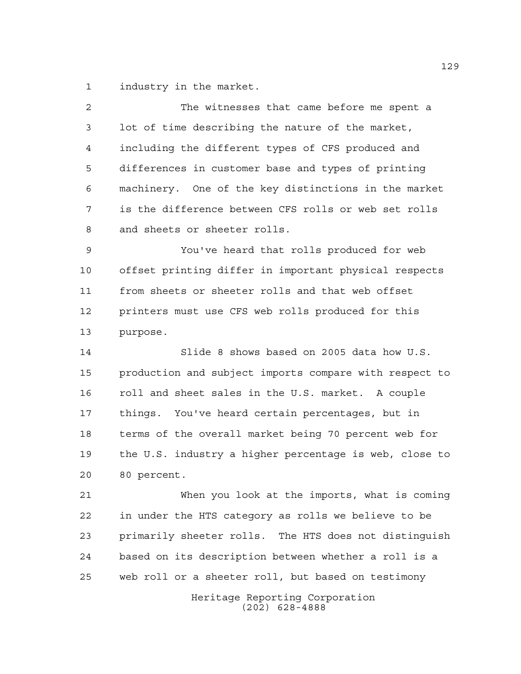industry in the market.

| 2  | The witnesses that came before me spent a              |
|----|--------------------------------------------------------|
| 3  | lot of time describing the nature of the market,       |
| 4  | including the different types of CFS produced and      |
| 5  | differences in customer base and types of printing     |
| 6  | machinery. One of the key distinctions in the market   |
| 7  | is the difference between CFS rolls or web set rolls   |
| 8  | and sheets or sheeter rolls.                           |
| 9  | You've heard that rolls produced for web               |
| 10 | offset printing differ in important physical respects  |
| 11 | from sheets or sheeter rolls and that web offset       |
| 12 | printers must use CFS web rolls produced for this      |
| 13 | purpose.                                               |
| 14 | Slide 8 shows based on 2005 data how U.S.              |
| 15 | production and subject imports compare with respect to |
| 16 | roll and sheet sales in the U.S. market. A couple      |
| 17 | things. You've heard certain percentages, but in       |
| 18 | terms of the overall market being 70 percent web for   |
| 19 | the U.S. industry a higher percentage is web, close to |
| 20 | 80 percent.                                            |
| 21 | When you look at the imports, what is coming           |
| 22 | in under the HTS category as rolls we believe to be    |
| 23 | primarily sheeter rolls. The HTS does not distinguish  |
| 24 | based on its description between whether a roll is a   |

web roll or a sheeter roll, but based on testimony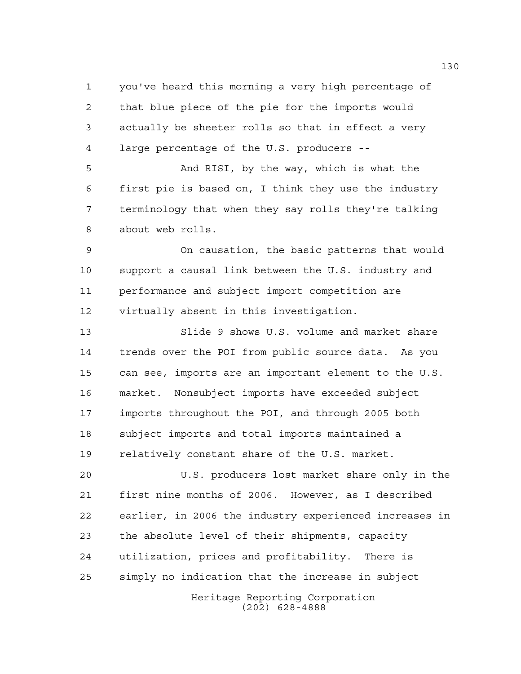you've heard this morning a very high percentage of that blue piece of the pie for the imports would actually be sheeter rolls so that in effect a very large percentage of the U.S. producers --

 And RISI, by the way, which is what the first pie is based on, I think they use the industry terminology that when they say rolls they're talking about web rolls.

 On causation, the basic patterns that would support a causal link between the U.S. industry and performance and subject import competition are virtually absent in this investigation.

 Slide 9 shows U.S. volume and market share trends over the POI from public source data. As you can see, imports are an important element to the U.S. market. Nonsubject imports have exceeded subject imports throughout the POI, and through 2005 both subject imports and total imports maintained a relatively constant share of the U.S. market.

 U.S. producers lost market share only in the first nine months of 2006. However, as I described earlier, in 2006 the industry experienced increases in the absolute level of their shipments, capacity utilization, prices and profitability. There is simply no indication that the increase in subject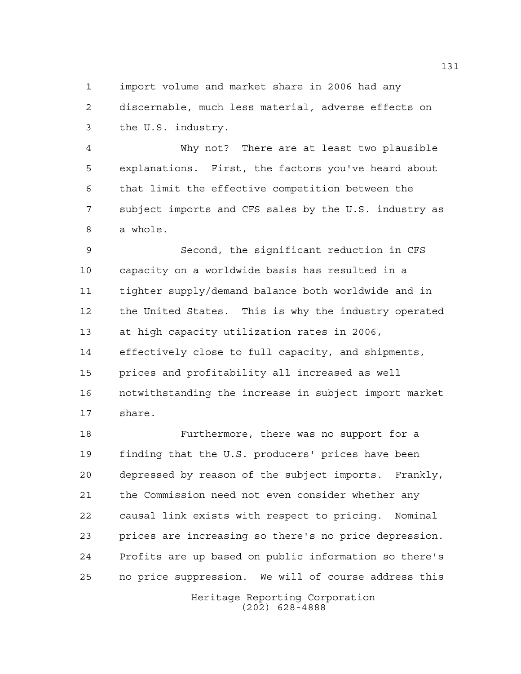import volume and market share in 2006 had any discernable, much less material, adverse effects on the U.S. industry.

 Why not? There are at least two plausible explanations. First, the factors you've heard about that limit the effective competition between the subject imports and CFS sales by the U.S. industry as a whole.

 Second, the significant reduction in CFS capacity on a worldwide basis has resulted in a tighter supply/demand balance both worldwide and in the United States. This is why the industry operated at high capacity utilization rates in 2006, effectively close to full capacity, and shipments, prices and profitability all increased as well notwithstanding the increase in subject import market share.

 Furthermore, there was no support for a finding that the U.S. producers' prices have been depressed by reason of the subject imports. Frankly, the Commission need not even consider whether any causal link exists with respect to pricing. Nominal prices are increasing so there's no price depression. Profits are up based on public information so there's no price suppression. We will of course address this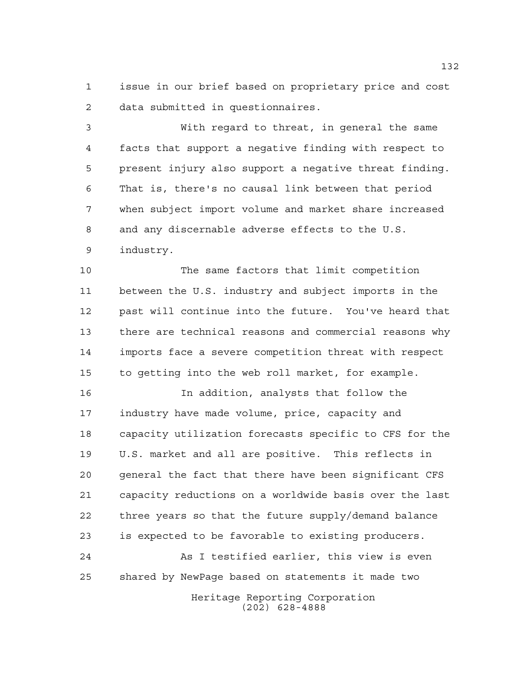issue in our brief based on proprietary price and cost data submitted in questionnaires.

 With regard to threat, in general the same facts that support a negative finding with respect to present injury also support a negative threat finding. That is, there's no causal link between that period when subject import volume and market share increased and any discernable adverse effects to the U.S. industry.

 The same factors that limit competition between the U.S. industry and subject imports in the past will continue into the future. You've heard that there are technical reasons and commercial reasons why imports face a severe competition threat with respect to getting into the web roll market, for example.

 In addition, analysts that follow the industry have made volume, price, capacity and capacity utilization forecasts specific to CFS for the U.S. market and all are positive. This reflects in general the fact that there have been significant CFS capacity reductions on a worldwide basis over the last three years so that the future supply/demand balance is expected to be favorable to existing producers.

 As I testified earlier, this view is even shared by NewPage based on statements it made two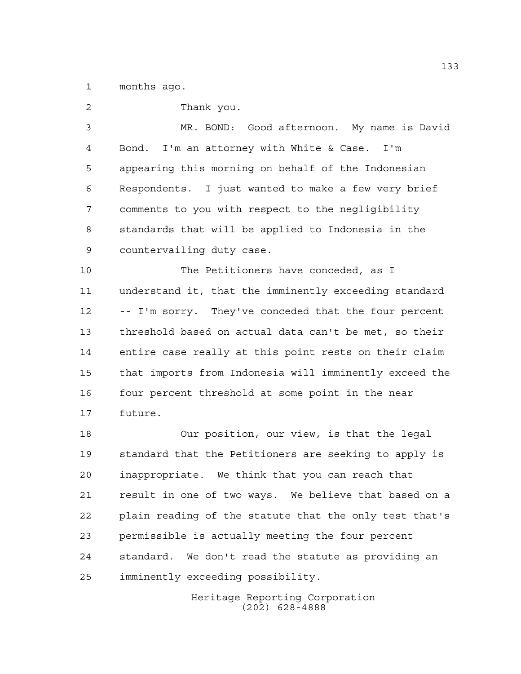months ago.

| 2              | Thank you.                                             |
|----------------|--------------------------------------------------------|
| $\mathfrak{Z}$ | MR. BOND: Good afternoon. My name is David             |
| 4              | Bond. I'm an attorney with White & Case. I'm           |
| 5              | appearing this morning on behalf of the Indonesian     |
| 6              | Respondents. I just wanted to make a few very brief    |
| 7              | comments to you with respect to the negligibility      |
| 8              | standards that will be applied to Indonesia in the     |
| 9              | countervailing duty case.                              |
| 10             | The Petitioners have conceded, as I                    |
| 11             | understand it, that the imminently exceeding standard  |
| 12             | -- I'm sorry. They've conceded that the four percent   |
| 13             | threshold based on actual data can't be met, so their  |
| 14             | entire case really at this point rests on their claim  |
| 15             | that imports from Indonesia will imminently exceed the |
| 16             | four percent threshold at some point in the near       |
| 17             | future.                                                |
| 18             | Our position, our view, is that the legal              |
| 19             | standard that the Petitioners are seeking to apply is  |
| 20             | inappropriate. We think that you can reach that        |
| 21             | result in one of two ways. We believe that based on a  |

 plain reading of the statute that the only test that's permissible is actually meeting the four percent standard. We don't read the statute as providing an imminently exceeding possibility.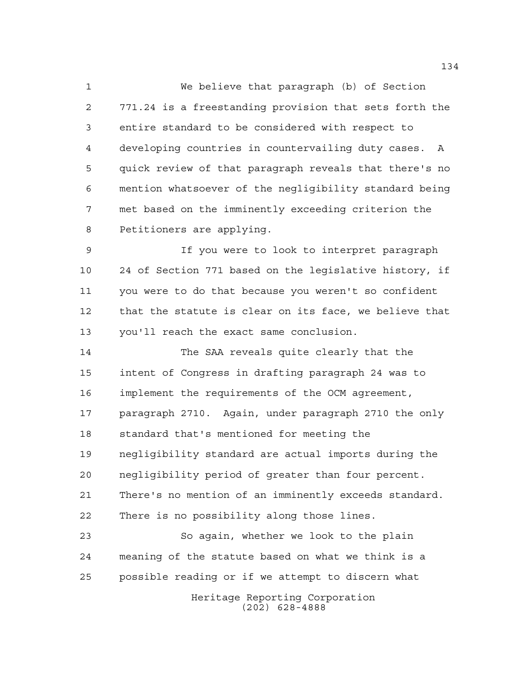We believe that paragraph (b) of Section 771.24 is a freestanding provision that sets forth the entire standard to be considered with respect to developing countries in countervailing duty cases. A quick review of that paragraph reveals that there's no mention whatsoever of the negligibility standard being met based on the imminently exceeding criterion the Petitioners are applying.

 If you were to look to interpret paragraph 24 of Section 771 based on the legislative history, if you were to do that because you weren't so confident that the statute is clear on its face, we believe that you'll reach the exact same conclusion.

 The SAA reveals quite clearly that the intent of Congress in drafting paragraph 24 was to implement the requirements of the OCM agreement, paragraph 2710. Again, under paragraph 2710 the only standard that's mentioned for meeting the negligibility standard are actual imports during the negligibility period of greater than four percent. There's no mention of an imminently exceeds standard. There is no possibility along those lines.

 So again, whether we look to the plain meaning of the statute based on what we think is a possible reading or if we attempt to discern what

Heritage Reporting Corporation (202) 628-4888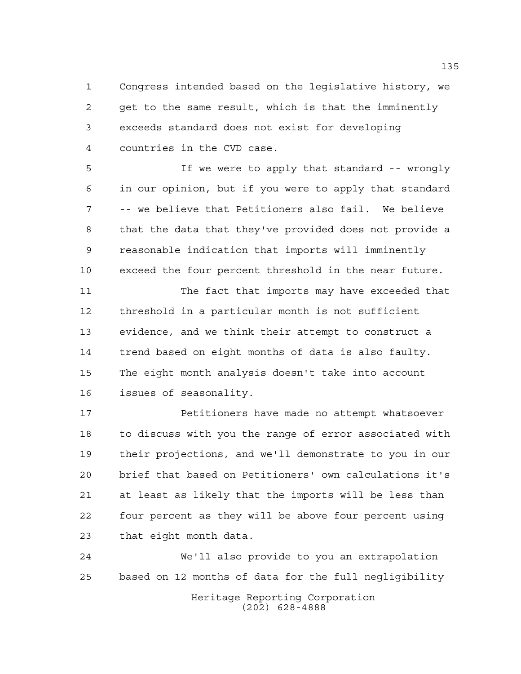Congress intended based on the legislative history, we get to the same result, which is that the imminently exceeds standard does not exist for developing countries in the CVD case.

 If we were to apply that standard -- wrongly in our opinion, but if you were to apply that standard -- we believe that Petitioners also fail. We believe that the data that they've provided does not provide a reasonable indication that imports will imminently exceed the four percent threshold in the near future.

 The fact that imports may have exceeded that threshold in a particular month is not sufficient evidence, and we think their attempt to construct a trend based on eight months of data is also faulty. The eight month analysis doesn't take into account issues of seasonality.

**Petitioners have made no attempt whatsoever**  to discuss with you the range of error associated with their projections, and we'll demonstrate to you in our brief that based on Petitioners' own calculations it's at least as likely that the imports will be less than four percent as they will be above four percent using that eight month data.

 We'll also provide to you an extrapolation based on 12 months of data for the full negligibility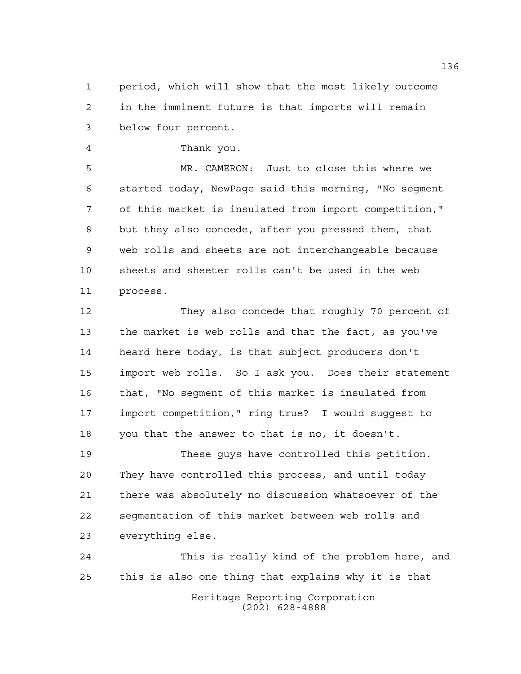period, which will show that the most likely outcome in the imminent future is that imports will remain below four percent.

Thank you.

 MR. CAMERON: Just to close this where we started today, NewPage said this morning, "No segment of this market is insulated from import competition," but they also concede, after you pressed them, that web rolls and sheets are not interchangeable because sheets and sheeter rolls can't be used in the web process.

 They also concede that roughly 70 percent of the market is web rolls and that the fact, as you've heard here today, is that subject producers don't import web rolls. So I ask you. Does their statement that, "No segment of this market is insulated from import competition," ring true? I would suggest to you that the answer to that is no, it doesn't.

 These guys have controlled this petition. They have controlled this process, and until today there was absolutely no discussion whatsoever of the segmentation of this market between web rolls and everything else.

Heritage Reporting Corporation (202) 628-4888 This is really kind of the problem here, and this is also one thing that explains why it is that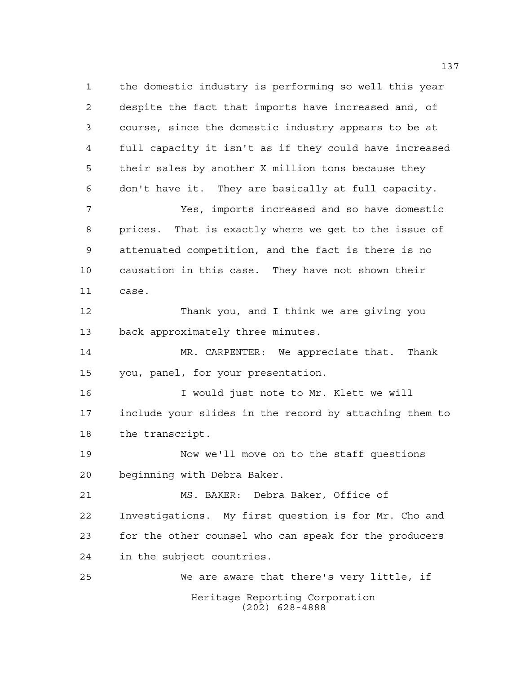Heritage Reporting Corporation (202) 628-4888 the domestic industry is performing so well this year despite the fact that imports have increased and, of course, since the domestic industry appears to be at full capacity it isn't as if they could have increased their sales by another X million tons because they don't have it. They are basically at full capacity. Yes, imports increased and so have domestic prices. That is exactly where we get to the issue of attenuated competition, and the fact is there is no causation in this case. They have not shown their case. Thank you, and I think we are giving you back approximately three minutes. MR. CARPENTER: We appreciate that. Thank you, panel, for your presentation. I would just note to Mr. Klett we will include your slides in the record by attaching them to the transcript. Now we'll move on to the staff questions beginning with Debra Baker. MS. BAKER: Debra Baker, Office of Investigations. My first question is for Mr. Cho and for the other counsel who can speak for the producers in the subject countries. We are aware that there's very little, if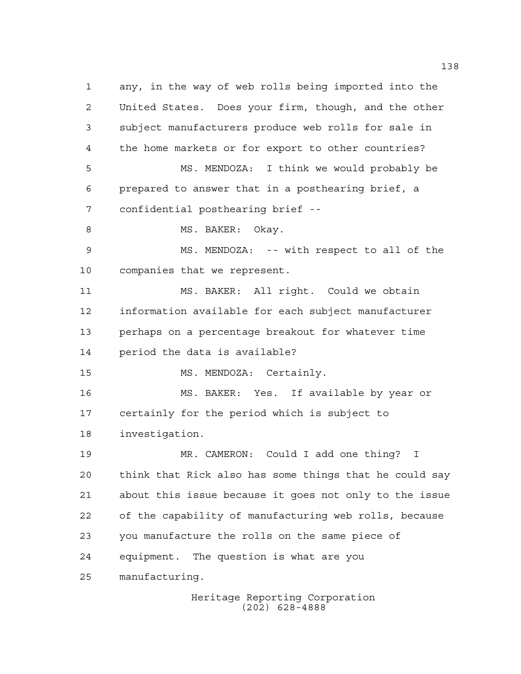any, in the way of web rolls being imported into the United States. Does your firm, though, and the other subject manufacturers produce web rolls for sale in the home markets or for export to other countries? MS. MENDOZA: I think we would probably be prepared to answer that in a posthearing brief, a confidential posthearing brief -- 8 MS. BAKER: Okay. MS. MENDOZA: -- with respect to all of the companies that we represent. MS. BAKER: All right. Could we obtain information available for each subject manufacturer perhaps on a percentage breakout for whatever time period the data is available? MS. MENDOZA: Certainly. MS. BAKER: Yes. If available by year or certainly for the period which is subject to investigation. MR. CAMERON: Could I add one thing? I think that Rick also has some things that he could say about this issue because it goes not only to the issue of the capability of manufacturing web rolls, because you manufacture the rolls on the same piece of equipment. The question is what are you manufacturing.

> Heritage Reporting Corporation (202) 628-4888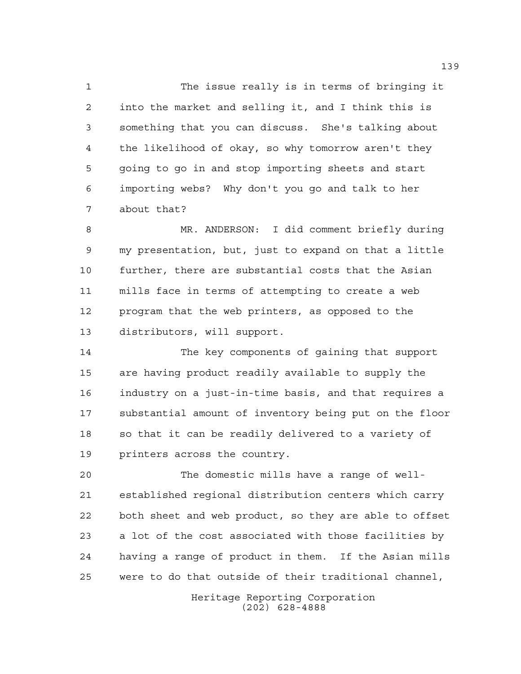The issue really is in terms of bringing it into the market and selling it, and I think this is something that you can discuss. She's talking about the likelihood of okay, so why tomorrow aren't they going to go in and stop importing sheets and start importing webs? Why don't you go and talk to her about that?

 MR. ANDERSON: I did comment briefly during my presentation, but, just to expand on that a little further, there are substantial costs that the Asian mills face in terms of attempting to create a web program that the web printers, as opposed to the distributors, will support.

 The key components of gaining that support are having product readily available to supply the industry on a just-in-time basis, and that requires a substantial amount of inventory being put on the floor 18 so that it can be readily delivered to a variety of printers across the country.

 The domestic mills have a range of well- established regional distribution centers which carry both sheet and web product, so they are able to offset a lot of the cost associated with those facilities by having a range of product in them. If the Asian mills were to do that outside of their traditional channel,

> Heritage Reporting Corporation (202) 628-4888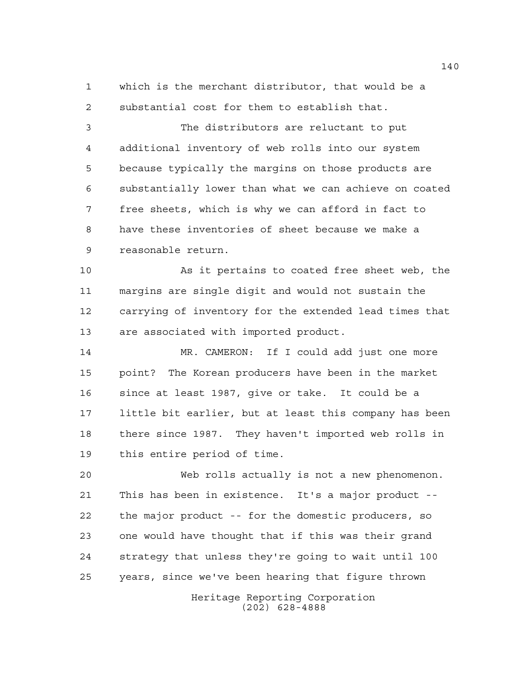which is the merchant distributor, that would be a substantial cost for them to establish that.

 The distributors are reluctant to put additional inventory of web rolls into our system because typically the margins on those products are substantially lower than what we can achieve on coated free sheets, which is why we can afford in fact to have these inventories of sheet because we make a reasonable return.

 As it pertains to coated free sheet web, the margins are single digit and would not sustain the carrying of inventory for the extended lead times that are associated with imported product.

 MR. CAMERON: If I could add just one more point? The Korean producers have been in the market since at least 1987, give or take. It could be a little bit earlier, but at least this company has been there since 1987. They haven't imported web rolls in this entire period of time.

 Web rolls actually is not a new phenomenon. This has been in existence. It's a major product -- the major product -- for the domestic producers, so one would have thought that if this was their grand strategy that unless they're going to wait until 100 years, since we've been hearing that figure thrown

> Heritage Reporting Corporation (202) 628-4888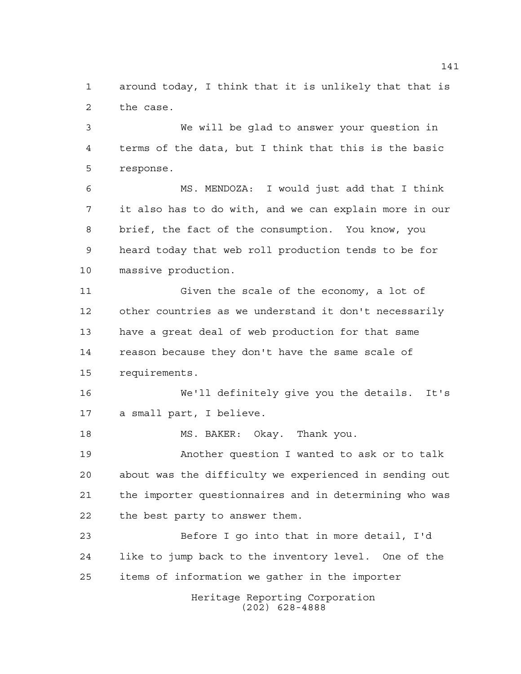around today, I think that it is unlikely that that is the case.

 We will be glad to answer your question in terms of the data, but I think that this is the basic response.

 MS. MENDOZA: I would just add that I think it also has to do with, and we can explain more in our brief, the fact of the consumption. You know, you heard today that web roll production tends to be for massive production.

 Given the scale of the economy, a lot of other countries as we understand it don't necessarily have a great deal of web production for that same reason because they don't have the same scale of requirements.

 We'll definitely give you the details. It's a small part, I believe.

MS. BAKER: Okay. Thank you.

 Another question I wanted to ask or to talk about was the difficulty we experienced in sending out the importer questionnaires and in determining who was the best party to answer them.

 Before I go into that in more detail, I'd like to jump back to the inventory level. One of the items of information we gather in the importer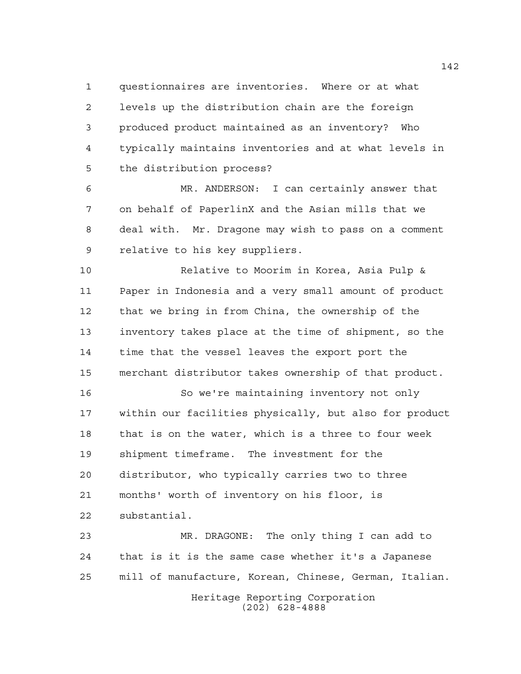questionnaires are inventories. Where or at what levels up the distribution chain are the foreign produced product maintained as an inventory? Who typically maintains inventories and at what levels in the distribution process?

 MR. ANDERSON: I can certainly answer that on behalf of PaperlinX and the Asian mills that we deal with. Mr. Dragone may wish to pass on a comment relative to his key suppliers.

 Relative to Moorim in Korea, Asia Pulp & Paper in Indonesia and a very small amount of product that we bring in from China, the ownership of the inventory takes place at the time of shipment, so the time that the vessel leaves the export port the merchant distributor takes ownership of that product.

 So we're maintaining inventory not only within our facilities physically, but also for product that is on the water, which is a three to four week shipment timeframe. The investment for the distributor, who typically carries two to three months' worth of inventory on his floor, is substantial.

Heritage Reporting Corporation MR. DRAGONE: The only thing I can add to that is it is the same case whether it's a Japanese mill of manufacture, Korean, Chinese, German, Italian.

(202) 628-4888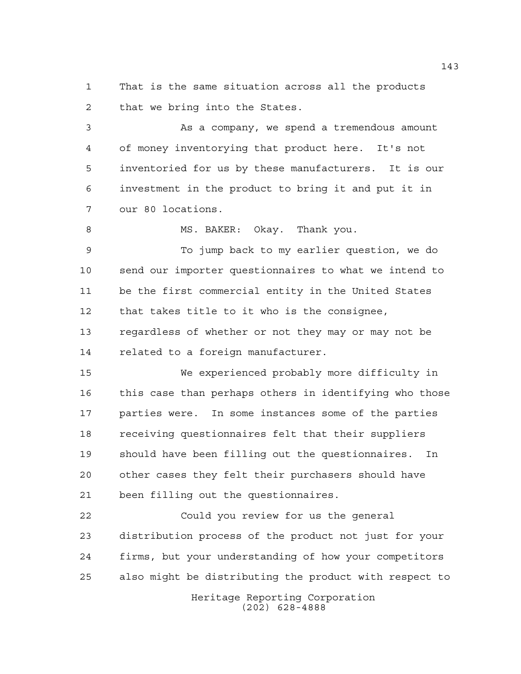That is the same situation across all the products that we bring into the States.

 As a company, we spend a tremendous amount of money inventorying that product here. It's not inventoried for us by these manufacturers. It is our investment in the product to bring it and put it in our 80 locations.

8 MS. BAKER: Okay. Thank you.

 To jump back to my earlier question, we do send our importer questionnaires to what we intend to be the first commercial entity in the United States that takes title to it who is the consignee, regardless of whether or not they may or may not be related to a foreign manufacturer.

 We experienced probably more difficulty in this case than perhaps others in identifying who those parties were. In some instances some of the parties receiving questionnaires felt that their suppliers should have been filling out the questionnaires. In other cases they felt their purchasers should have been filling out the questionnaires.

 Could you review for us the general distribution process of the product not just for your firms, but your understanding of how your competitors also might be distributing the product with respect to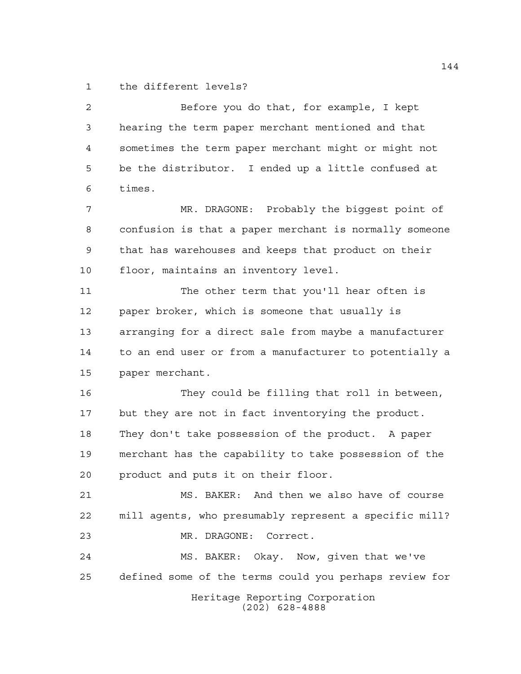the different levels?

Heritage Reporting Corporation (202) 628-4888 Before you do that, for example, I kept hearing the term paper merchant mentioned and that sometimes the term paper merchant might or might not be the distributor. I ended up a little confused at times. MR. DRAGONE: Probably the biggest point of confusion is that a paper merchant is normally someone that has warehouses and keeps that product on their floor, maintains an inventory level. The other term that you'll hear often is paper broker, which is someone that usually is arranging for a direct sale from maybe a manufacturer to an end user or from a manufacturer to potentially a paper merchant. They could be filling that roll in between, but they are not in fact inventorying the product. They don't take possession of the product. A paper merchant has the capability to take possession of the product and puts it on their floor. MS. BAKER: And then we also have of course mill agents, who presumably represent a specific mill? MR. DRAGONE: Correct. MS. BAKER: Okay. Now, given that we've defined some of the terms could you perhaps review for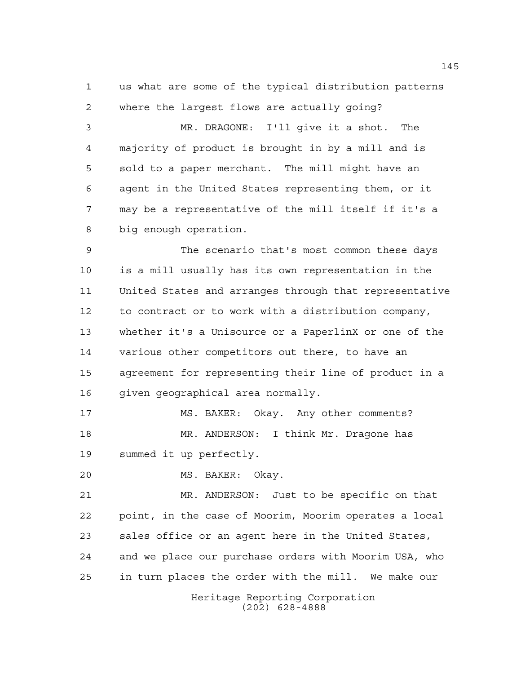us what are some of the typical distribution patterns where the largest flows are actually going?

 MR. DRAGONE: I'll give it a shot. The majority of product is brought in by a mill and is sold to a paper merchant. The mill might have an agent in the United States representing them, or it may be a representative of the mill itself if it's a big enough operation.

 The scenario that's most common these days is a mill usually has its own representation in the United States and arranges through that representative to contract or to work with a distribution company, whether it's a Unisource or a PaperlinX or one of the various other competitors out there, to have an agreement for representing their line of product in a given geographical area normally.

17 MS. BAKER: Okay. Any other comments? MR. ANDERSON: I think Mr. Dragone has summed it up perfectly.

MS. BAKER: Okay.

 MR. ANDERSON: Just to be specific on that point, in the case of Moorim, Moorim operates a local sales office or an agent here in the United States, and we place our purchase orders with Moorim USA, who in turn places the order with the mill. We make our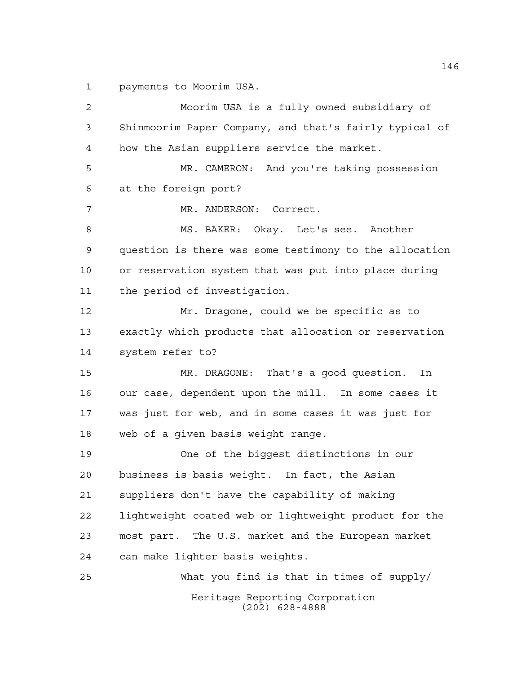payments to Moorim USA.

Heritage Reporting Corporation (202) 628-4888 Moorim USA is a fully owned subsidiary of Shinmoorim Paper Company, and that's fairly typical of how the Asian suppliers service the market. MR. CAMERON: And you're taking possession at the foreign port? MR. ANDERSON: Correct. 8 MS. BAKER: Okay. Let's see. Another question is there was some testimony to the allocation or reservation system that was put into place during the period of investigation. Mr. Dragone, could we be specific as to exactly which products that allocation or reservation system refer to? MR. DRAGONE: That's a good question. In our case, dependent upon the mill. In some cases it was just for web, and in some cases it was just for web of a given basis weight range. One of the biggest distinctions in our business is basis weight. In fact, the Asian suppliers don't have the capability of making lightweight coated web or lightweight product for the most part. The U.S. market and the European market can make lighter basis weights. What you find is that in times of supply/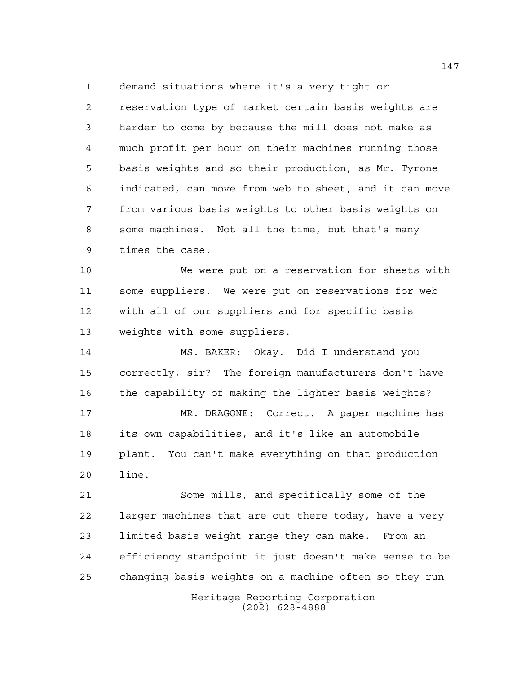demand situations where it's a very tight or

 reservation type of market certain basis weights are harder to come by because the mill does not make as much profit per hour on their machines running those basis weights and so their production, as Mr. Tyrone indicated, can move from web to sheet, and it can move from various basis weights to other basis weights on some machines. Not all the time, but that's many times the case.

 We were put on a reservation for sheets with some suppliers. We were put on reservations for web with all of our suppliers and for specific basis weights with some suppliers.

 MS. BAKER: Okay. Did I understand you correctly, sir? The foreign manufacturers don't have the capability of making the lighter basis weights? MR. DRAGONE: Correct. A paper machine has its own capabilities, and it's like an automobile plant. You can't make everything on that production line.

 Some mills, and specifically some of the larger machines that are out there today, have a very limited basis weight range they can make. From an efficiency standpoint it just doesn't make sense to be changing basis weights on a machine often so they run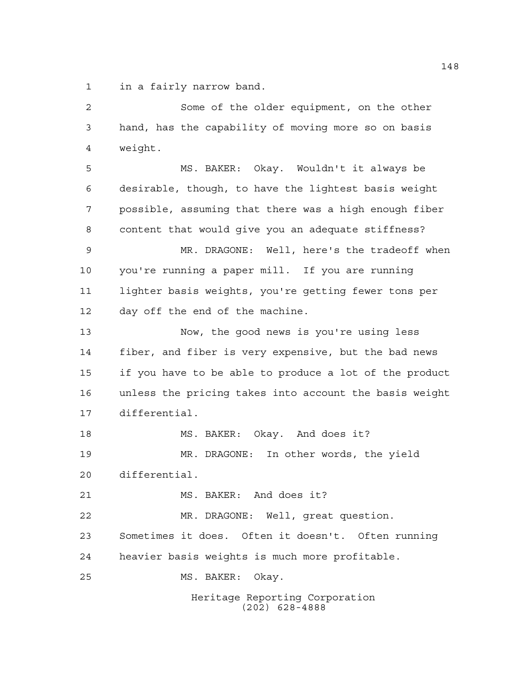in a fairly narrow band.

Heritage Reporting Corporation Some of the older equipment, on the other hand, has the capability of moving more so on basis weight. MS. BAKER: Okay. Wouldn't it always be desirable, though, to have the lightest basis weight possible, assuming that there was a high enough fiber content that would give you an adequate stiffness? MR. DRAGONE: Well, here's the tradeoff when you're running a paper mill. If you are running lighter basis weights, you're getting fewer tons per day off the end of the machine. Now, the good news is you're using less fiber, and fiber is very expensive, but the bad news if you have to be able to produce a lot of the product unless the pricing takes into account the basis weight differential. MS. BAKER: Okay. And does it? MR. DRAGONE: In other words, the yield differential. MS. BAKER: And does it? MR. DRAGONE: Well, great question. Sometimes it does. Often it doesn't. Often running heavier basis weights is much more profitable. MS. BAKER: Okay.

(202) 628-4888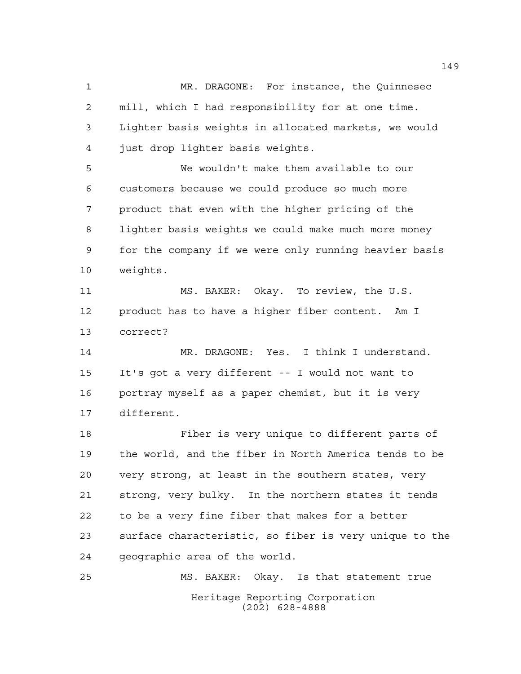MR. DRAGONE: For instance, the Quinnesec mill, which I had responsibility for at one time. Lighter basis weights in allocated markets, we would just drop lighter basis weights.

 We wouldn't make them available to our customers because we could produce so much more product that even with the higher pricing of the lighter basis weights we could make much more money for the company if we were only running heavier basis weights.

 MS. BAKER: Okay. To review, the U.S. product has to have a higher fiber content. Am I correct?

 MR. DRAGONE: Yes. I think I understand. It's got a very different -- I would not want to portray myself as a paper chemist, but it is very different.

 Fiber is very unique to different parts of the world, and the fiber in North America tends to be very strong, at least in the southern states, very strong, very bulky. In the northern states it tends to be a very fine fiber that makes for a better surface characteristic, so fiber is very unique to the geographic area of the world.

Heritage Reporting Corporation (202) 628-4888 MS. BAKER: Okay. Is that statement true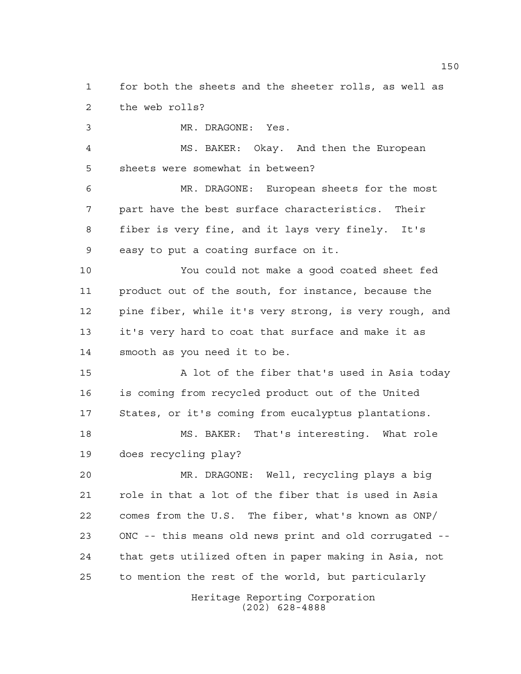for both the sheets and the sheeter rolls, as well as the web rolls?

MR. DRAGONE: Yes.

 MS. BAKER: Okay. And then the European sheets were somewhat in between?

 MR. DRAGONE: European sheets for the most part have the best surface characteristics. Their fiber is very fine, and it lays very finely. It's easy to put a coating surface on it.

 You could not make a good coated sheet fed product out of the south, for instance, because the pine fiber, while it's very strong, is very rough, and it's very hard to coat that surface and make it as smooth as you need it to be.

 A lot of the fiber that's used in Asia today is coming from recycled product out of the United States, or it's coming from eucalyptus plantations.

 MS. BAKER: That's interesting. What role does recycling play?

 MR. DRAGONE: Well, recycling plays a big role in that a lot of the fiber that is used in Asia comes from the U.S. The fiber, what's known as ONP/ ONC -- this means old news print and old corrugated -- that gets utilized often in paper making in Asia, not to mention the rest of the world, but particularly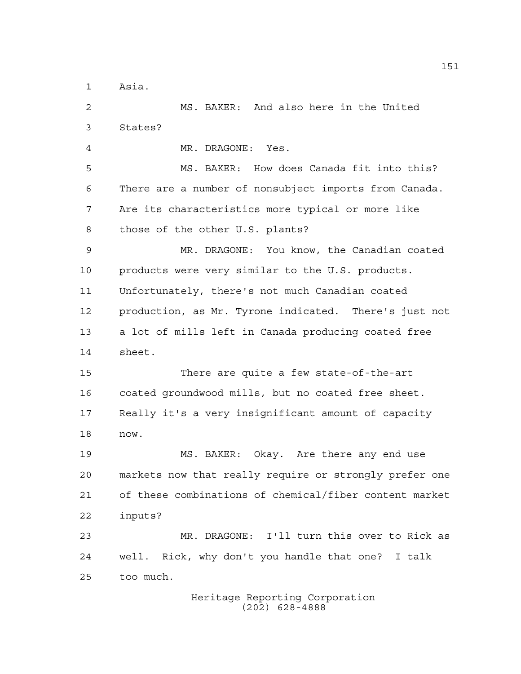Asia.

 MS. BAKER: And also here in the United States? MR. DRAGONE: Yes. MS. BAKER: How does Canada fit into this? There are a number of nonsubject imports from Canada. Are its characteristics more typical or more like those of the other U.S. plants? MR. DRAGONE: You know, the Canadian coated products were very similar to the U.S. products. Unfortunately, there's not much Canadian coated production, as Mr. Tyrone indicated. There's just not a lot of mills left in Canada producing coated free sheet. There are quite a few state-of-the-art coated groundwood mills, but no coated free sheet. Really it's a very insignificant amount of capacity now. MS. BAKER: Okay. Are there any end use markets now that really require or strongly prefer one of these combinations of chemical/fiber content market inputs? MR. DRAGONE: I'll turn this over to Rick as well. Rick, why don't you handle that one? I talk too much.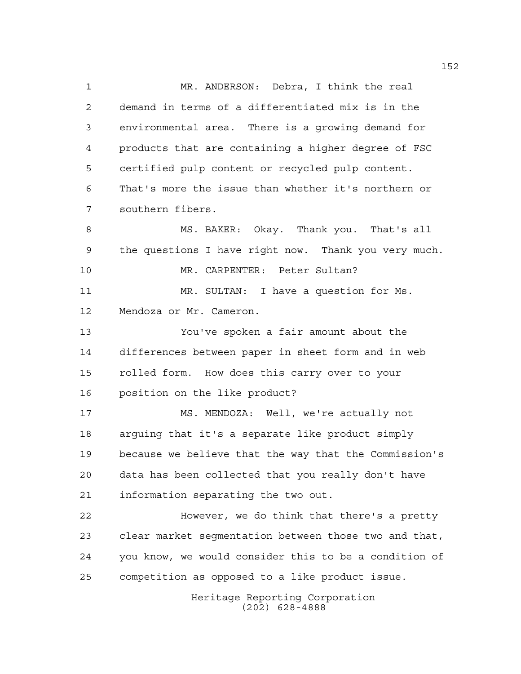Heritage Reporting Corporation MR. ANDERSON: Debra, I think the real demand in terms of a differentiated mix is in the environmental area. There is a growing demand for products that are containing a higher degree of FSC certified pulp content or recycled pulp content. That's more the issue than whether it's northern or southern fibers. MS. BAKER: Okay. Thank you. That's all the questions I have right now. Thank you very much. MR. CARPENTER: Peter Sultan? MR. SULTAN: I have a question for Ms. Mendoza or Mr. Cameron. You've spoken a fair amount about the differences between paper in sheet form and in web rolled form. How does this carry over to your position on the like product? MS. MENDOZA: Well, we're actually not arguing that it's a separate like product simply because we believe that the way that the Commission's data has been collected that you really don't have information separating the two out. However, we do think that there's a pretty clear market segmentation between those two and that, you know, we would consider this to be a condition of competition as opposed to a like product issue.

(202) 628-4888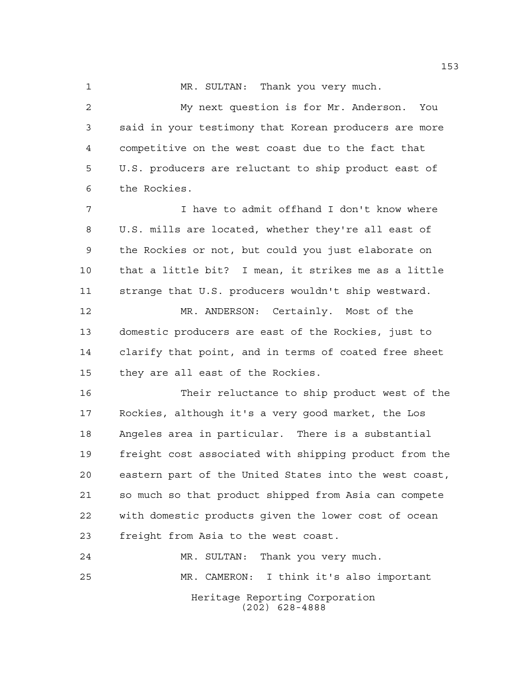MR. SULTAN: Thank you very much.

 My next question is for Mr. Anderson. You said in your testimony that Korean producers are more competitive on the west coast due to the fact that U.S. producers are reluctant to ship product east of the Rockies.

 I have to admit offhand I don't know where U.S. mills are located, whether they're all east of the Rockies or not, but could you just elaborate on that a little bit? I mean, it strikes me as a little strange that U.S. producers wouldn't ship westward.

 MR. ANDERSON: Certainly. Most of the domestic producers are east of the Rockies, just to clarify that point, and in terms of coated free sheet they are all east of the Rockies.

 Their reluctance to ship product west of the Rockies, although it's a very good market, the Los Angeles area in particular. There is a substantial freight cost associated with shipping product from the eastern part of the United States into the west coast, so much so that product shipped from Asia can compete with domestic products given the lower cost of ocean freight from Asia to the west coast.

Heritage Reporting Corporation (202) 628-4888 MR. SULTAN: Thank you very much. MR. CAMERON: I think it's also important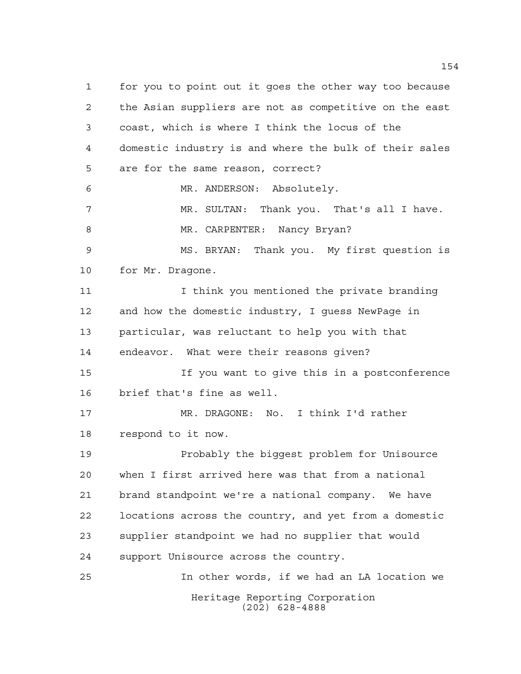Heritage Reporting Corporation (202) 628-4888 for you to point out it goes the other way too because the Asian suppliers are not as competitive on the east coast, which is where I think the locus of the domestic industry is and where the bulk of their sales are for the same reason, correct? MR. ANDERSON: Absolutely. MR. SULTAN: Thank you. That's all I have. 8 MR. CARPENTER: Nancy Bryan? MS. BRYAN: Thank you. My first question is for Mr. Dragone. 11 11 I think you mentioned the private branding and how the domestic industry, I guess NewPage in particular, was reluctant to help you with that endeavor. What were their reasons given? If you want to give this in a postconference brief that's fine as well. MR. DRAGONE: No. I think I'd rather respond to it now. Probably the biggest problem for Unisource when I first arrived here was that from a national brand standpoint we're a national company. We have locations across the country, and yet from a domestic supplier standpoint we had no supplier that would support Unisource across the country. In other words, if we had an LA location we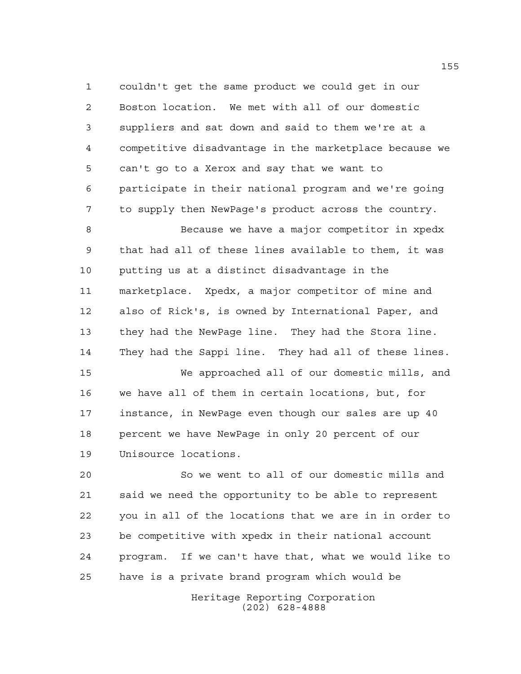couldn't get the same product we could get in our Boston location. We met with all of our domestic suppliers and sat down and said to them we're at a competitive disadvantage in the marketplace because we can't go to a Xerox and say that we want to participate in their national program and we're going to supply then NewPage's product across the country.

 Because we have a major competitor in xpedx that had all of these lines available to them, it was putting us at a distinct disadvantage in the marketplace. Xpedx, a major competitor of mine and also of Rick's, is owned by International Paper, and they had the NewPage line. They had the Stora line. They had the Sappi line. They had all of these lines.

 We approached all of our domestic mills, and we have all of them in certain locations, but, for instance, in NewPage even though our sales are up 40 percent we have NewPage in only 20 percent of our Unisource locations.

 So we went to all of our domestic mills and said we need the opportunity to be able to represent you in all of the locations that we are in in order to be competitive with xpedx in their national account program. If we can't have that, what we would like to have is a private brand program which would be

> Heritage Reporting Corporation (202) 628-4888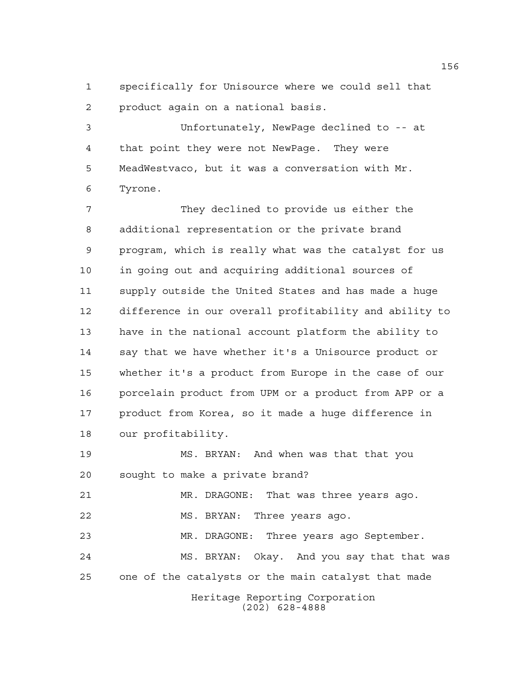specifically for Unisource where we could sell that product again on a national basis.

 Unfortunately, NewPage declined to -- at that point they were not NewPage. They were MeadWestvaco, but it was a conversation with Mr. Tyrone.

 They declined to provide us either the additional representation or the private brand program, which is really what was the catalyst for us in going out and acquiring additional sources of supply outside the United States and has made a huge difference in our overall profitability and ability to have in the national account platform the ability to say that we have whether it's a Unisource product or whether it's a product from Europe in the case of our porcelain product from UPM or a product from APP or a product from Korea, so it made a huge difference in our profitability.

Heritage Reporting Corporation MS. BRYAN: And when was that that you sought to make a private brand? MR. DRAGONE: That was three years ago. MS. BRYAN: Three years ago. MR. DRAGONE: Three years ago September. MS. BRYAN: Okay. And you say that that was one of the catalysts or the main catalyst that made

(202) 628-4888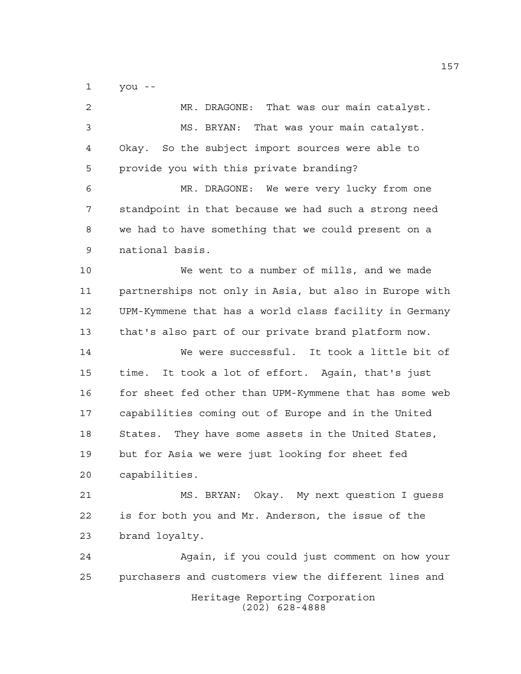you --

| 2    | MR. DRAGONE: That was our main catalyst.               |
|------|--------------------------------------------------------|
| 3    | MS. BRYAN: That was your main catalyst.                |
| 4    | Okay. So the subject import sources were able to       |
| 5    | provide you with this private branding?                |
| 6    | MR. DRAGONE: We were very lucky from one               |
| 7    | standpoint in that because we had such a strong need   |
| 8    | we had to have something that we could present on a    |
| 9    | national basis.                                        |
| 10   | We went to a number of mills, and we made              |
| 11   | partnerships not only in Asia, but also in Europe with |
| 12   | UPM-Kymmene that has a world class facility in Germany |
| 13   | that's also part of our private brand platform now.    |
| 14   | We were successful. It took a little bit of            |
| 15   | It took a lot of effort. Again, that's just<br>time.   |
| 16   | for sheet fed other than UPM-Kymmene that has some web |
| 17   | capabilities coming out of Europe and in the United    |
| $18$ | States. They have some assets in the United States,    |
| 19   | but for Asia we were just looking for sheet fed        |
| 20   | capabilities.                                          |
| 21   | MS. BRYAN: Okay. My next question I guess              |
| 22   | is for both you and Mr. Anderson, the issue of the     |
| 23   | brand loyalty.                                         |
| 24   | Again, if you could just comment on how your           |
| 25   | purchasers and customers view the different lines and  |
|      | Heritage Reporting Corporation<br>$(202)$ 628-4888     |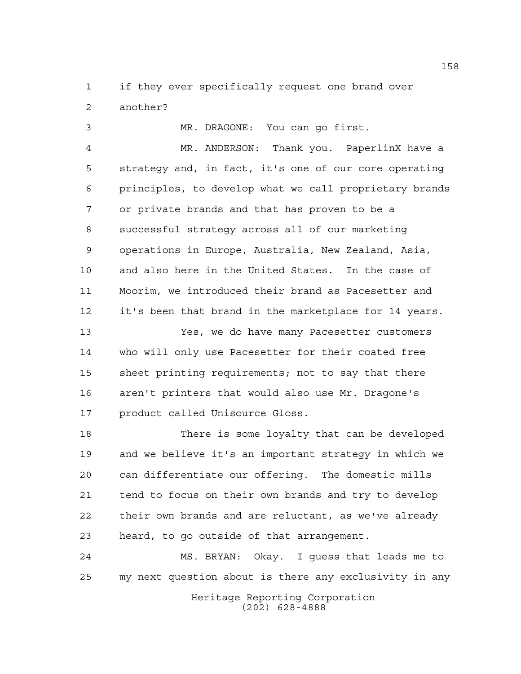if they ever specifically request one brand over another?

 MR. DRAGONE: You can go first. MR. ANDERSON: Thank you. PaperlinX have a strategy and, in fact, it's one of our core operating principles, to develop what we call proprietary brands or private brands and that has proven to be a successful strategy across all of our marketing operations in Europe, Australia, New Zealand, Asia, and also here in the United States. In the case of Moorim, we introduced their brand as Pacesetter and it's been that brand in the marketplace for 14 years.

 Yes, we do have many Pacesetter customers who will only use Pacesetter for their coated free sheet printing requirements; not to say that there aren't printers that would also use Mr. Dragone's product called Unisource Gloss.

 There is some loyalty that can be developed and we believe it's an important strategy in which we can differentiate our offering. The domestic mills tend to focus on their own brands and try to develop their own brands and are reluctant, as we've already heard, to go outside of that arrangement.

 MS. BRYAN: Okay. I guess that leads me to my next question about is there any exclusivity in any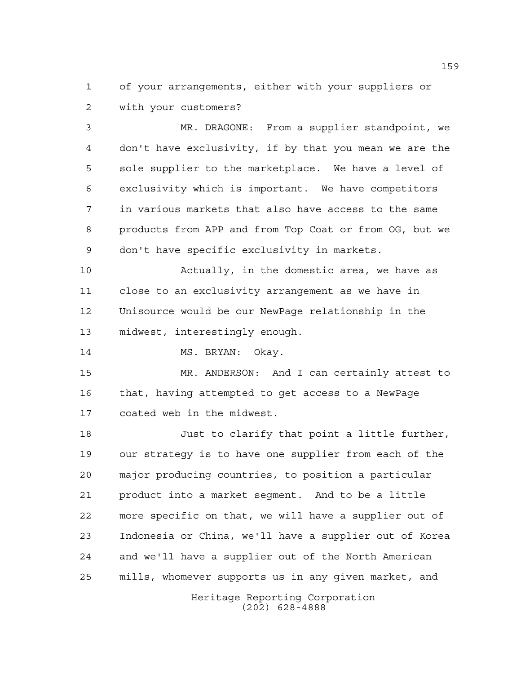of your arrangements, either with your suppliers or with your customers?

 MR. DRAGONE: From a supplier standpoint, we don't have exclusivity, if by that you mean we are the sole supplier to the marketplace. We have a level of exclusivity which is important. We have competitors in various markets that also have access to the same products from APP and from Top Coat or from OG, but we don't have specific exclusivity in markets.

 Actually, in the domestic area, we have as close to an exclusivity arrangement as we have in Unisource would be our NewPage relationship in the midwest, interestingly enough.

14 MS. BRYAN: Okay.

 MR. ANDERSON: And I can certainly attest to that, having attempted to get access to a NewPage coated web in the midwest.

 Just to clarify that point a little further, our strategy is to have one supplier from each of the major producing countries, to position a particular product into a market segment. And to be a little more specific on that, we will have a supplier out of Indonesia or China, we'll have a supplier out of Korea and we'll have a supplier out of the North American mills, whomever supports us in any given market, and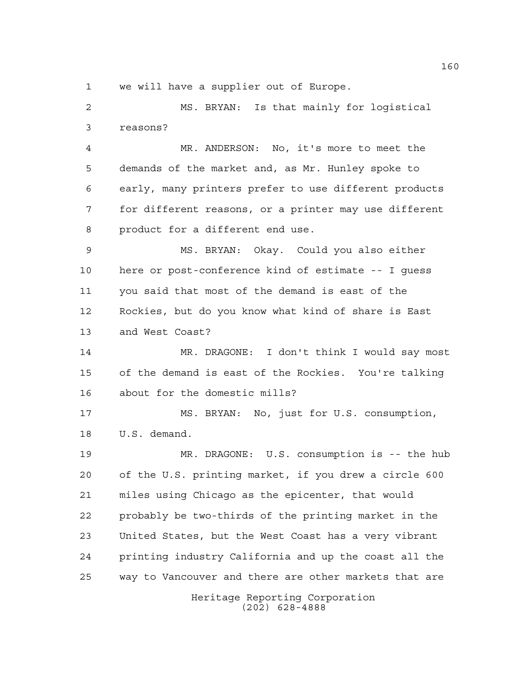we will have a supplier out of Europe.

 MS. BRYAN: Is that mainly for logistical reasons?

 MR. ANDERSON: No, it's more to meet the demands of the market and, as Mr. Hunley spoke to early, many printers prefer to use different products for different reasons, or a printer may use different product for a different end use.

 MS. BRYAN: Okay. Could you also either here or post-conference kind of estimate -- I guess you said that most of the demand is east of the Rockies, but do you know what kind of share is East and West Coast?

 MR. DRAGONE: I don't think I would say most of the demand is east of the Rockies. You're talking about for the domestic mills?

 MS. BRYAN: No, just for U.S. consumption, U.S. demand.

 MR. DRAGONE: U.S. consumption is -- the hub of the U.S. printing market, if you drew a circle 600 miles using Chicago as the epicenter, that would probably be two-thirds of the printing market in the United States, but the West Coast has a very vibrant printing industry California and up the coast all the way to Vancouver and there are other markets that are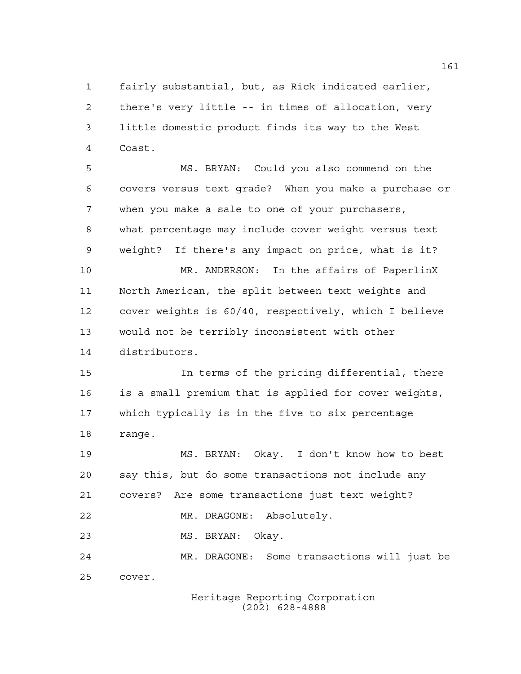fairly substantial, but, as Rick indicated earlier, there's very little -- in times of allocation, very little domestic product finds its way to the West Coast.

 MS. BRYAN: Could you also commend on the covers versus text grade? When you make a purchase or when you make a sale to one of your purchasers, what percentage may include cover weight versus text weight? If there's any impact on price, what is it? MR. ANDERSON: In the affairs of PaperlinX North American, the split between text weights and cover weights is 60/40, respectively, which I believe would not be terribly inconsistent with other distributors. In terms of the pricing differential, there is a small premium that is applied for cover weights, which typically is in the five to six percentage range. MS. BRYAN: Okay. I don't know how to best say this, but do some transactions not include any covers? Are some transactions just text weight? MR. DRAGONE: Absolutely. MS. BRYAN: Okay.

 MR. DRAGONE: Some transactions will just be cover.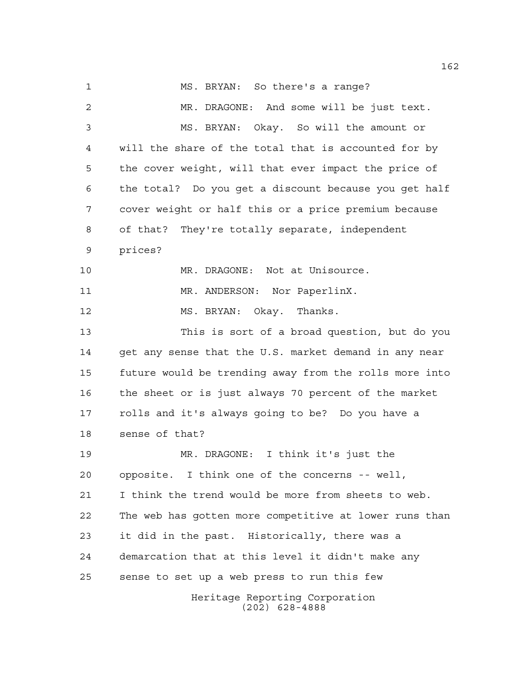Heritage Reporting Corporation (202) 628-4888 MS. BRYAN: So there's a range? MR. DRAGONE: And some will be just text. MS. BRYAN: Okay. So will the amount or will the share of the total that is accounted for by the cover weight, will that ever impact the price of the total? Do you get a discount because you get half cover weight or half this or a price premium because of that? They're totally separate, independent prices? MR. DRAGONE: Not at Unisource. 11 MR. ANDERSON: Nor PaperlinX. MS. BRYAN: Okay. Thanks. This is sort of a broad question, but do you get any sense that the U.S. market demand in any near future would be trending away from the rolls more into the sheet or is just always 70 percent of the market rolls and it's always going to be? Do you have a sense of that? MR. DRAGONE: I think it's just the opposite. I think one of the concerns -- well, I think the trend would be more from sheets to web. The web has gotten more competitive at lower runs than it did in the past. Historically, there was a demarcation that at this level it didn't make any sense to set up a web press to run this few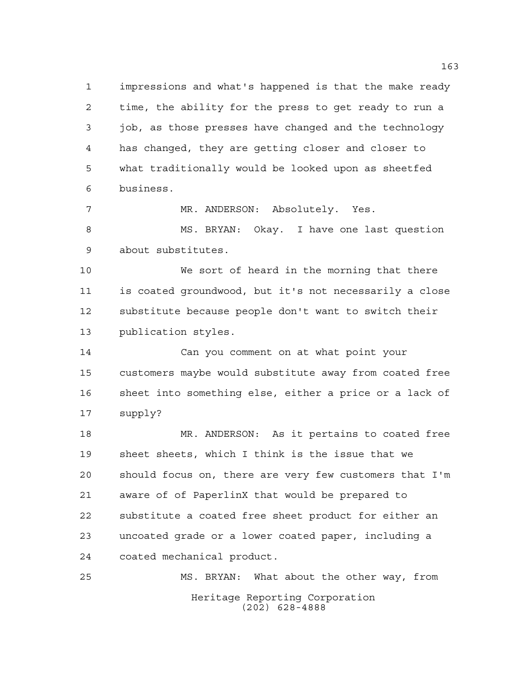impressions and what's happened is that the make ready time, the ability for the press to get ready to run a job, as those presses have changed and the technology has changed, they are getting closer and closer to what traditionally would be looked upon as sheetfed business.

MR. ANDERSON: Absolutely. Yes.

 MS. BRYAN: Okay. I have one last question about substitutes.

 We sort of heard in the morning that there is coated groundwood, but it's not necessarily a close substitute because people don't want to switch their publication styles.

 Can you comment on at what point your customers maybe would substitute away from coated free sheet into something else, either a price or a lack of supply?

 MR. ANDERSON: As it pertains to coated free sheet sheets, which I think is the issue that we should focus on, there are very few customers that I'm aware of of PaperlinX that would be prepared to substitute a coated free sheet product for either an uncoated grade or a lower coated paper, including a coated mechanical product.

Heritage Reporting Corporation (202) 628-4888 MS. BRYAN: What about the other way, from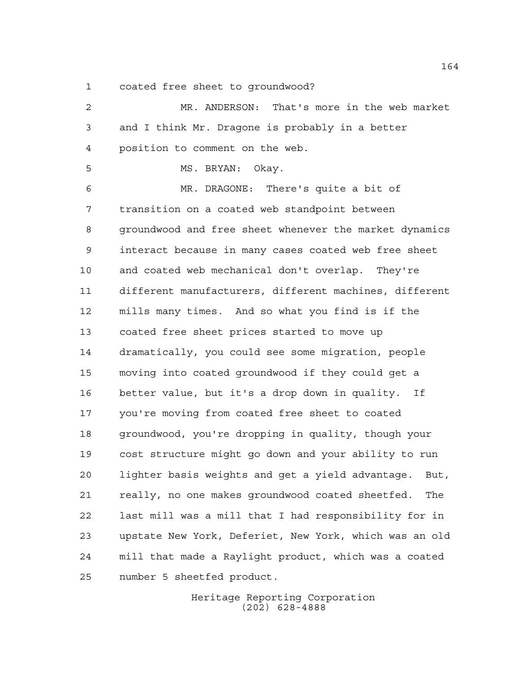coated free sheet to groundwood?

 MR. ANDERSON: That's more in the web market and I think Mr. Dragone is probably in a better position to comment on the web. MS. BRYAN: Okay. MR. DRAGONE: There's quite a bit of transition on a coated web standpoint between groundwood and free sheet whenever the market dynamics interact because in many cases coated web free sheet and coated web mechanical don't overlap. They're different manufacturers, different machines, different mills many times. And so what you find is if the coated free sheet prices started to move up dramatically, you could see some migration, people moving into coated groundwood if they could get a better value, but it's a drop down in quality. If you're moving from coated free sheet to coated groundwood, you're dropping in quality, though your cost structure might go down and your ability to run lighter basis weights and get a yield advantage. But, really, no one makes groundwood coated sheetfed. The last mill was a mill that I had responsibility for in upstate New York, Deferiet, New York, which was an old mill that made a Raylight product, which was a coated number 5 sheetfed product.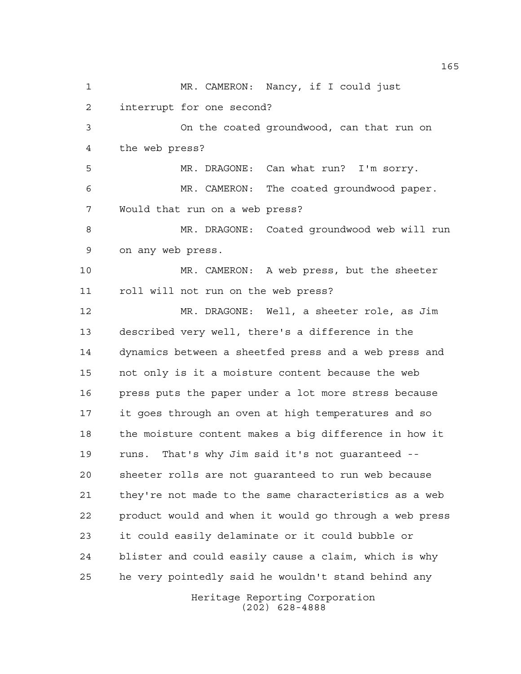Heritage Reporting Corporation 1 MR. CAMERON: Nancy, if I could just interrupt for one second? On the coated groundwood, can that run on the web press? MR. DRAGONE: Can what run? I'm sorry. MR. CAMERON: The coated groundwood paper. Would that run on a web press? MR. DRAGONE: Coated groundwood web will run on any web press. MR. CAMERON: A web press, but the sheeter roll will not run on the web press? MR. DRAGONE: Well, a sheeter role, as Jim described very well, there's a difference in the dynamics between a sheetfed press and a web press and not only is it a moisture content because the web press puts the paper under a lot more stress because it goes through an oven at high temperatures and so the moisture content makes a big difference in how it runs. That's why Jim said it's not guaranteed -- sheeter rolls are not guaranteed to run web because they're not made to the same characteristics as a web product would and when it would go through a web press it could easily delaminate or it could bubble or blister and could easily cause a claim, which is why he very pointedly said he wouldn't stand behind any

(202) 628-4888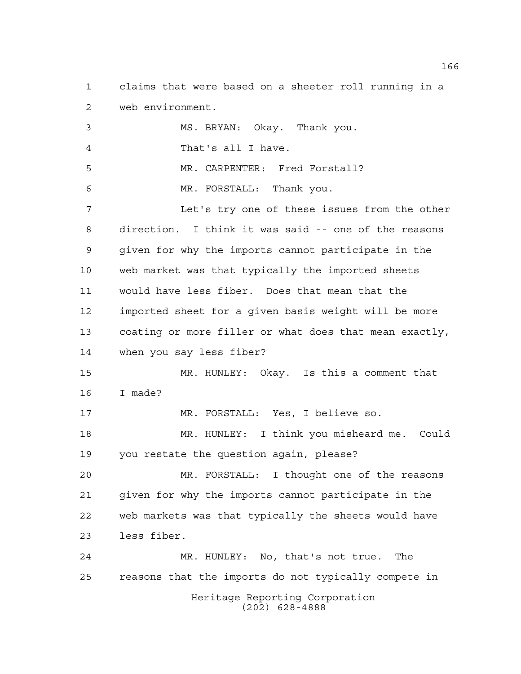claims that were based on a sheeter roll running in a web environment.

Heritage Reporting Corporation MS. BRYAN: Okay. Thank you. That's all I have. MR. CARPENTER: Fred Forstall? MR. FORSTALL: Thank you. Let's try one of these issues from the other direction. I think it was said -- one of the reasons given for why the imports cannot participate in the web market was that typically the imported sheets would have less fiber. Does that mean that the imported sheet for a given basis weight will be more coating or more filler or what does that mean exactly, when you say less fiber? MR. HUNLEY: Okay. Is this a comment that I made? MR. FORSTALL: Yes, I believe so. MR. HUNLEY: I think you misheard me. Could you restate the question again, please? MR. FORSTALL: I thought one of the reasons given for why the imports cannot participate in the web markets was that typically the sheets would have less fiber. MR. HUNLEY: No, that's not true. The reasons that the imports do not typically compete in

(202) 628-4888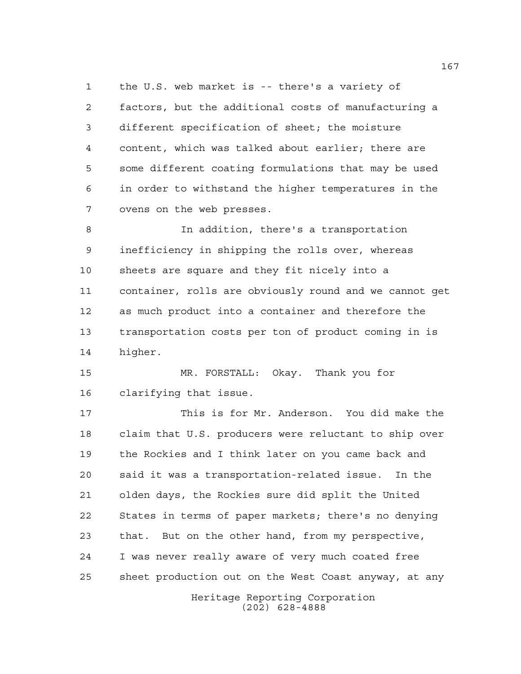the U.S. web market is -- there's a variety of factors, but the additional costs of manufacturing a different specification of sheet; the moisture content, which was talked about earlier; there are some different coating formulations that may be used in order to withstand the higher temperatures in the ovens on the web presses.

 In addition, there's a transportation inefficiency in shipping the rolls over, whereas sheets are square and they fit nicely into a container, rolls are obviously round and we cannot get as much product into a container and therefore the transportation costs per ton of product coming in is higher.

 MR. FORSTALL: Okay. Thank you for clarifying that issue.

 This is for Mr. Anderson. You did make the claim that U.S. producers were reluctant to ship over the Rockies and I think later on you came back and said it was a transportation-related issue. In the olden days, the Rockies sure did split the United States in terms of paper markets; there's no denying that. But on the other hand, from my perspective, I was never really aware of very much coated free sheet production out on the West Coast anyway, at any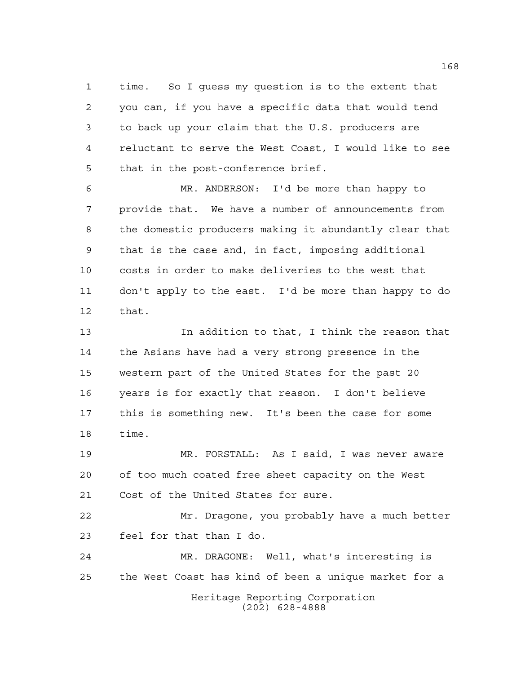time. So I guess my question is to the extent that you can, if you have a specific data that would tend to back up your claim that the U.S. producers are reluctant to serve the West Coast, I would like to see that in the post-conference brief.

 MR. ANDERSON: I'd be more than happy to provide that. We have a number of announcements from the domestic producers making it abundantly clear that that is the case and, in fact, imposing additional costs in order to make deliveries to the west that don't apply to the east. I'd be more than happy to do that.

 In addition to that, I think the reason that the Asians have had a very strong presence in the western part of the United States for the past 20 years is for exactly that reason. I don't believe this is something new. It's been the case for some time.

 MR. FORSTALL: As I said, I was never aware of too much coated free sheet capacity on the West Cost of the United States for sure.

 Mr. Dragone, you probably have a much better feel for that than I do.

Heritage Reporting Corporation (202) 628-4888 MR. DRAGONE: Well, what's interesting is the West Coast has kind of been a unique market for a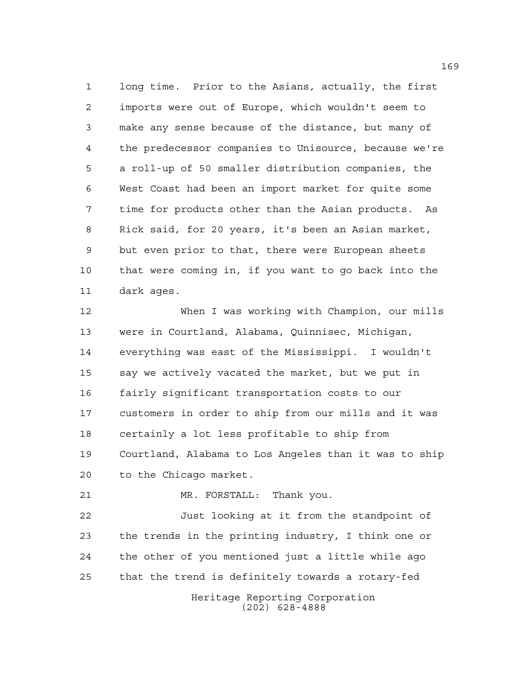long time. Prior to the Asians, actually, the first imports were out of Europe, which wouldn't seem to make any sense because of the distance, but many of the predecessor companies to Unisource, because we're a roll-up of 50 smaller distribution companies, the West Coast had been an import market for quite some time for products other than the Asian products. As Rick said, for 20 years, it's been an Asian market, but even prior to that, there were European sheets that were coming in, if you want to go back into the dark ages.

 When I was working with Champion, our mills were in Courtland, Alabama, Quinnisec, Michigan, everything was east of the Mississippi. I wouldn't say we actively vacated the market, but we put in fairly significant transportation costs to our customers in order to ship from our mills and it was certainly a lot less profitable to ship from Courtland, Alabama to Los Angeles than it was to ship to the Chicago market.

MR. FORSTALL: Thank you.

 Just looking at it from the standpoint of the trends in the printing industry, I think one or the other of you mentioned just a little while ago that the trend is definitely towards a rotary-fed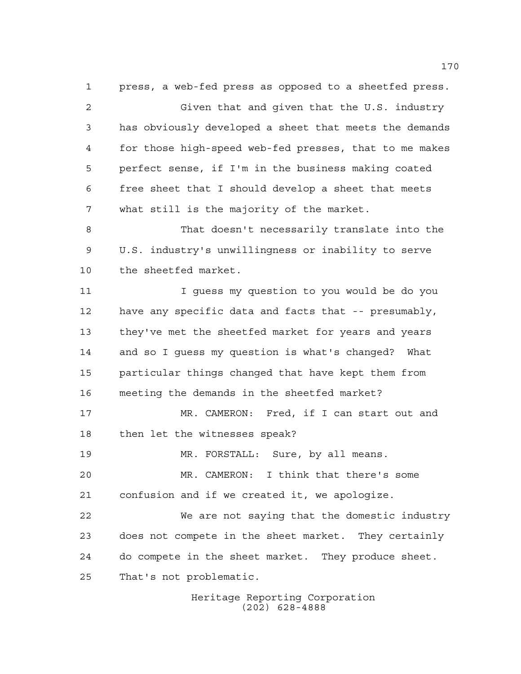press, a web-fed press as opposed to a sheetfed press. Given that and given that the U.S. industry has obviously developed a sheet that meets the demands for those high-speed web-fed presses, that to me makes perfect sense, if I'm in the business making coated free sheet that I should develop a sheet that meets what still is the majority of the market. That doesn't necessarily translate into the U.S. industry's unwillingness or inability to serve the sheetfed market. I guess my question to you would be do you have any specific data and facts that -- presumably, they've met the sheetfed market for years and years and so I guess my question is what's changed? What particular things changed that have kept them from meeting the demands in the sheetfed market? 17 MR. CAMERON: Fred, if I can start out and then let the witnesses speak? MR. FORSTALL: Sure, by all means. MR. CAMERON: I think that there's some confusion and if we created it, we apologize. We are not saying that the domestic industry does not compete in the sheet market. They certainly do compete in the sheet market. They produce sheet. That's not problematic.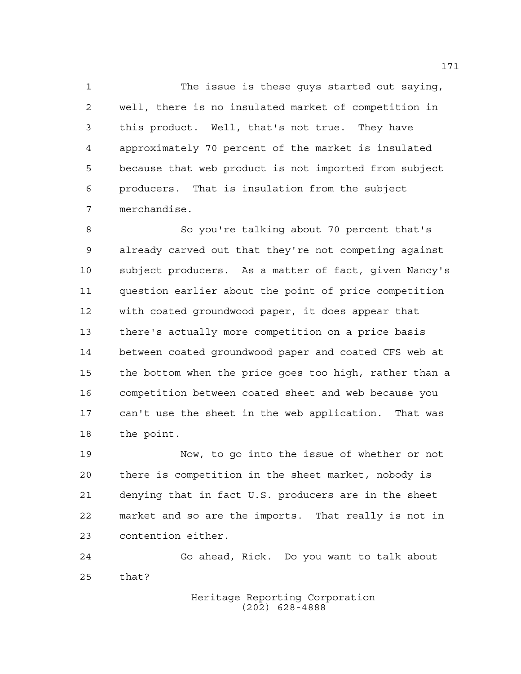The issue is these guys started out saying, well, there is no insulated market of competition in this product. Well, that's not true. They have approximately 70 percent of the market is insulated because that web product is not imported from subject producers. That is insulation from the subject merchandise.

 So you're talking about 70 percent that's already carved out that they're not competing against subject producers. As a matter of fact, given Nancy's question earlier about the point of price competition with coated groundwood paper, it does appear that there's actually more competition on a price basis between coated groundwood paper and coated CFS web at the bottom when the price goes too high, rather than a competition between coated sheet and web because you can't use the sheet in the web application. That was the point.

 Now, to go into the issue of whether or not there is competition in the sheet market, nobody is denying that in fact U.S. producers are in the sheet market and so are the imports. That really is not in contention either.

 Go ahead, Rick. Do you want to talk about that?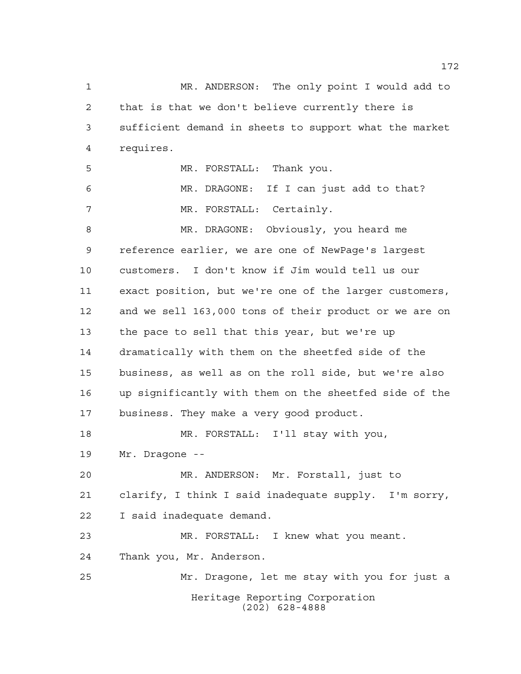Heritage Reporting Corporation MR. ANDERSON: The only point I would add to that is that we don't believe currently there is sufficient demand in sheets to support what the market requires. MR. FORSTALL: Thank you. MR. DRAGONE: If I can just add to that? MR. FORSTALL: Certainly. MR. DRAGONE: Obviously, you heard me reference earlier, we are one of NewPage's largest customers. I don't know if Jim would tell us our exact position, but we're one of the larger customers, and we sell 163,000 tons of their product or we are on the pace to sell that this year, but we're up dramatically with them on the sheetfed side of the business, as well as on the roll side, but we're also up significantly with them on the sheetfed side of the business. They make a very good product. MR. FORSTALL: I'll stay with you, Mr. Dragone -- MR. ANDERSON: Mr. Forstall, just to clarify, I think I said inadequate supply. I'm sorry, I said inadequate demand. MR. FORSTALL: I knew what you meant. Thank you, Mr. Anderson. Mr. Dragone, let me stay with you for just a

(202) 628-4888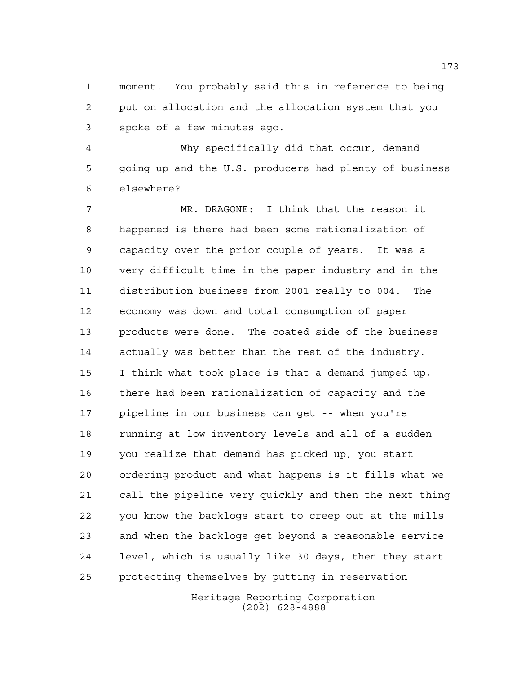moment. You probably said this in reference to being put on allocation and the allocation system that you spoke of a few minutes ago.

 Why specifically did that occur, demand going up and the U.S. producers had plenty of business elsewhere?

 MR. DRAGONE: I think that the reason it happened is there had been some rationalization of capacity over the prior couple of years. It was a very difficult time in the paper industry and in the distribution business from 2001 really to 004. The economy was down and total consumption of paper products were done. The coated side of the business actually was better than the rest of the industry. I think what took place is that a demand jumped up, there had been rationalization of capacity and the pipeline in our business can get -- when you're running at low inventory levels and all of a sudden you realize that demand has picked up, you start ordering product and what happens is it fills what we call the pipeline very quickly and then the next thing you know the backlogs start to creep out at the mills and when the backlogs get beyond a reasonable service level, which is usually like 30 days, then they start protecting themselves by putting in reservation

> Heritage Reporting Corporation (202) 628-4888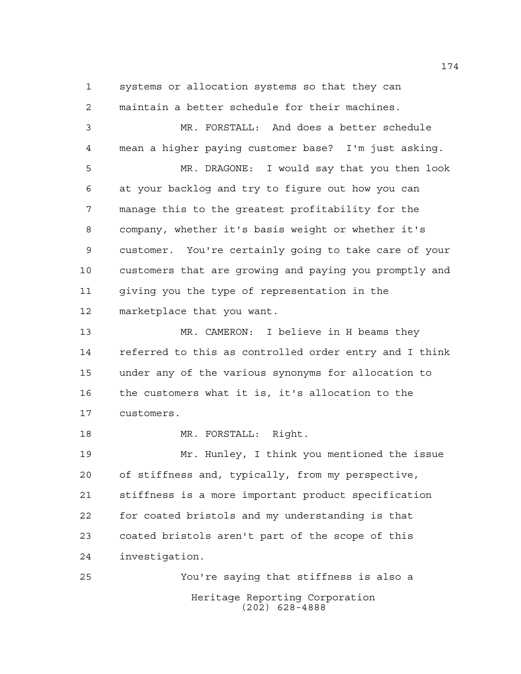systems or allocation systems so that they can maintain a better schedule for their machines.

 MR. FORSTALL: And does a better schedule mean a higher paying customer base? I'm just asking. MR. DRAGONE: I would say that you then look at your backlog and try to figure out how you can manage this to the greatest profitability for the company, whether it's basis weight or whether it's customer. You're certainly going to take care of your customers that are growing and paying you promptly and giving you the type of representation in the marketplace that you want. MR. CAMERON: I believe in H beams they referred to this as controlled order entry and I think under any of the various synonyms for allocation to the customers what it is, it's allocation to the customers. 18 MR. FORSTALL: Right. Mr. Hunley, I think you mentioned the issue of stiffness and, typically, from my perspective, stiffness is a more important product specification

 for coated bristols and my understanding is that coated bristols aren't part of the scope of this investigation.

Heritage Reporting Corporation (202) 628-4888 You're saying that stiffness is also a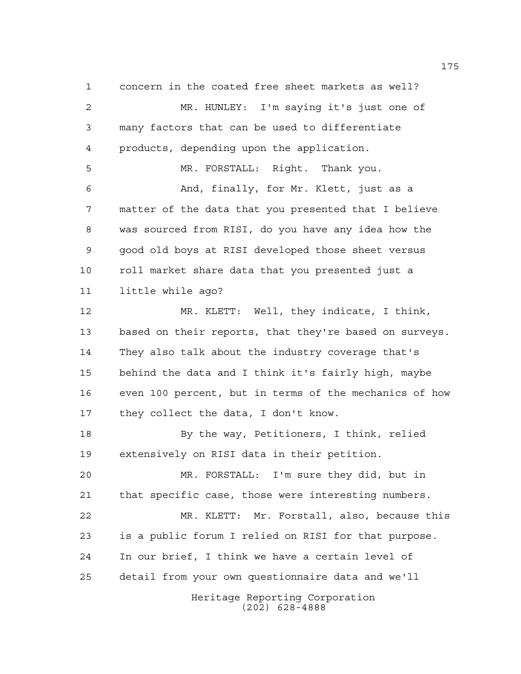Heritage Reporting Corporation concern in the coated free sheet markets as well? MR. HUNLEY: I'm saying it's just one of many factors that can be used to differentiate products, depending upon the application. MR. FORSTALL: Right. Thank you. And, finally, for Mr. Klett, just as a matter of the data that you presented that I believe was sourced from RISI, do you have any idea how the good old boys at RISI developed those sheet versus roll market share data that you presented just a little while ago? MR. KLETT: Well, they indicate, I think, based on their reports, that they're based on surveys. They also talk about the industry coverage that's behind the data and I think it's fairly high, maybe even 100 percent, but in terms of the mechanics of how they collect the data, I don't know. By the way, Petitioners, I think, relied extensively on RISI data in their petition. MR. FORSTALL: I'm sure they did, but in that specific case, those were interesting numbers. MR. KLETT: Mr. Forstall, also, because this is a public forum I relied on RISI for that purpose. In our brief, I think we have a certain level of detail from your own questionnaire data and we'll

(202) 628-4888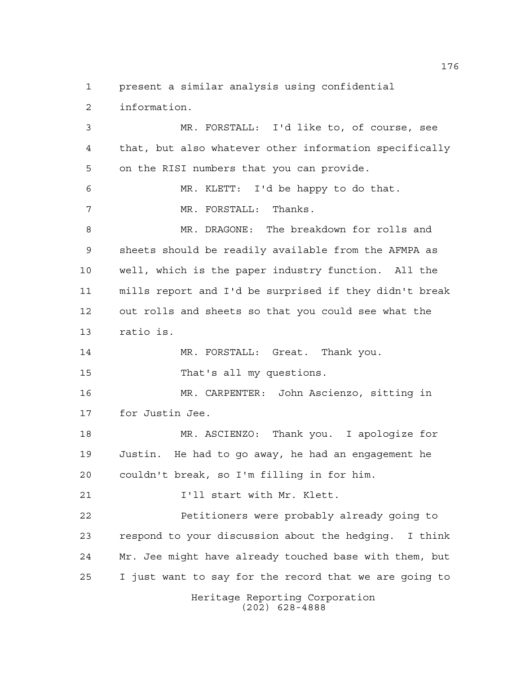present a similar analysis using confidential information. MR. FORSTALL: I'd like to, of course, see that, but also whatever other information specifically on the RISI numbers that you can provide. MR. KLETT: I'd be happy to do that. MR. FORSTALL: Thanks. MR. DRAGONE: The breakdown for rolls and sheets should be readily available from the AFMPA as well, which is the paper industry function. All the mills report and I'd be surprised if they didn't break out rolls and sheets so that you could see what the ratio is. MR. FORSTALL: Great. Thank you. That's all my questions. MR. CARPENTER: John Ascienzo, sitting in for Justin Jee. MR. ASCIENZO: Thank you. I apologize for Justin. He had to go away, he had an engagement he couldn't break, so I'm filling in for him. **I'll start with Mr. Klett.**  Petitioners were probably already going to respond to your discussion about the hedging. I think Mr. Jee might have already touched base with them, but

I just want to say for the record that we are going to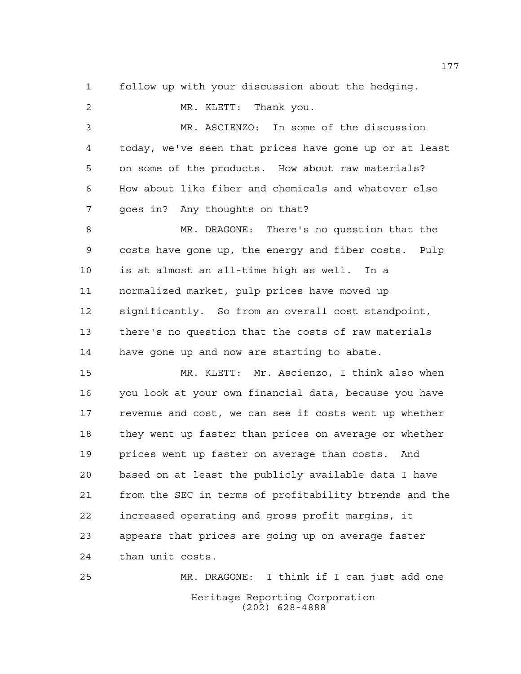follow up with your discussion about the hedging.

 MR. KLETT: Thank you. MR. ASCIENZO: In some of the discussion today, we've seen that prices have gone up or at least on some of the products. How about raw materials? How about like fiber and chemicals and whatever else goes in? Any thoughts on that? MR. DRAGONE: There's no question that the costs have gone up, the energy and fiber costs. Pulp is at almost an all-time high as well. In a normalized market, pulp prices have moved up significantly. So from an overall cost standpoint, there's no question that the costs of raw materials have gone up and now are starting to abate. MR. KLETT: Mr. Ascienzo, I think also when you look at your own financial data, because you have 17 revenue and cost, we can see if costs went up whether they went up faster than prices on average or whether prices went up faster on average than costs. And based on at least the publicly available data I have from the SEC in terms of profitability btrends and the increased operating and gross profit margins, it appears that prices are going up on average faster than unit costs.

Heritage Reporting Corporation (202) 628-4888 MR. DRAGONE: I think if I can just add one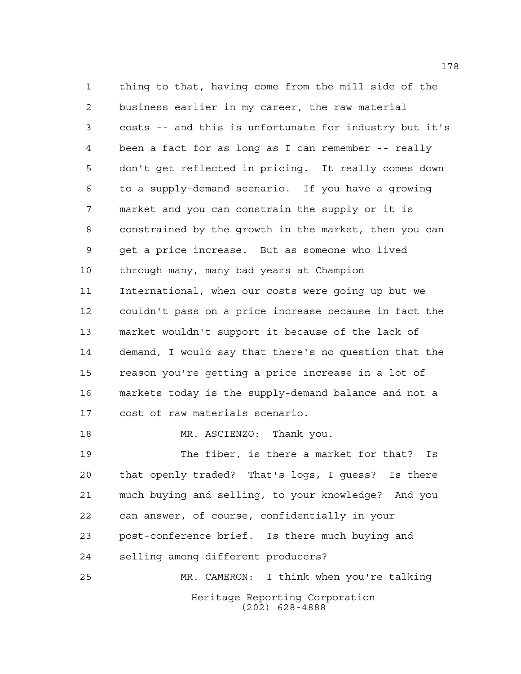thing to that, having come from the mill side of the business earlier in my career, the raw material costs -- and this is unfortunate for industry but it's been a fact for as long as I can remember -- really don't get reflected in pricing. It really comes down to a supply-demand scenario. If you have a growing market and you can constrain the supply or it is constrained by the growth in the market, then you can get a price increase. But as someone who lived through many, many bad years at Champion International, when our costs were going up but we couldn't pass on a price increase because in fact the market wouldn't support it because of the lack of demand, I would say that there's no question that the reason you're getting a price increase in a lot of markets today is the supply-demand balance and not a cost of raw materials scenario. 18 MR. ASCIENZO: Thank you.

Heritage Reporting Corporation (202) 628-4888 The fiber, is there a market for that? Is that openly traded? That's logs, I guess? Is there much buying and selling, to your knowledge? And you can answer, of course, confidentially in your post-conference brief. Is there much buying and selling among different producers? MR. CAMERON: I think when you're talking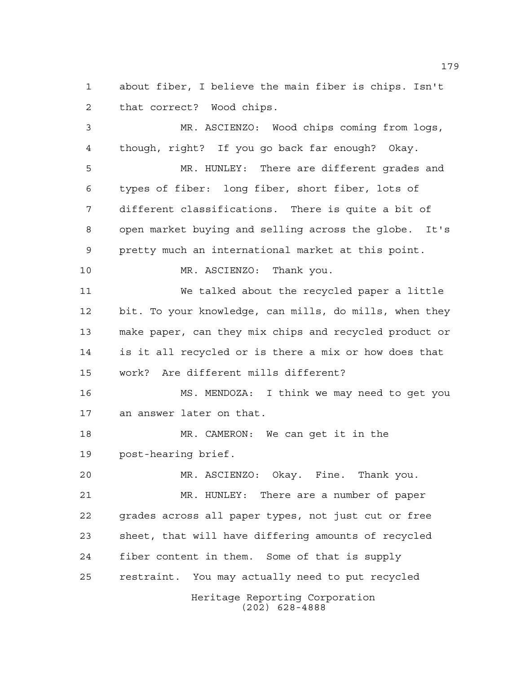about fiber, I believe the main fiber is chips. Isn't that correct? Wood chips.

 MR. ASCIENZO: Wood chips coming from logs, though, right? If you go back far enough? Okay.

 MR. HUNLEY: There are different grades and types of fiber: long fiber, short fiber, lots of different classifications. There is quite a bit of open market buying and selling across the globe. It's pretty much an international market at this point.

MR. ASCIENZO: Thank you.

 We talked about the recycled paper a little bit. To your knowledge, can mills, do mills, when they make paper, can they mix chips and recycled product or is it all recycled or is there a mix or how does that work? Are different mills different?

 MS. MENDOZA: I think we may need to get you an answer later on that.

 MR. CAMERON: We can get it in the post-hearing brief.

Heritage Reporting Corporation MR. ASCIENZO: Okay. Fine. Thank you. MR. HUNLEY: There are a number of paper grades across all paper types, not just cut or free sheet, that will have differing amounts of recycled fiber content in them. Some of that is supply restraint. You may actually need to put recycled

(202) 628-4888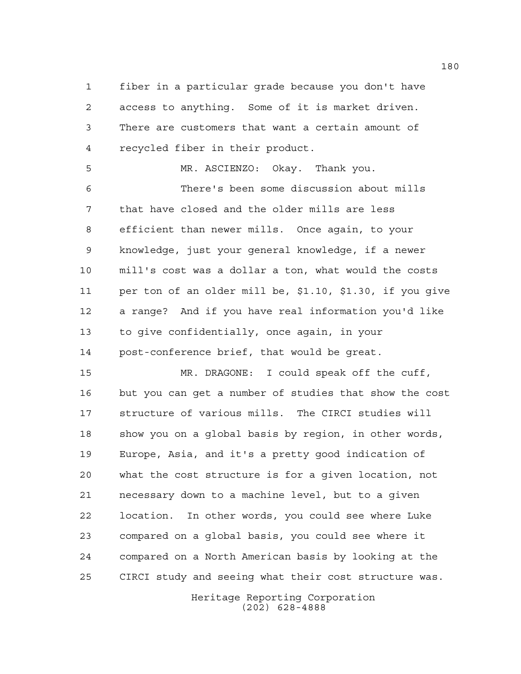fiber in a particular grade because you don't have access to anything. Some of it is market driven. There are customers that want a certain amount of recycled fiber in their product.

 MR. ASCIENZO: Okay. Thank you. There's been some discussion about mills that have closed and the older mills are less efficient than newer mills. Once again, to your knowledge, just your general knowledge, if a newer mill's cost was a dollar a ton, what would the costs per ton of an older mill be, \$1.10, \$1.30, if you give a range? And if you have real information you'd like to give confidentially, once again, in your post-conference brief, that would be great.

 MR. DRAGONE: I could speak off the cuff, but you can get a number of studies that show the cost structure of various mills. The CIRCI studies will show you on a global basis by region, in other words, Europe, Asia, and it's a pretty good indication of what the cost structure is for a given location, not necessary down to a machine level, but to a given location. In other words, you could see where Luke compared on a global basis, you could see where it compared on a North American basis by looking at the CIRCI study and seeing what their cost structure was.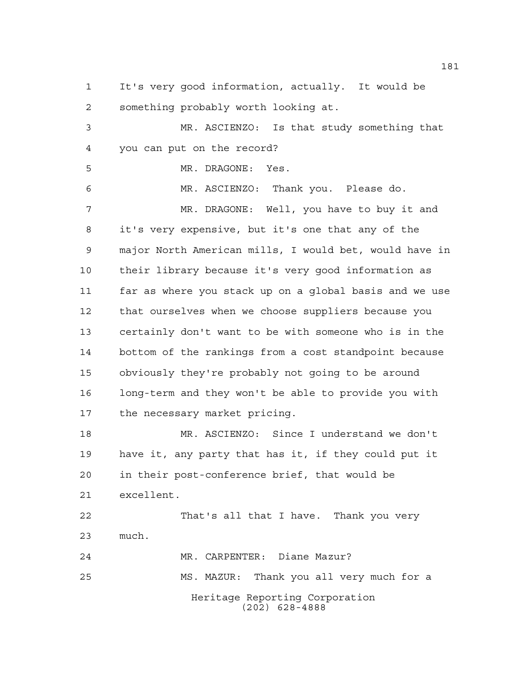It's very good information, actually. It would be something probably worth looking at.

 MR. ASCIENZO: Is that study something that you can put on the record?

MR. DRAGONE: Yes.

 MR. ASCIENZO: Thank you. Please do. MR. DRAGONE: Well, you have to buy it and it's very expensive, but it's one that any of the major North American mills, I would bet, would have in their library because it's very good information as far as where you stack up on a global basis and we use that ourselves when we choose suppliers because you certainly don't want to be with someone who is in the bottom of the rankings from a cost standpoint because obviously they're probably not going to be around long-term and they won't be able to provide you with the necessary market pricing.

 MR. ASCIENZO: Since I understand we don't have it, any party that has it, if they could put it in their post-conference brief, that would be excellent.

 That's all that I have. Thank you very much. MR. CARPENTER: Diane Mazur?

Heritage Reporting Corporation (202) 628-4888 MS. MAZUR: Thank you all very much for a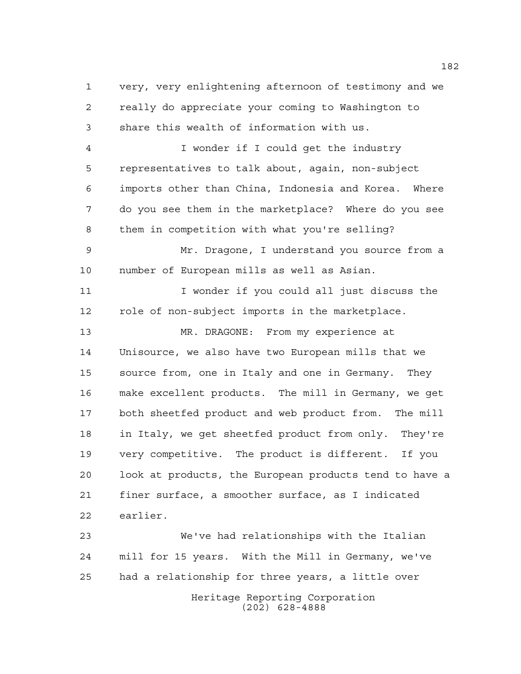very, very enlightening afternoon of testimony and we really do appreciate your coming to Washington to share this wealth of information with us.

 I wonder if I could get the industry representatives to talk about, again, non-subject imports other than China, Indonesia and Korea. Where do you see them in the marketplace? Where do you see them in competition with what you're selling?

 Mr. Dragone, I understand you source from a number of European mills as well as Asian.

 I wonder if you could all just discuss the role of non-subject imports in the marketplace.

 MR. DRAGONE: From my experience at Unisource, we also have two European mills that we source from, one in Italy and one in Germany. They make excellent products. The mill in Germany, we get both sheetfed product and web product from. The mill in Italy, we get sheetfed product from only. They're very competitive. The product is different. If you look at products, the European products tend to have a finer surface, a smoother surface, as I indicated earlier.

 We've had relationships with the Italian mill for 15 years. With the Mill in Germany, we've had a relationship for three years, a little over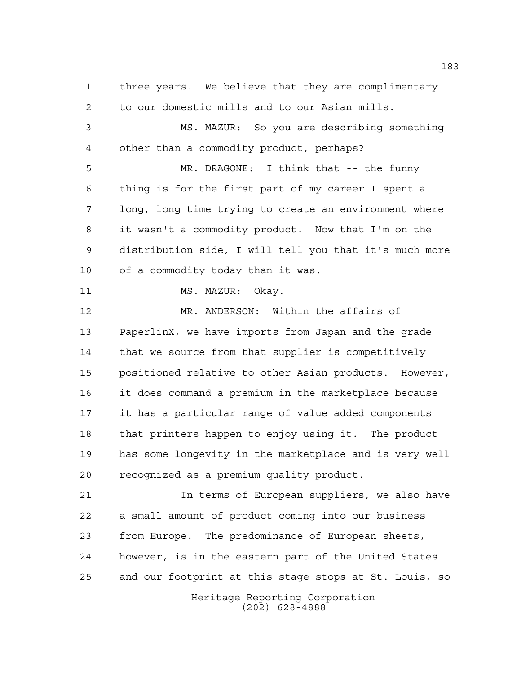three years. We believe that they are complimentary to our domestic mills and to our Asian mills. MS. MAZUR: So you are describing something other than a commodity product, perhaps? MR. DRAGONE: I think that -- the funny thing is for the first part of my career I spent a long, long time trying to create an environment where it wasn't a commodity product. Now that I'm on the distribution side, I will tell you that it's much more of a commodity today than it was. 11 MS. MAZUR: Okay. MR. ANDERSON: Within the affairs of PaperlinX, we have imports from Japan and the grade that we source from that supplier is competitively positioned relative to other Asian products. However, it does command a premium in the marketplace because it has a particular range of value added components that printers happen to enjoy using it. The product has some longevity in the marketplace and is very well recognized as a premium quality product. In terms of European suppliers, we also have a small amount of product coming into our business from Europe. The predominance of European sheets, however, is in the eastern part of the United States and our footprint at this stage stops at St. Louis, so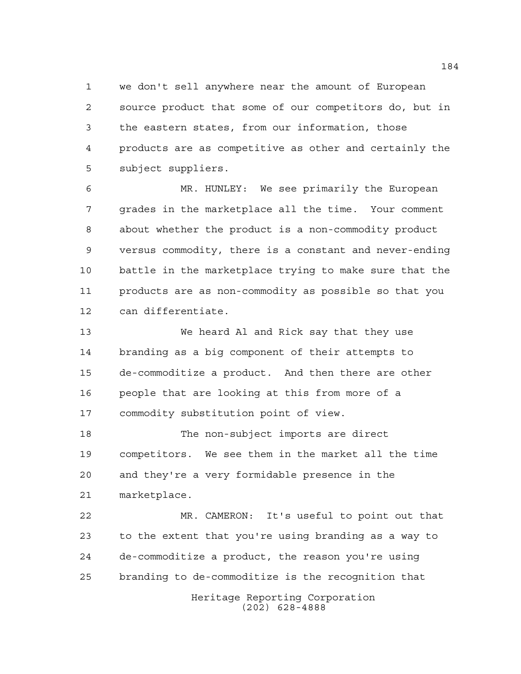we don't sell anywhere near the amount of European source product that some of our competitors do, but in the eastern states, from our information, those products are as competitive as other and certainly the subject suppliers.

 MR. HUNLEY: We see primarily the European grades in the marketplace all the time. Your comment about whether the product is a non-commodity product versus commodity, there is a constant and never-ending battle in the marketplace trying to make sure that the products are as non-commodity as possible so that you can differentiate.

 We heard Al and Rick say that they use branding as a big component of their attempts to de-commoditize a product. And then there are other people that are looking at this from more of a commodity substitution point of view.

 The non-subject imports are direct competitors. We see them in the market all the time and they're a very formidable presence in the marketplace.

 MR. CAMERON: It's useful to point out that to the extent that you're using branding as a way to de-commoditize a product, the reason you're using branding to de-commoditize is the recognition that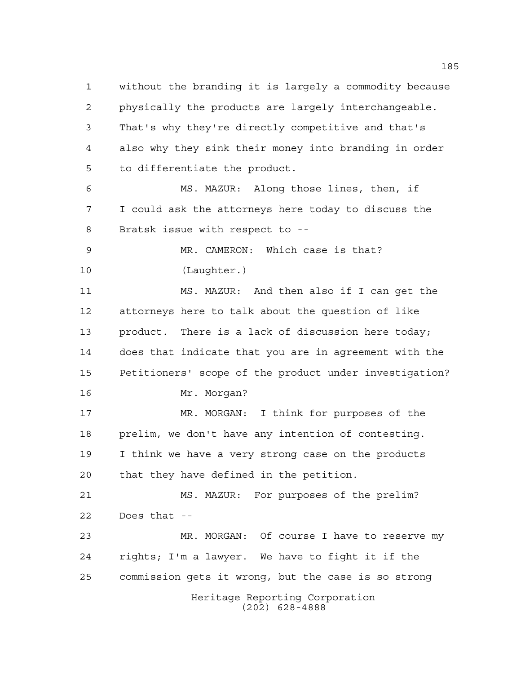Heritage Reporting Corporation (202) 628-4888 without the branding it is largely a commodity because physically the products are largely interchangeable. That's why they're directly competitive and that's also why they sink their money into branding in order to differentiate the product. MS. MAZUR: Along those lines, then, if I could ask the attorneys here today to discuss the Bratsk issue with respect to -- MR. CAMERON: Which case is that? (Laughter.) MS. MAZUR: And then also if I can get the attorneys here to talk about the question of like product. There is a lack of discussion here today; does that indicate that you are in agreement with the Petitioners' scope of the product under investigation? Mr. Morgan? MR. MORGAN: I think for purposes of the prelim, we don't have any intention of contesting. I think we have a very strong case on the products that they have defined in the petition. MS. MAZUR: For purposes of the prelim? Does that -- MR. MORGAN: Of course I have to reserve my rights; I'm a lawyer. We have to fight it if the commission gets it wrong, but the case is so strong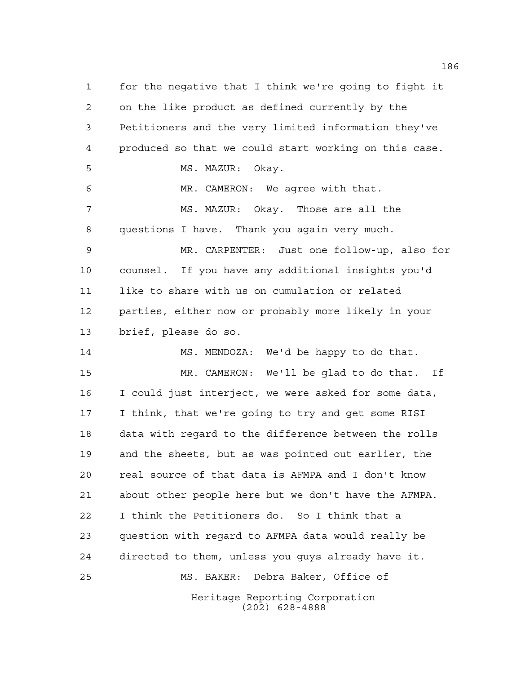Heritage Reporting Corporation for the negative that I think we're going to fight it on the like product as defined currently by the Petitioners and the very limited information they've produced so that we could start working on this case. 5 MS. MAZUR: Okay. MR. CAMERON: We agree with that. MS. MAZUR: Okay. Those are all the questions I have. Thank you again very much. MR. CARPENTER: Just one follow-up, also for counsel. If you have any additional insights you'd like to share with us on cumulation or related parties, either now or probably more likely in your brief, please do so. MS. MENDOZA: We'd be happy to do that. MR. CAMERON: We'll be glad to do that. If I could just interject, we were asked for some data, I think, that we're going to try and get some RISI data with regard to the difference between the rolls and the sheets, but as was pointed out earlier, the real source of that data is AFMPA and I don't know about other people here but we don't have the AFMPA. I think the Petitioners do. So I think that a question with regard to AFMPA data would really be directed to them, unless you guys already have it. MS. BAKER: Debra Baker, Office of

(202) 628-4888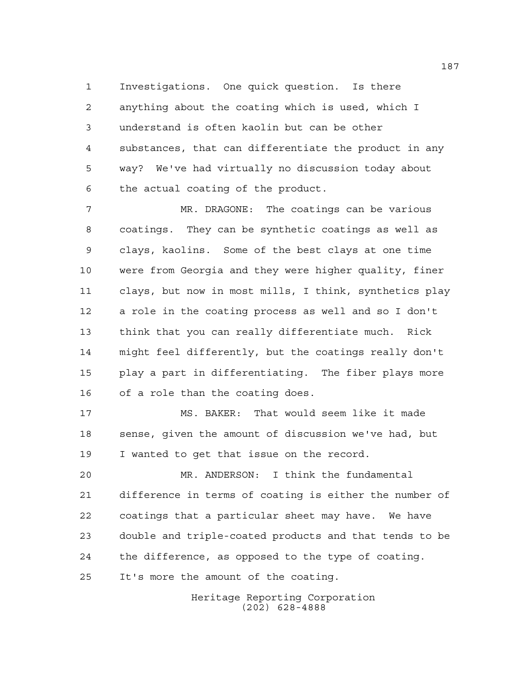Investigations. One quick question. Is there anything about the coating which is used, which I understand is often kaolin but can be other substances, that can differentiate the product in any way? We've had virtually no discussion today about the actual coating of the product.

 MR. DRAGONE: The coatings can be various coatings. They can be synthetic coatings as well as clays, kaolins. Some of the best clays at one time were from Georgia and they were higher quality, finer clays, but now in most mills, I think, synthetics play a role in the coating process as well and so I don't think that you can really differentiate much. Rick might feel differently, but the coatings really don't play a part in differentiating. The fiber plays more of a role than the coating does.

 MS. BAKER: That would seem like it made sense, given the amount of discussion we've had, but I wanted to get that issue on the record.

 MR. ANDERSON: I think the fundamental difference in terms of coating is either the number of coatings that a particular sheet may have. We have double and triple-coated products and that tends to be the difference, as opposed to the type of coating. It's more the amount of the coating.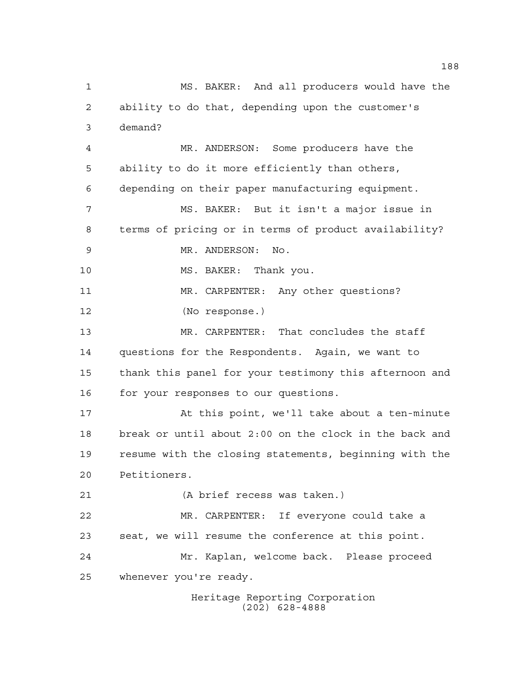MS. BAKER: And all producers would have the ability to do that, depending upon the customer's demand? MR. ANDERSON: Some producers have the ability to do it more efficiently than others, depending on their paper manufacturing equipment. MS. BAKER: But it isn't a major issue in terms of pricing or in terms of product availability? MR. ANDERSON: No. MS. BAKER: Thank you. MR. CARPENTER: Any other questions? (No response.) MR. CARPENTER: That concludes the staff questions for the Respondents. Again, we want to thank this panel for your testimony this afternoon and 16 for your responses to our questions. At this point, we'll take about a ten-minute break or until about 2:00 on the clock in the back and resume with the closing statements, beginning with the Petitioners. (A brief recess was taken.) MR. CARPENTER: If everyone could take a seat, we will resume the conference at this point. Mr. Kaplan, welcome back. Please proceed whenever you're ready.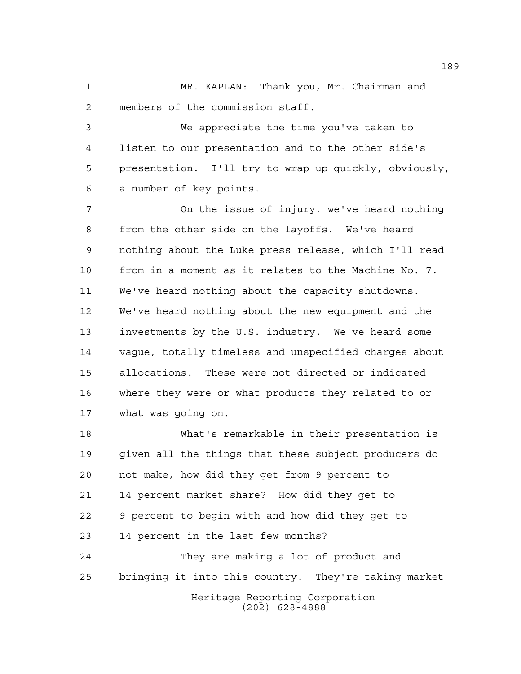MR. KAPLAN: Thank you, Mr. Chairman and members of the commission staff.

 We appreciate the time you've taken to listen to our presentation and to the other side's presentation. I'll try to wrap up quickly, obviously, a number of key points.

 On the issue of injury, we've heard nothing from the other side on the layoffs. We've heard nothing about the Luke press release, which I'll read from in a moment as it relates to the Machine No. 7. We've heard nothing about the capacity shutdowns. We've heard nothing about the new equipment and the investments by the U.S. industry. We've heard some vague, totally timeless and unspecified charges about allocations. These were not directed or indicated where they were or what products they related to or what was going on.

 What's remarkable in their presentation is given all the things that these subject producers do not make, how did they get from 9 percent to 14 percent market share? How did they get to 9 percent to begin with and how did they get to 14 percent in the last few months? They are making a lot of product and

bringing it into this country. They're taking market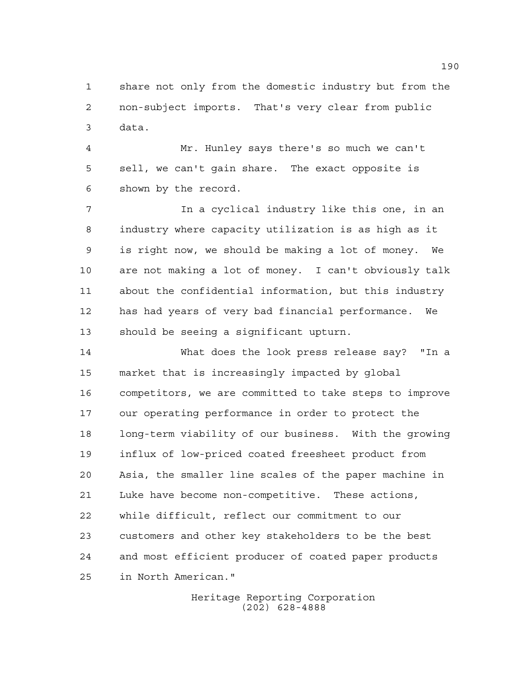share not only from the domestic industry but from the non-subject imports. That's very clear from public data.

 Mr. Hunley says there's so much we can't sell, we can't gain share. The exact opposite is shown by the record.

 In a cyclical industry like this one, in an industry where capacity utilization is as high as it is right now, we should be making a lot of money. We are not making a lot of money. I can't obviously talk about the confidential information, but this industry has had years of very bad financial performance. We should be seeing a significant upturn.

 What does the look press release say? "In a market that is increasingly impacted by global competitors, we are committed to take steps to improve our operating performance in order to protect the long-term viability of our business. With the growing influx of low-priced coated freesheet product from Asia, the smaller line scales of the paper machine in Luke have become non-competitive. These actions, while difficult, reflect our commitment to our customers and other key stakeholders to be the best and most efficient producer of coated paper products in North American."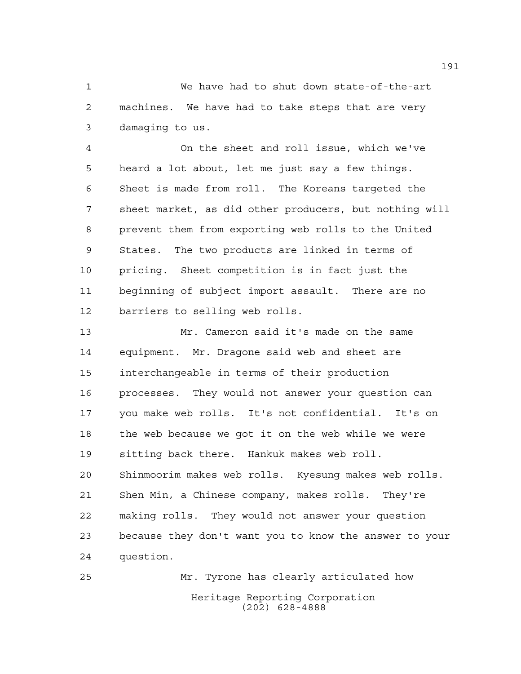We have had to shut down state-of-the-art machines. We have had to take steps that are very damaging to us.

 On the sheet and roll issue, which we've heard a lot about, let me just say a few things. Sheet is made from roll. The Koreans targeted the sheet market, as did other producers, but nothing will prevent them from exporting web rolls to the United States. The two products are linked in terms of pricing. Sheet competition is in fact just the beginning of subject import assault. There are no barriers to selling web rolls.

 Mr. Cameron said it's made on the same equipment. Mr. Dragone said web and sheet are interchangeable in terms of their production processes. They would not answer your question can you make web rolls. It's not confidential. It's on the web because we got it on the web while we were sitting back there. Hankuk makes web roll. Shinmoorim makes web rolls. Kyesung makes web rolls. Shen Min, a Chinese company, makes rolls. They're making rolls. They would not answer your question because they don't want you to know the answer to your question.

Heritage Reporting Corporation (202) 628-4888 Mr. Tyrone has clearly articulated how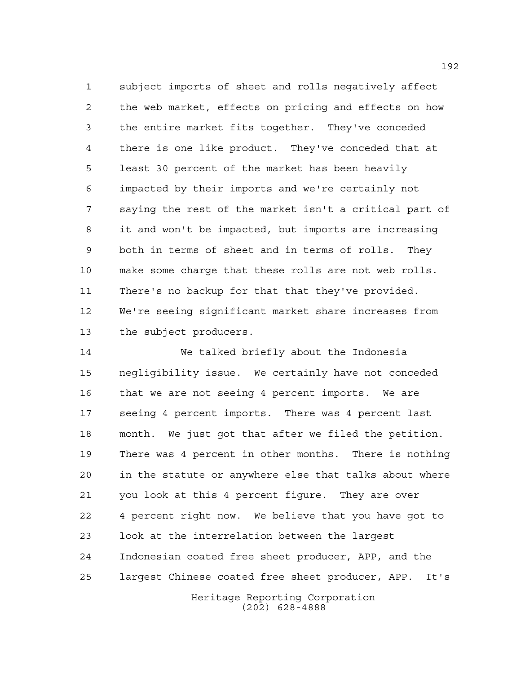subject imports of sheet and rolls negatively affect the web market, effects on pricing and effects on how the entire market fits together. They've conceded there is one like product. They've conceded that at least 30 percent of the market has been heavily impacted by their imports and we're certainly not saying the rest of the market isn't a critical part of it and won't be impacted, but imports are increasing both in terms of sheet and in terms of rolls. They make some charge that these rolls are not web rolls. There's no backup for that that they've provided. We're seeing significant market share increases from the subject producers.

 We talked briefly about the Indonesia negligibility issue. We certainly have not conceded that we are not seeing 4 percent imports. We are seeing 4 percent imports. There was 4 percent last month. We just got that after we filed the petition. There was 4 percent in other months. There is nothing in the statute or anywhere else that talks about where you look at this 4 percent figure. They are over 4 percent right now. We believe that you have got to look at the interrelation between the largest Indonesian coated free sheet producer, APP, and the largest Chinese coated free sheet producer, APP. It's

Heritage Reporting Corporation (202) 628-4888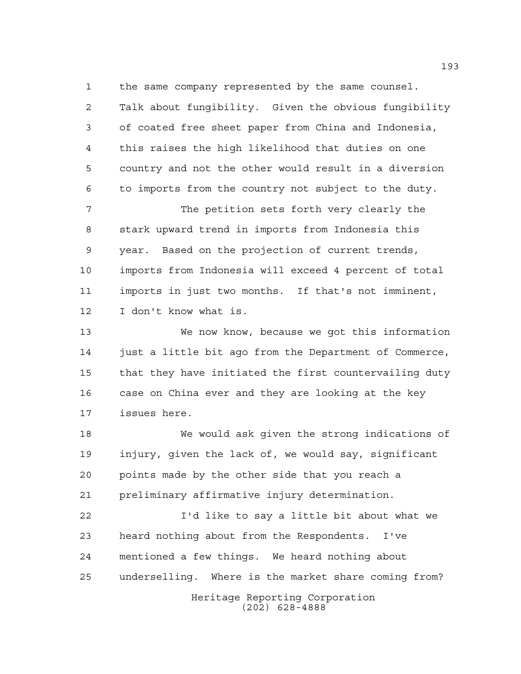the same company represented by the same counsel.

 Talk about fungibility. Given the obvious fungibility of coated free sheet paper from China and Indonesia, this raises the high likelihood that duties on one country and not the other would result in a diversion to imports from the country not subject to the duty.

 The petition sets forth very clearly the stark upward trend in imports from Indonesia this year. Based on the projection of current trends, imports from Indonesia will exceed 4 percent of total imports in just two months. If that's not imminent, I don't know what is.

 We now know, because we got this information just a little bit ago from the Department of Commerce, that they have initiated the first countervailing duty case on China ever and they are looking at the key issues here.

 We would ask given the strong indications of injury, given the lack of, we would say, significant points made by the other side that you reach a preliminary affirmative injury determination.

Heritage Reporting Corporation I'd like to say a little bit about what we heard nothing about from the Respondents. I've mentioned a few things. We heard nothing about underselling. Where is the market share coming from?

(202) 628-4888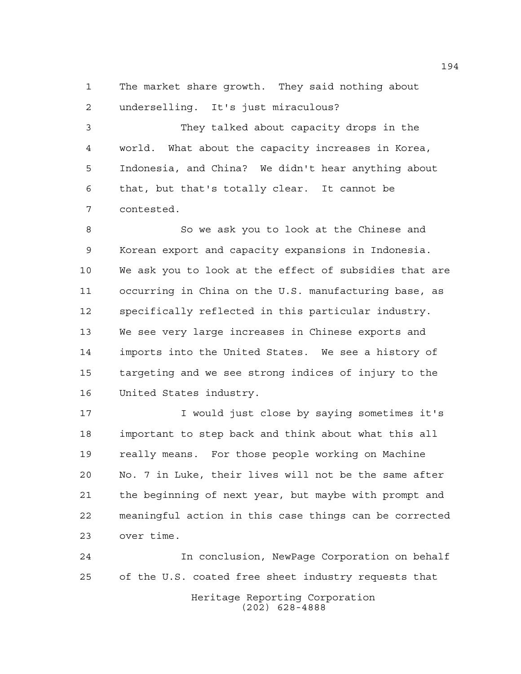The market share growth. They said nothing about underselling. It's just miraculous?

 They talked about capacity drops in the world. What about the capacity increases in Korea, Indonesia, and China? We didn't hear anything about that, but that's totally clear. It cannot be contested.

 So we ask you to look at the Chinese and Korean export and capacity expansions in Indonesia. We ask you to look at the effect of subsidies that are occurring in China on the U.S. manufacturing base, as specifically reflected in this particular industry. We see very large increases in Chinese exports and imports into the United States. We see a history of targeting and we see strong indices of injury to the United States industry.

 I would just close by saying sometimes it's important to step back and think about what this all really means. For those people working on Machine No. 7 in Luke, their lives will not be the same after the beginning of next year, but maybe with prompt and meaningful action in this case things can be corrected over time.

Heritage Reporting Corporation (202) 628-4888 In conclusion, NewPage Corporation on behalf of the U.S. coated free sheet industry requests that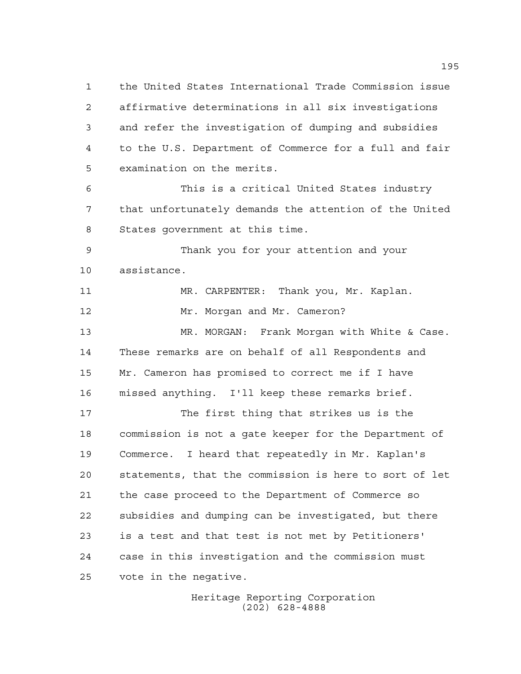the United States International Trade Commission issue affirmative determinations in all six investigations and refer the investigation of dumping and subsidies to the U.S. Department of Commerce for a full and fair examination on the merits. This is a critical United States industry that unfortunately demands the attention of the United States government at this time. Thank you for your attention and your assistance. MR. CARPENTER: Thank you, Mr. Kaplan. 12 Mr. Morgan and Mr. Cameron? MR. MORGAN: Frank Morgan with White & Case. These remarks are on behalf of all Respondents and Mr. Cameron has promised to correct me if I have missed anything. I'll keep these remarks brief. The first thing that strikes us is the commission is not a gate keeper for the Department of Commerce. I heard that repeatedly in Mr. Kaplan's statements, that the commission is here to sort of let the case proceed to the Department of Commerce so subsidies and dumping can be investigated, but there is a test and that test is not met by Petitioners' case in this investigation and the commission must vote in the negative.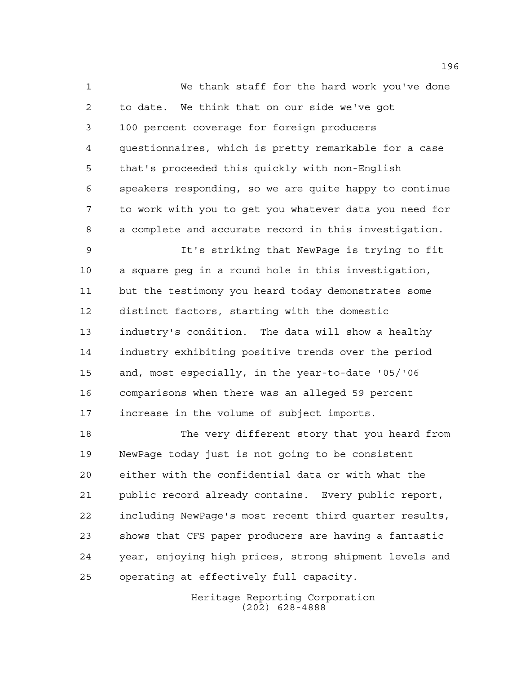We thank staff for the hard work you've done to date. We think that on our side we've got 100 percent coverage for foreign producers questionnaires, which is pretty remarkable for a case that's proceeded this quickly with non-English speakers responding, so we are quite happy to continue to work with you to get you whatever data you need for a complete and accurate record in this investigation. It's striking that NewPage is trying to fit

 a square peg in a round hole in this investigation, but the testimony you heard today demonstrates some distinct factors, starting with the domestic industry's condition. The data will show a healthy industry exhibiting positive trends over the period and, most especially, in the year-to-date '05/'06 comparisons when there was an alleged 59 percent increase in the volume of subject imports.

 The very different story that you heard from NewPage today just is not going to be consistent either with the confidential data or with what the public record already contains. Every public report, including NewPage's most recent third quarter results, shows that CFS paper producers are having a fantastic year, enjoying high prices, strong shipment levels and operating at effectively full capacity.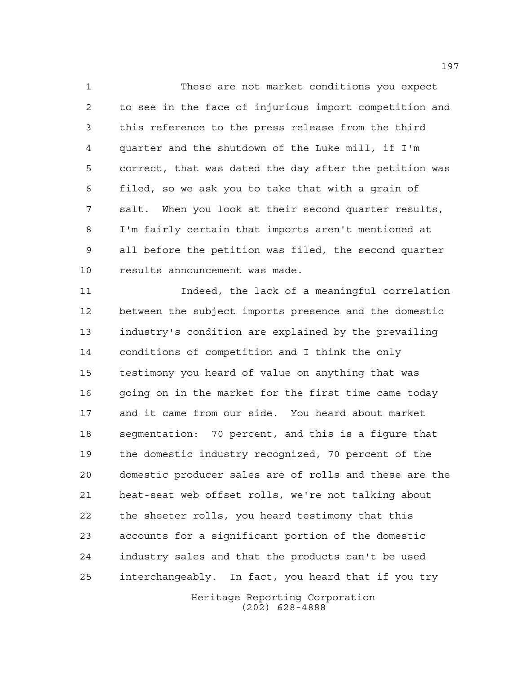These are not market conditions you expect to see in the face of injurious import competition and this reference to the press release from the third quarter and the shutdown of the Luke mill, if I'm correct, that was dated the day after the petition was filed, so we ask you to take that with a grain of salt. When you look at their second quarter results, I'm fairly certain that imports aren't mentioned at all before the petition was filed, the second quarter results announcement was made.

 Indeed, the lack of a meaningful correlation between the subject imports presence and the domestic industry's condition are explained by the prevailing conditions of competition and I think the only testimony you heard of value on anything that was 16 going on in the market for the first time came today and it came from our side. You heard about market segmentation: 70 percent, and this is a figure that the domestic industry recognized, 70 percent of the domestic producer sales are of rolls and these are the heat-seat web offset rolls, we're not talking about the sheeter rolls, you heard testimony that this accounts for a significant portion of the domestic industry sales and that the products can't be used interchangeably. In fact, you heard that if you try

Heritage Reporting Corporation (202) 628-4888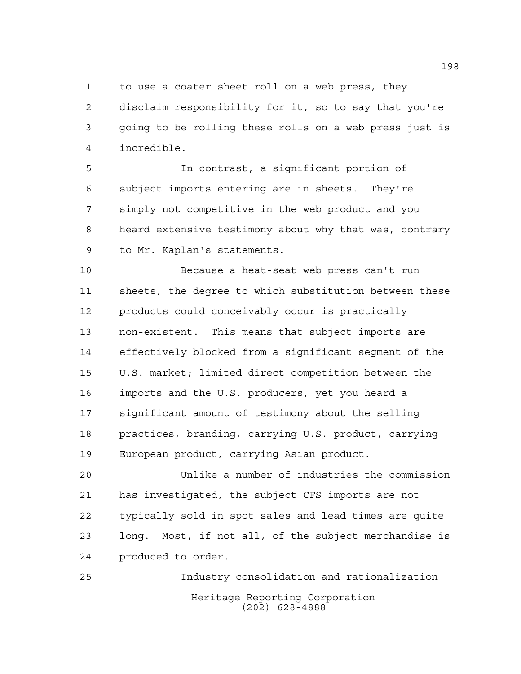to use a coater sheet roll on a web press, they

 disclaim responsibility for it, so to say that you're going to be rolling these rolls on a web press just is incredible.

 In contrast, a significant portion of subject imports entering are in sheets. They're simply not competitive in the web product and you heard extensive testimony about why that was, contrary to Mr. Kaplan's statements.

 Because a heat-seat web press can't run sheets, the degree to which substitution between these products could conceivably occur is practically non-existent. This means that subject imports are effectively blocked from a significant segment of the U.S. market; limited direct competition between the imports and the U.S. producers, yet you heard a significant amount of testimony about the selling practices, branding, carrying U.S. product, carrying European product, carrying Asian product.

 Unlike a number of industries the commission has investigated, the subject CFS imports are not typically sold in spot sales and lead times are quite long. Most, if not all, of the subject merchandise is produced to order.

Heritage Reporting Corporation (202) 628-4888 Industry consolidation and rationalization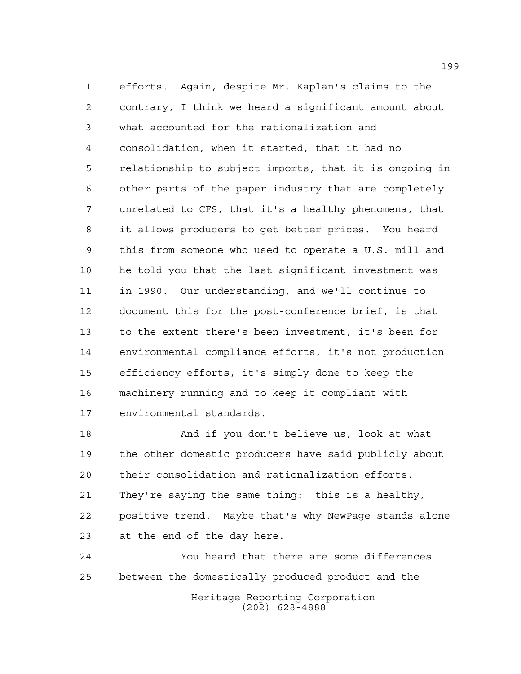efforts. Again, despite Mr. Kaplan's claims to the contrary, I think we heard a significant amount about what accounted for the rationalization and consolidation, when it started, that it had no relationship to subject imports, that it is ongoing in other parts of the paper industry that are completely unrelated to CFS, that it's a healthy phenomena, that it allows producers to get better prices. You heard this from someone who used to operate a U.S. mill and he told you that the last significant investment was in 1990. Our understanding, and we'll continue to document this for the post-conference brief, is that to the extent there's been investment, it's been for environmental compliance efforts, it's not production efficiency efforts, it's simply done to keep the machinery running and to keep it compliant with environmental standards.

 And if you don't believe us, look at what the other domestic producers have said publicly about their consolidation and rationalization efforts. They're saying the same thing: this is a healthy, positive trend. Maybe that's why NewPage stands alone at the end of the day here.

Heritage Reporting Corporation (202) 628-4888 You heard that there are some differences between the domestically produced product and the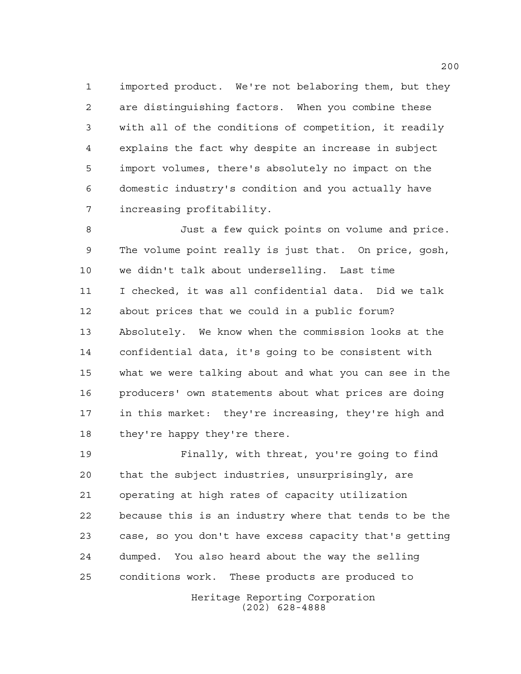imported product. We're not belaboring them, but they are distinguishing factors. When you combine these with all of the conditions of competition, it readily explains the fact why despite an increase in subject import volumes, there's absolutely no impact on the domestic industry's condition and you actually have increasing profitability.

 Just a few quick points on volume and price. The volume point really is just that. On price, gosh, we didn't talk about underselling. Last time I checked, it was all confidential data. Did we talk about prices that we could in a public forum? Absolutely. We know when the commission looks at the confidential data, it's going to be consistent with what we were talking about and what you can see in the producers' own statements about what prices are doing in this market: they're increasing, they're high and they're happy they're there.

 Finally, with threat, you're going to find that the subject industries, unsurprisingly, are operating at high rates of capacity utilization because this is an industry where that tends to be the case, so you don't have excess capacity that's getting dumped. You also heard about the way the selling conditions work. These products are produced to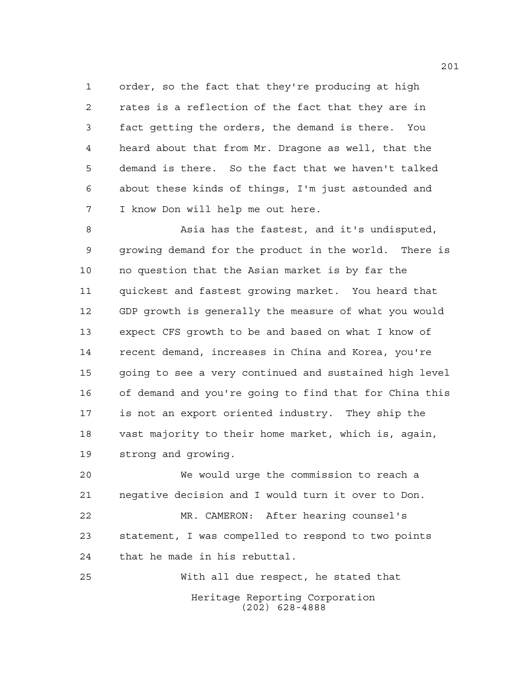order, so the fact that they're producing at high rates is a reflection of the fact that they are in fact getting the orders, the demand is there. You heard about that from Mr. Dragone as well, that the demand is there. So the fact that we haven't talked about these kinds of things, I'm just astounded and I know Don will help me out here.

 Asia has the fastest, and it's undisputed, growing demand for the product in the world. There is no question that the Asian market is by far the quickest and fastest growing market. You heard that GDP growth is generally the measure of what you would expect CFS growth to be and based on what I know of recent demand, increases in China and Korea, you're going to see a very continued and sustained high level of demand and you're going to find that for China this is not an export oriented industry. They ship the vast majority to their home market, which is, again, strong and growing.

 We would urge the commission to reach a negative decision and I would turn it over to Don.

 MR. CAMERON: After hearing counsel's statement, I was compelled to respond to two points that he made in his rebuttal.

Heritage Reporting Corporation (202) 628-4888 With all due respect, he stated that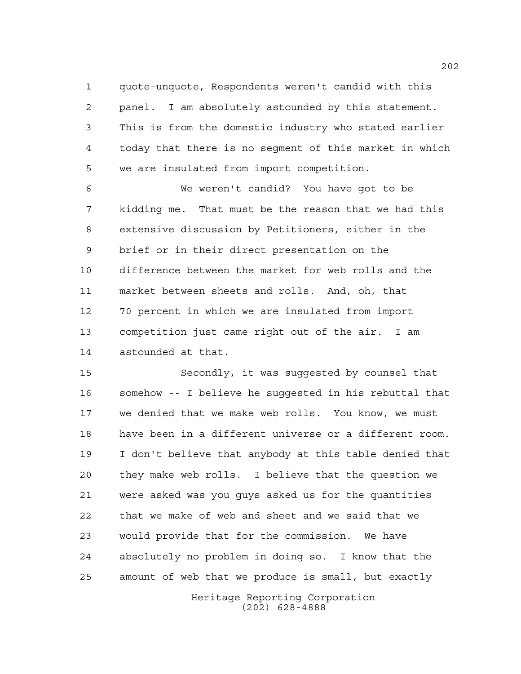quote-unquote, Respondents weren't candid with this panel. I am absolutely astounded by this statement. This is from the domestic industry who stated earlier today that there is no segment of this market in which we are insulated from import competition.

 We weren't candid? You have got to be kidding me. That must be the reason that we had this extensive discussion by Petitioners, either in the brief or in their direct presentation on the difference between the market for web rolls and the market between sheets and rolls. And, oh, that 70 percent in which we are insulated from import competition just came right out of the air. I am astounded at that.

 Secondly, it was suggested by counsel that somehow -- I believe he suggested in his rebuttal that we denied that we make web rolls. You know, we must have been in a different universe or a different room. I don't believe that anybody at this table denied that they make web rolls. I believe that the question we were asked was you guys asked us for the quantities that we make of web and sheet and we said that we would provide that for the commission. We have absolutely no problem in doing so. I know that the amount of web that we produce is small, but exactly

> Heritage Reporting Corporation (202) 628-4888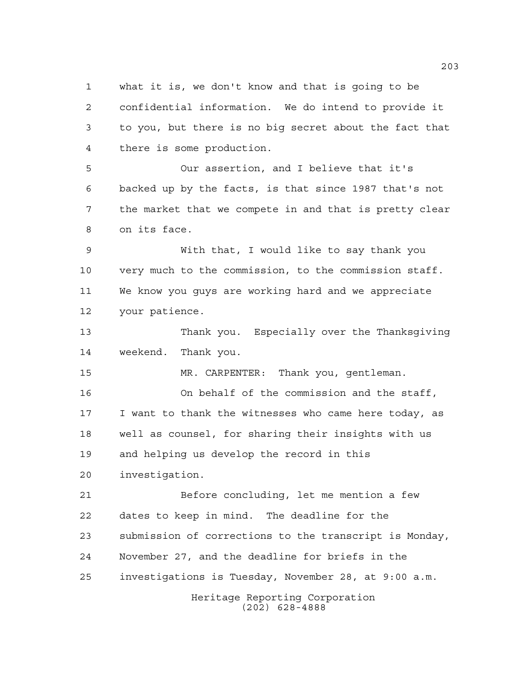what it is, we don't know and that is going to be confidential information. We do intend to provide it to you, but there is no big secret about the fact that there is some production.

 Our assertion, and I believe that it's backed up by the facts, is that since 1987 that's not the market that we compete in and that is pretty clear on its face.

 With that, I would like to say thank you very much to the commission, to the commission staff. We know you guys are working hard and we appreciate your patience.

 Thank you. Especially over the Thanksgiving weekend. Thank you.

MR. CARPENTER: Thank you, gentleman.

 On behalf of the commission and the staff, I want to thank the witnesses who came here today, as well as counsel, for sharing their insights with us and helping us develop the record in this

investigation.

Heritage Reporting Corporation Before concluding, let me mention a few dates to keep in mind. The deadline for the submission of corrections to the transcript is Monday, November 27, and the deadline for briefs in the investigations is Tuesday, November 28, at 9:00 a.m.

(202) 628-4888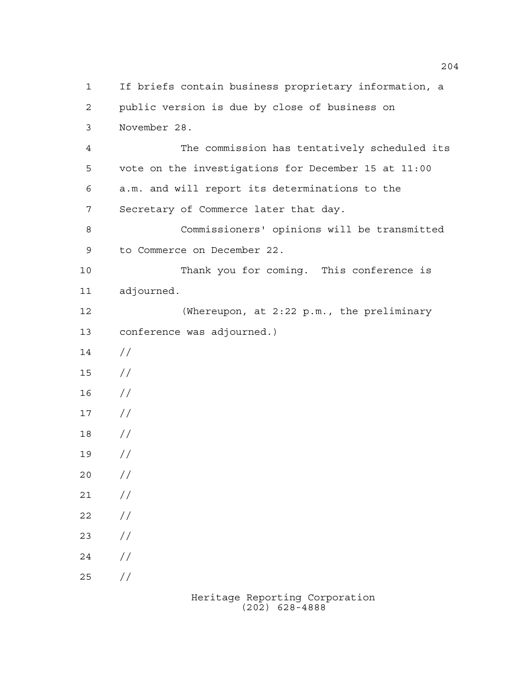If briefs contain business proprietary information, a public version is due by close of business on November 28. The commission has tentatively scheduled its vote on the investigations for December 15 at 11:00 a.m. and will report its determinations to the Secretary of Commerce later that day. Commissioners' opinions will be transmitted to Commerce on December 22. Thank you for coming. This conference is adjourned. (Whereupon, at 2:22 p.m., the preliminary conference was adjourned.) // // //  $17 /$  // //  $20 /$  $21 /$  $22 / /$  $23 / /$  $24 /$  $25 / /$